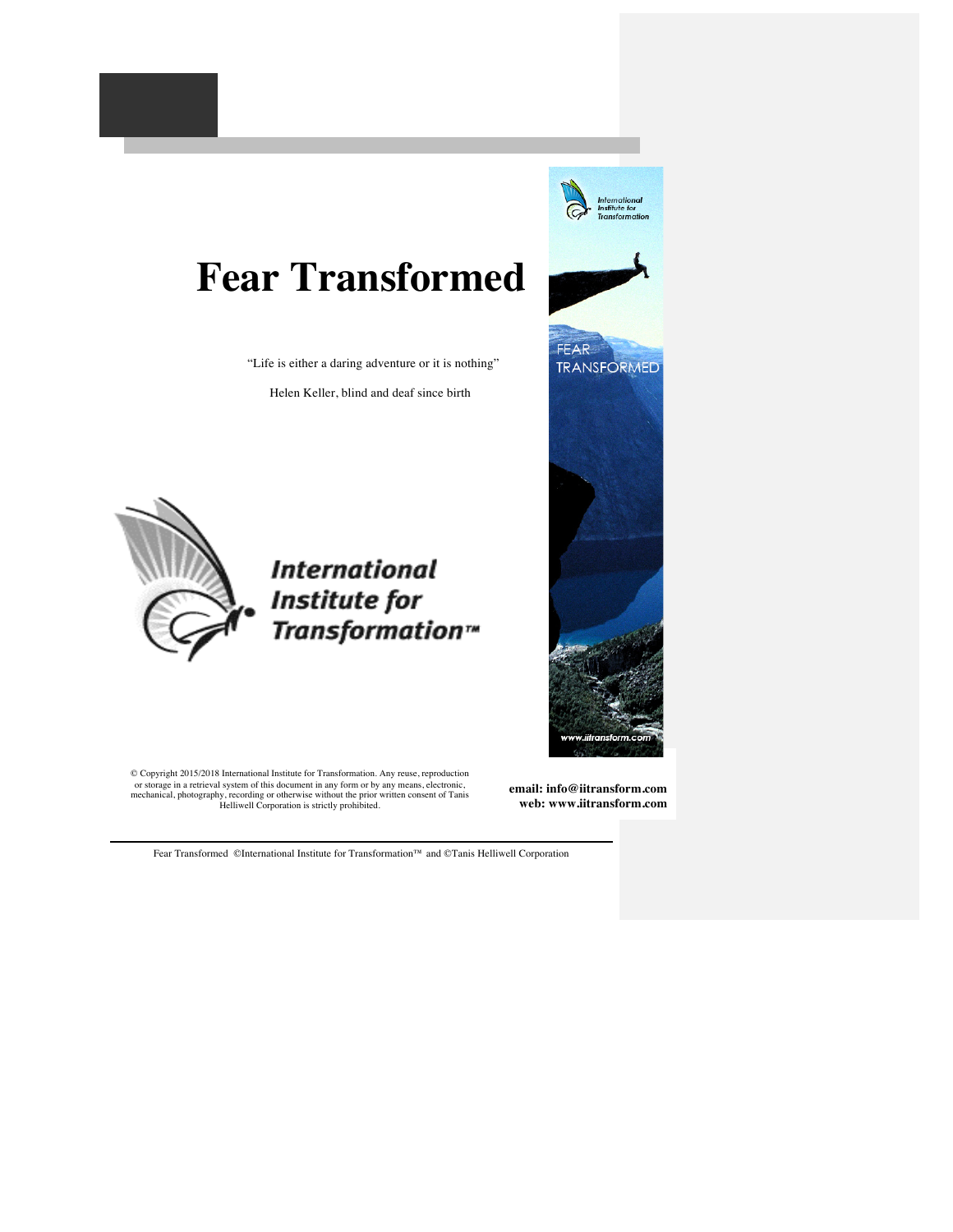

"Life is either a daring adventure or it is nothing"

Helen Keller, blind and deaf since birth



# **International** *Institute for<br>Transformation™*



© Copyright 2015/2018 International Institute for Transformation. Any reuse, reproduction<br>or storage in a retrieval system of this document in any form or by any means, electronic,<br>mechanical, photography, recording or oth

**email: info@iitransform.com web: www.iitransform.com**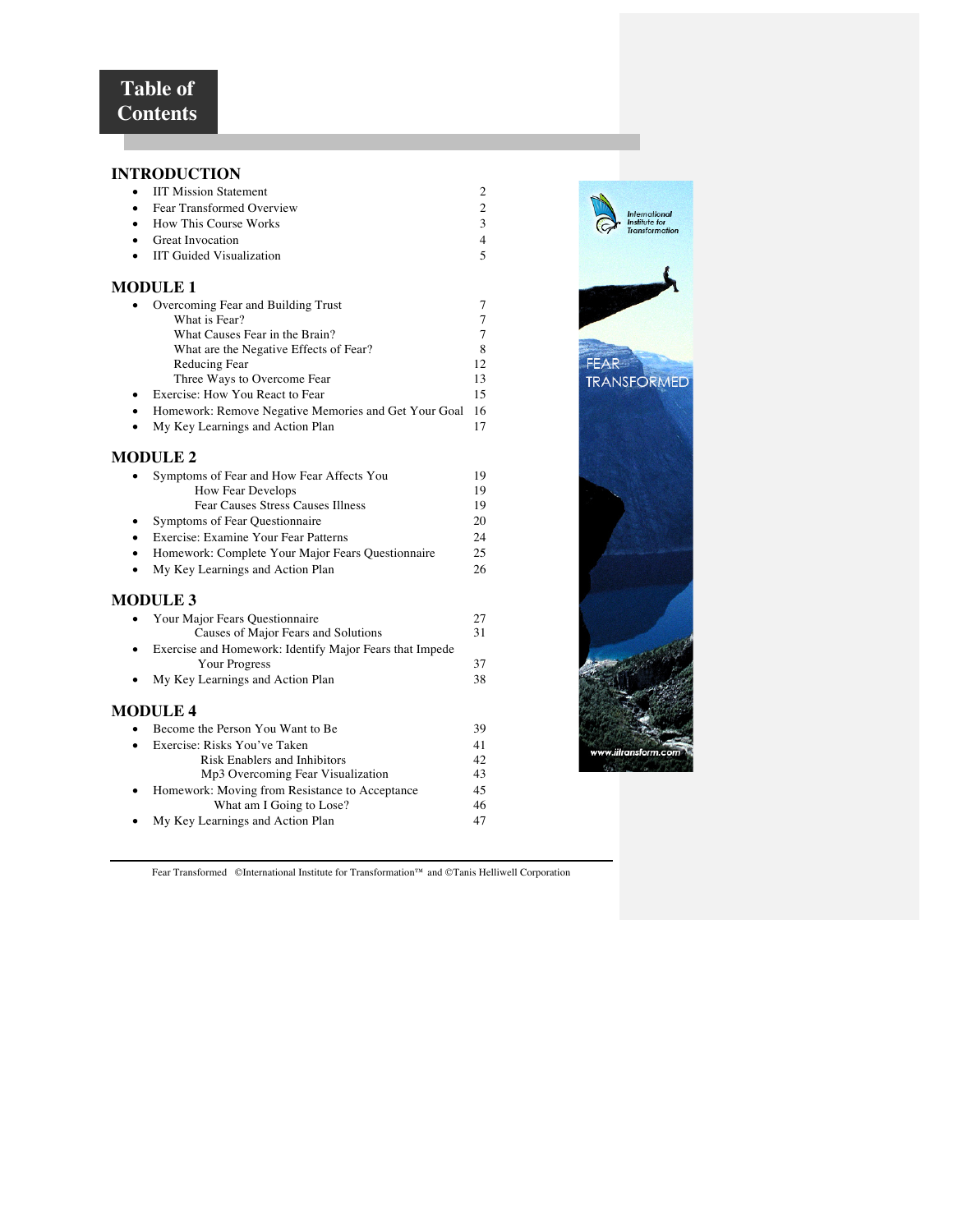# **Table of Contents**

### **INTRODUCTION**  • IIT Mission Statement 2<br>• Fear Transformed Overview 2 • Fear Transformed Overview • How This Course Works 3<br>• Great Invocation 4 Great Invocation • IIT Guided Visualization 5 **MODULE 1** • Overcoming Fear and Building Trust 7<br>What is Fear? 7 What is Fear? 7<br>What Causes Fear in the Brain? 7 What Causes Fear in the Brain? 7<br>What are the Negative Effects of Fear? 8 What are the Negative Effects of Fear? Reducing Fear 12<br>Three Ways to Overcome Fear 13 Three Ways to Overcome Fear • Exercise: How You React to Fear 15 • Homework: Remove Negative Memories and Get Your Goal 16 • My Key Learnings and Action Plan 17 **MODULE 2** • Symptoms of Fear and How Fear Affects You 19 How Fear Develops 19<br>Fear Causes Stress Causes Illness 19 Fear Causes Stress Causes Illness • Symptoms of Fear Questionnaire 20<br>• Exercise: Examine Your Fear Patterns 24 • Exercise: Examine Your Fear Patterns

|           | Homework: Complete Your Major Fears Questionnaire       | 25 |
|-----------|---------------------------------------------------------|----|
|           | My Key Learnings and Action Plan                        | 26 |
|           | <b>MODULE 3</b>                                         |    |
|           | Your Major Fears Questionnaire                          | 27 |
|           | Causes of Major Fears and Solutions                     | 31 |
| ٠         | Exercise and Homework: Identify Major Fears that Impede |    |
|           | Your Progress                                           | 37 |
|           | My Key Learnings and Action Plan                        | 38 |
|           | <b>MODULE 4</b>                                         |    |
| ٠         | Become the Person You Want to Be                        | 39 |
|           | Exercise: Risks You've Taken                            | 41 |
|           | <b>Risk Enablers and Inhibitors</b>                     | 42 |
|           | Mp3 Overcoming Fear Visualization                       | 43 |
| $\bullet$ | Homework: Moving from Resistance to Acceptance          | 45 |
|           | What am I Going to Lose?                                | 46 |

What am I Going to Lose?

• My Key Learnings and Action Plan 47

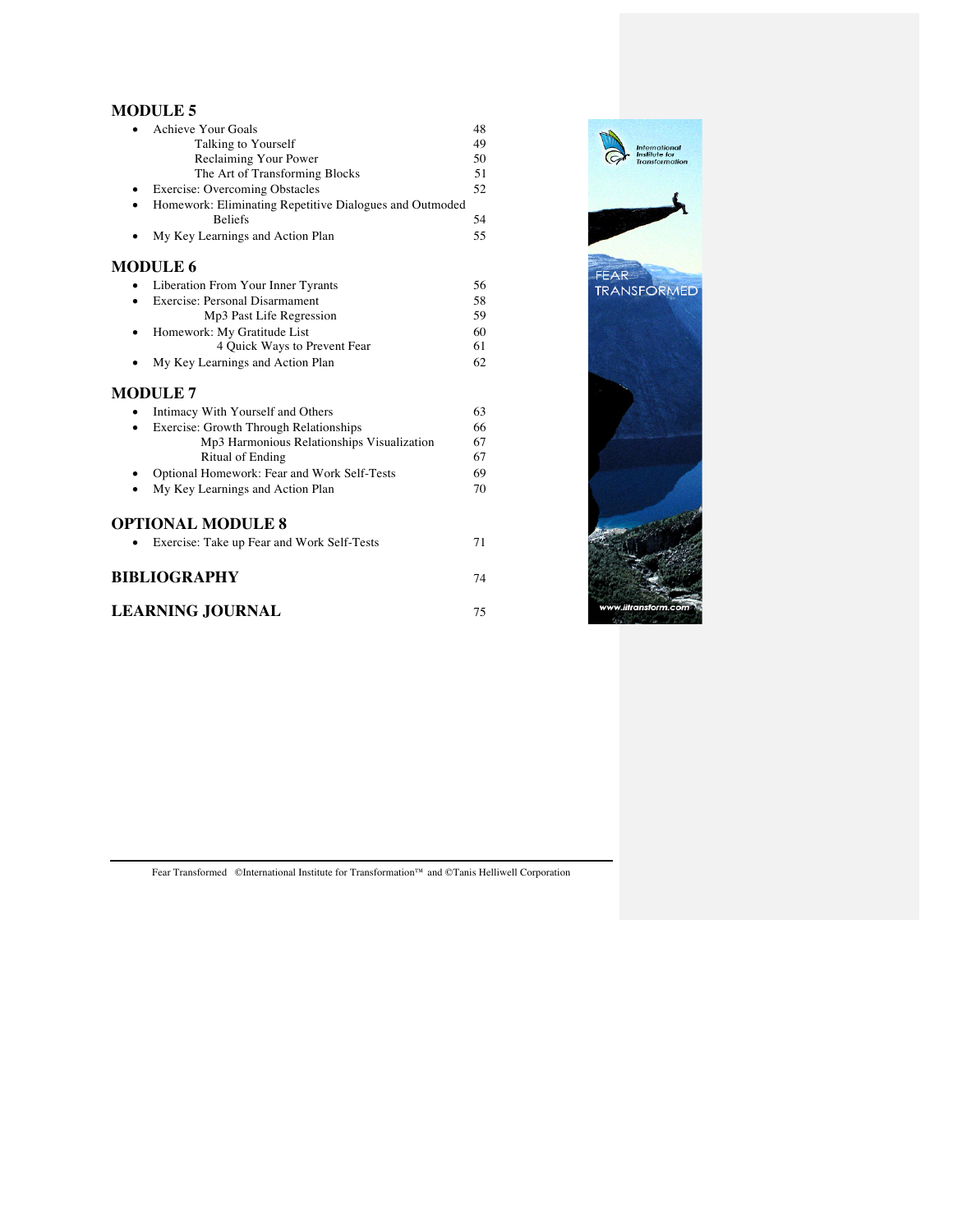# **MODULE 5**

| Achieve Your Goals                                      | 48 |
|---------------------------------------------------------|----|
| Talking to Yourself                                     | 49 |
| Reclaiming Your Power                                   | 50 |
| The Art of Transforming Blocks                          | 51 |
| <b>Exercise: Overcoming Obstacles</b>                   | 52 |
| Homework: Eliminating Repetitive Dialogues and Outmoded |    |
| <b>Reliefs</b>                                          | 54 |
| My Key Learnings and Action Plan                        | 55 |
| <b>MODULE 6</b>                                         |    |
| Liberation From Your Inner Tyrants                      | 56 |
| Exercise: Personal Disarmament<br>$\bullet$             | 58 |
| Mp3 Past Life Regression                                | 59 |
| Homework: My Gratitude List<br>٠                        | 60 |
| 4 Quick Ways to Prevent Fear                            | 61 |
| My Key Learnings and Action Plan                        | 62 |
| <b>MODULE 7</b>                                         |    |
| Intimacy With Yourself and Others                       | 63 |
| Exercise: Growth Through Relationships                  | 66 |
| Mp3 Harmonious Relationships Visualization              | 67 |
| Ritual of Ending                                        | 67 |
| Optional Homework: Fear and Work Self-Tests<br>٠        | 69 |
| My Key Learnings and Action Plan                        | 70 |
| <b>OPTIONAL MODULE 8</b>                                |    |
| Exercise: Take up Fear and Work Self-Tests              | 71 |
|                                                         |    |
| <b>BIBLIOGRAPHY</b>                                     | 74 |
| <b>LEARNING JOURNAL</b>                                 | 75 |

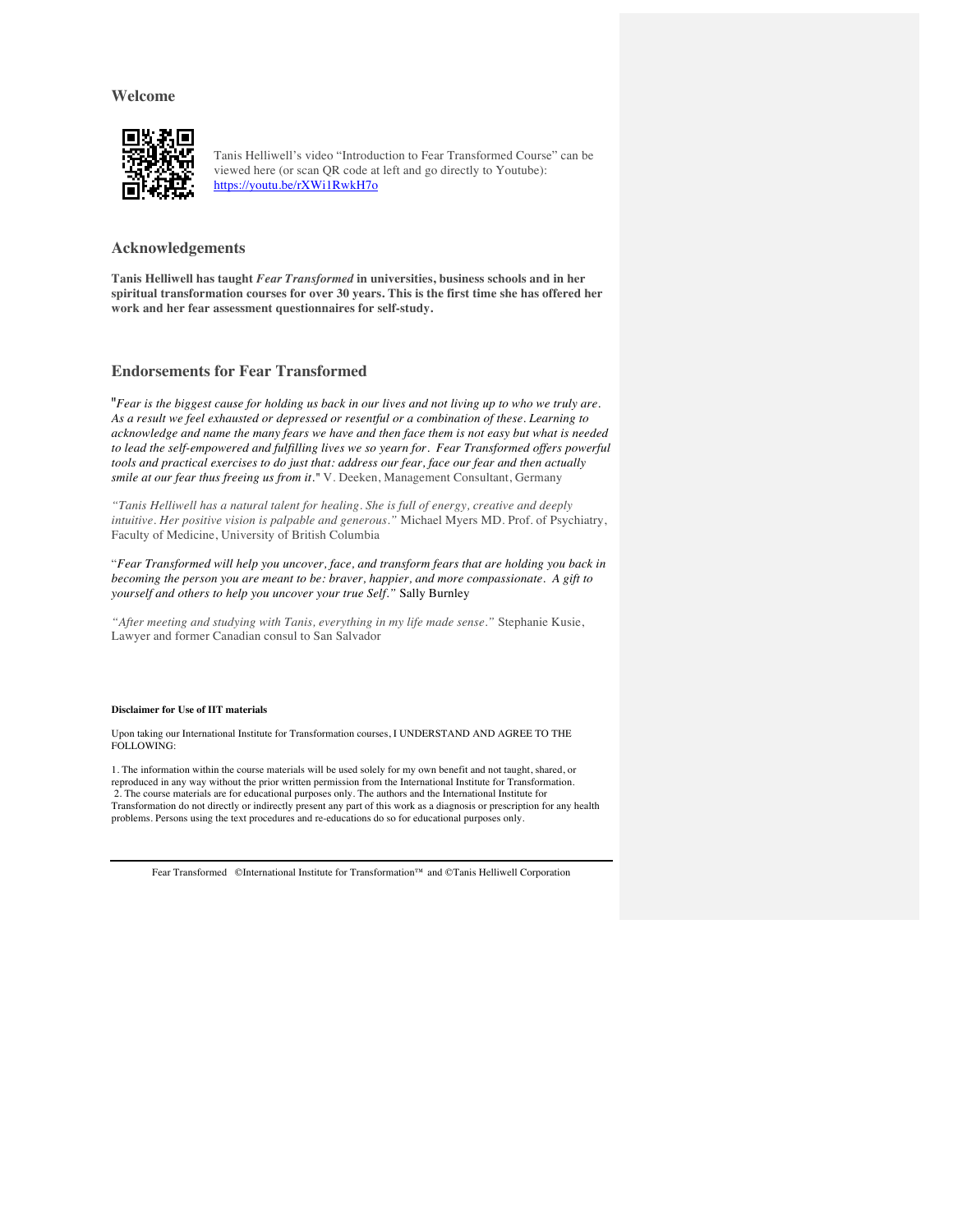### **Welcome**



Tanis Helliwell's video "Introduction to Fear Transformed Course" can be viewed here (or scan QR code at left and go directly to Youtube): https://youtu.be/rXWi1RwkH7o

### **Acknowledgements**

**Tanis Helliwell has taught** *Fear Transformed* **in universities, business schools and in her spiritual transformation courses for over 30 years. This is the first time she has offered her work and her fear assessment questionnaires for self-study.**

### **Endorsements for Fear Transformed**

"*Fear is the biggest cause for holding us back in our lives and not living up to who we truly are. As a result we feel exhausted or depressed or resentful or a combination of these. Learning to acknowledge and name the many fears we have and then face them is not easy but what is needed to lead the self-empowered and fulfilling lives we so yearn for. Fear Transformed offers powerful tools and practical exercises to do just that: address our fear, face our fear and then actually smile at our fear thus freeing us from it."* V. Deeken, Management Consultant, Germany

*"Tanis Helliwell has a natural talent for healing. She is full of energy, creative and deeply intuitive. Her positive vision is palpable and generous."* Michael Myers MD. Prof. of Psychiatry, Faculty of Medicine, University of British Columbia

"*Fear Transformed will help you uncover, face, and transform fears that are holding you back in becoming the person you are meant to be: braver, happier, and more compassionate. A gift to yourself and others to help you uncover your true Self."* Sally Burnley

*"After meeting and studying with Tanis, everything in my life made sense."* Stephanie Kusie, Lawyer and former Canadian consul to San Salvador

### **Disclaimer for Use of IIT materials**

Upon taking our International Institute for Transformation courses, I UNDERSTAND AND AGREE TO THE FOLLOWING:

1. The information within the course materials will be used solely for my own benefit and not taught, shared, or reproduced in any way without the prior written permission from the International Institute for Transformation. 2. The course materials are for educational purposes only. The authors and the International Institute for Transformation do not directly or indirectly present any part of this work as a diagnosis or prescription for any health problems. Persons using the text procedures and re-educations do so for educational purposes only.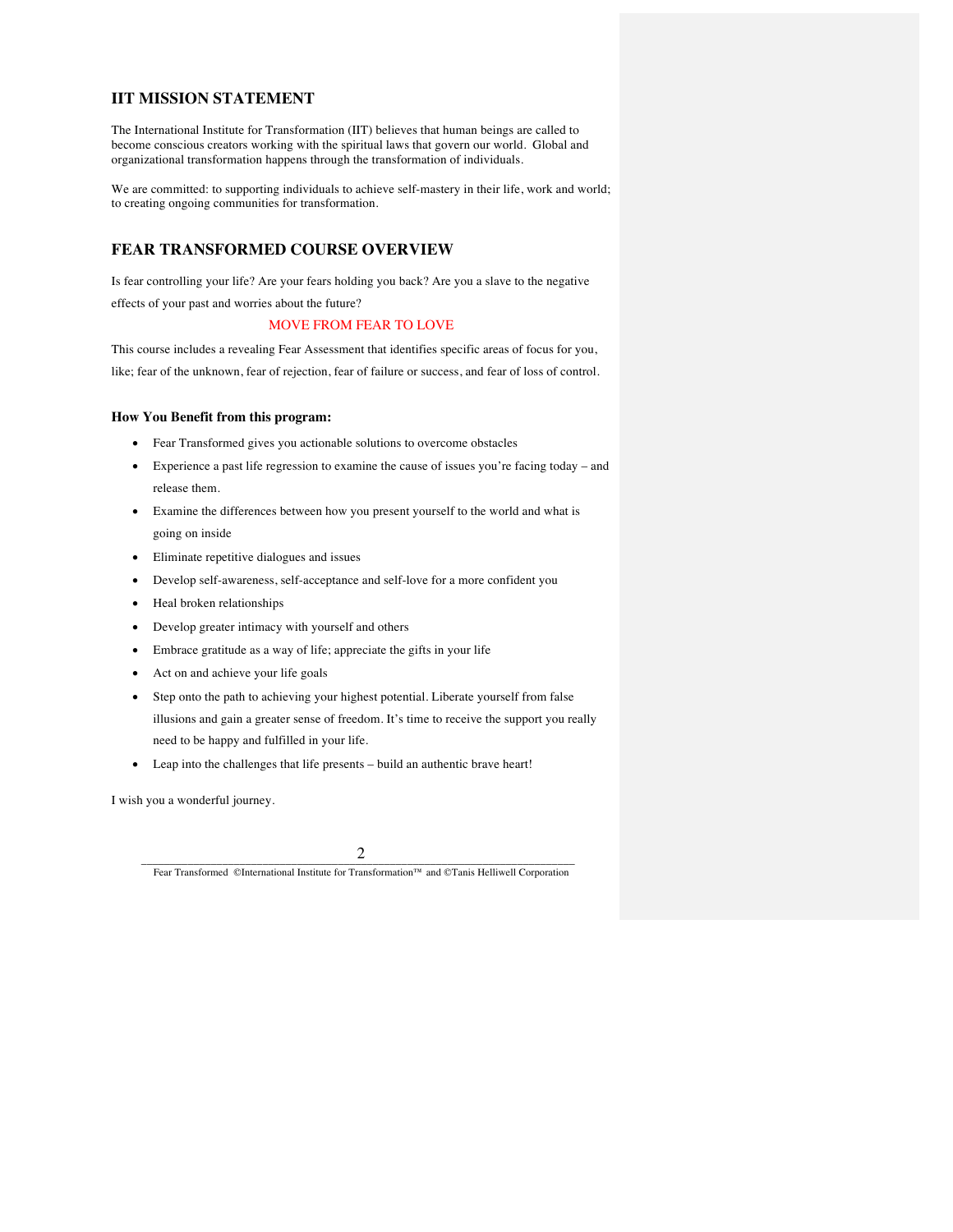### **IIT MISSION STATEMENT**

The International Institute for Transformation (IIT) believes that human beings are called to become conscious creators working with the spiritual laws that govern our world. Global and organizational transformation happens through the transformation of individuals.

We are committed: to supporting individuals to achieve self-mastery in their life, work and world; to creating ongoing communities for transformation.

### **FEAR TRANSFORMED COURSE OVERVIEW**

Is fear controlling your life? Are your fears holding you back? Are you a slave to the negative effects of your past and worries about the future?

### MOVE FROM FEAR TO LOVE

This course includes a revealing Fear Assessment that identifies specific areas of focus for you, like; fear of the unknown, fear of rejection, fear of failure or success, and fear of loss of control.

### **How You Benefit from this program:**

- Fear Transformed gives you actionable solutions to overcome obstacles
- Experience a past life regression to examine the cause of issues you're facing today and release them.
- Examine the differences between how you present yourself to the world and what is going on inside
- Eliminate repetitive dialogues and issues
- Develop self-awareness, self-acceptance and self-love for a more confident you
- Heal broken relationships
- Develop greater intimacy with yourself and others
- Embrace gratitude as a way of life; appreciate the gifts in your life
- Act on and achieve your life goals
- Step onto the path to achieving your highest potential. Liberate yourself from false illusions and gain a greater sense of freedom. It's time to receive the support you really need to be happy and fulfilled in your life.
- Leap into the challenges that life presents build an authentic brave heart!

I wish you a wonderful journey.

2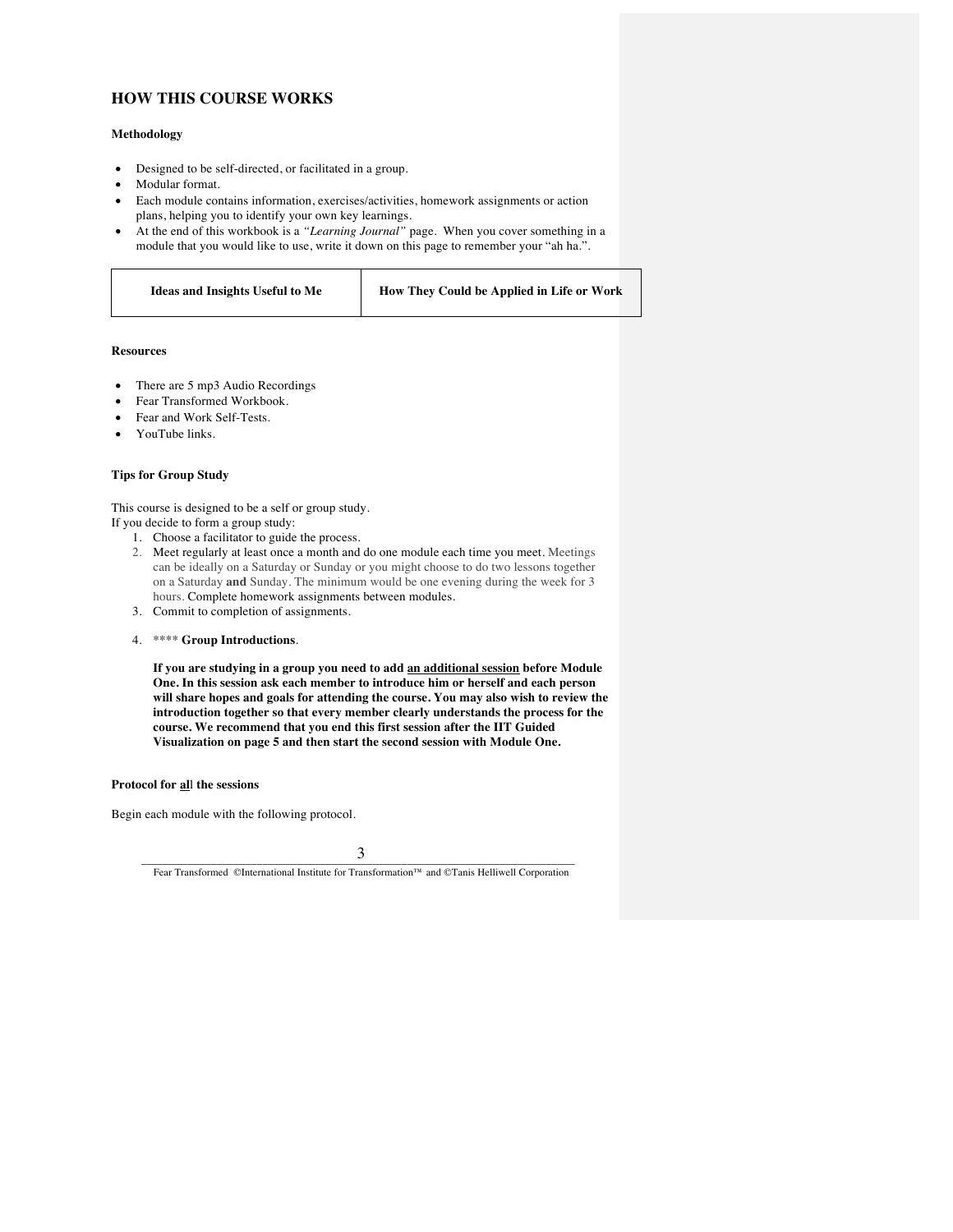### **HOW THIS COURSE WORKS**

### **Methodology**

- Designed to be self-directed, or facilitated in a group.
- Modular format.
- Each module contains information, exercises/activities, homework assignments or action plans, helping you to identify your own key learnings.
- At the end of this workbook is a *"Learning Journal"* page. When you cover something in a module that you would like to use, write it down on this page to remember your "ah ha.".

**Ideas and Insights Useful to Me How They Could be Applied in Life or Work**

### **Resources**

- There are 5 mp3 Audio Recordings
- Fear Transformed Workbook.
- Fear and Work Self-Tests.
- YouTube links.

### **Tips for Group Study**

This course is designed to be a self or group study.

- If you decide to form a group study:
	- 1. Choose a facilitator to guide the process.
	- 2. Meet regularly at least once a month and do one module each time you meet. Meetings can be ideally on a Saturday or Sunday or you might choose to do two lessons together on a Saturday **and** Sunday. The minimum would be one evening during the week for 3 hours. Complete homework assignments between modules.
	- 3. Commit to completion of assignments.
	- 4. \*\*\*\* **Group Introductions**.

**If you are studying in a group you need to add an additional session before Module One. In this session ask each member to introduce him or herself and each person will share hopes and goals for attending the course. You may also wish to review the introduction together so that every member clearly understands the process for the course. We recommend that you end this first session after the IIT Guided Visualization on page 5 and then start the second session with Module One.** 

### **Protocol for al**l **the sessions**

Begin each module with the following protocol.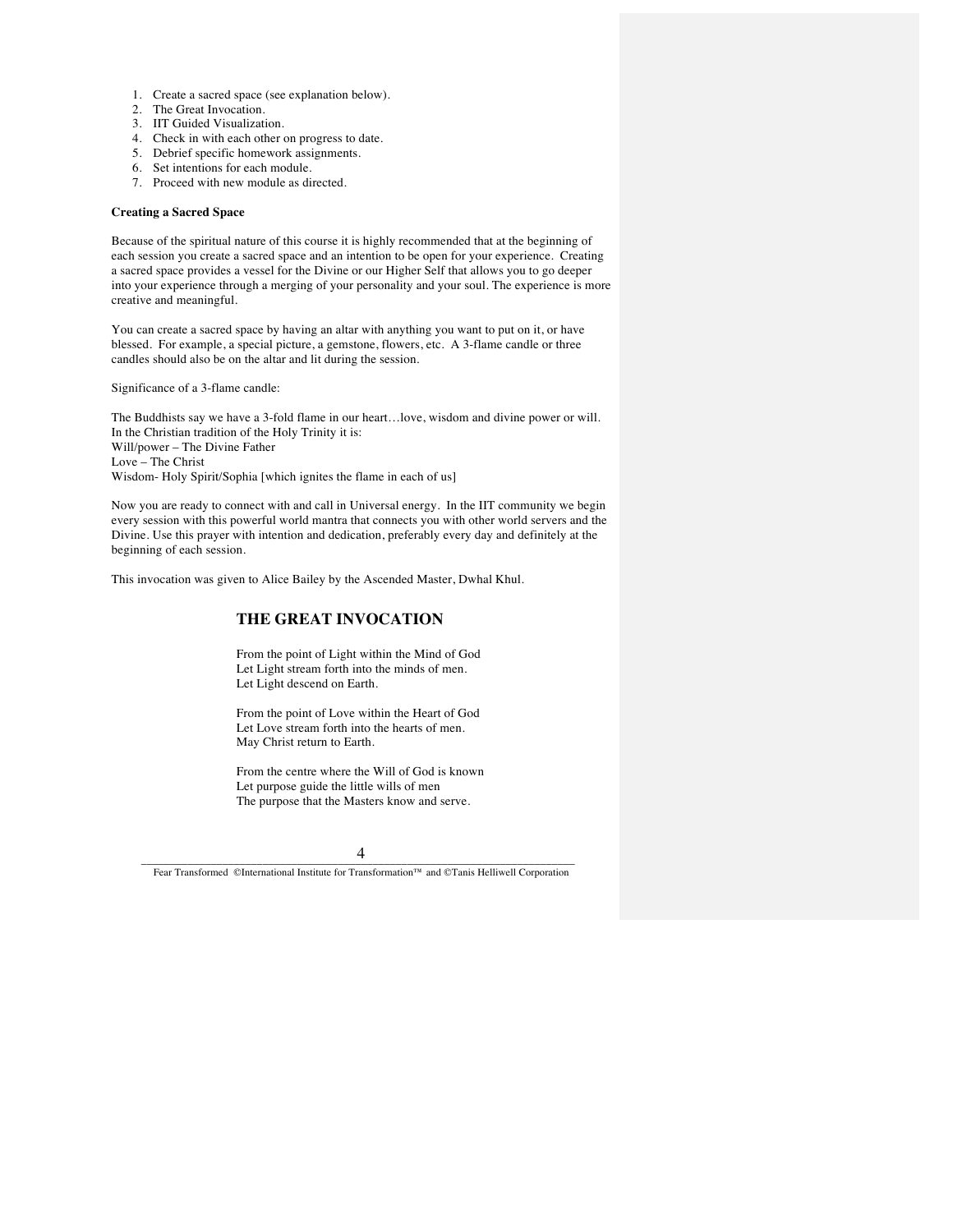- 1. Create a sacred space (see explanation below).
- 2. The Great Invocation.
- 3. IIT Guided Visualization.
- 4. Check in with each other on progress to date.
- 5. Debrief specific homework assignments.
- 6. Set intentions for each module.
- 7. Proceed with new module as directed.

### **Creating a Sacred Space**

Because of the spiritual nature of this course it is highly recommended that at the beginning of each session you create a sacred space and an intention to be open for your experience. Creating a sacred space provides a vessel for the Divine or our Higher Self that allows you to go deeper into your experience through a merging of your personality and your soul. The experience is more creative and meaningful.

You can create a sacred space by having an altar with anything you want to put on it, or have blessed. For example, a special picture, a gemstone, flowers, etc. A 3-flame candle or three candles should also be on the altar and lit during the session.

Significance of a 3-flame candle:

The Buddhists say we have a 3-fold flame in our heart…love, wisdom and divine power or will. In the Christian tradition of the Holy Trinity it is: Will/power – The Divine Father Love – The Christ Wisdom- Holy Spirit/Sophia [which ignites the flame in each of us]

Now you are ready to connect with and call in Universal energy. In the IIT community we begin every session with this powerful world mantra that connects you with other world servers and the Divine. Use this prayer with intention and dedication, preferably every day and definitely at the beginning of each session.

This invocation was given to Alice Bailey by the Ascended Master, Dwhal Khul.

### **THE GREAT INVOCATION**

From the point of Light within the Mind of God Let Light stream forth into the minds of men. Let Light descend on Earth.

From the point of Love within the Heart of God Let Love stream forth into the hearts of men. May Christ return to Earth.

From the centre where the Will of God is known Let purpose guide the little wills of men The purpose that the Masters know and serve.

4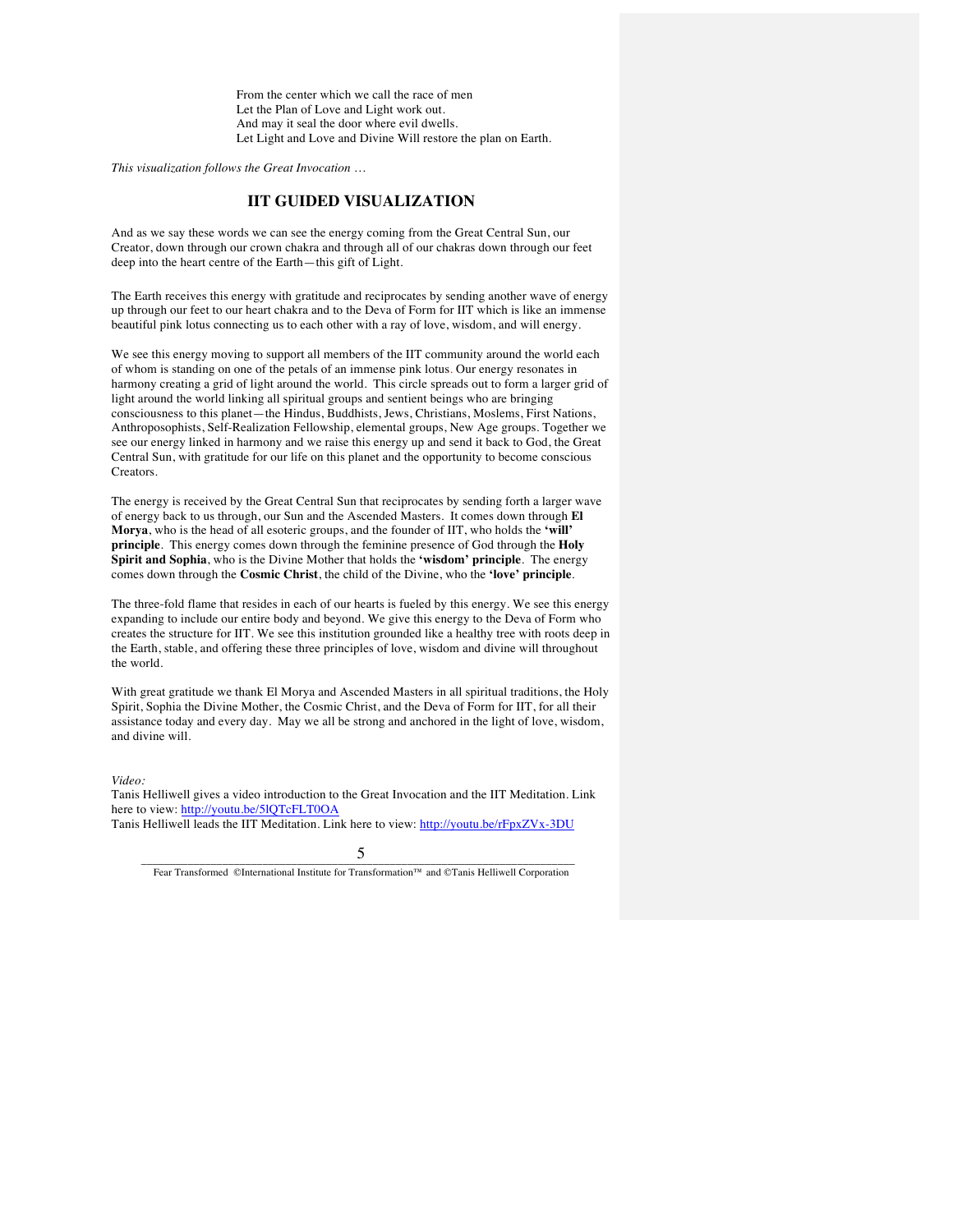From the center which we call the race of men Let the Plan of Love and Light work out. And may it seal the door where evil dwells. Let Light and Love and Divine Will restore the plan on Earth.

*This visualization follows the Great Invocation* …

### **IIT GUIDED VISUALIZATION**

And as we say these words we can see the energy coming from the Great Central Sun, our Creator, down through our crown chakra and through all of our chakras down through our feet deep into the heart centre of the Earth—this gift of Light.

The Earth receives this energy with gratitude and reciprocates by sending another wave of energy up through our feet to our heart chakra and to the Deva of Form for IIT which is like an immense beautiful pink lotus connecting us to each other with a ray of love, wisdom, and will energy.

We see this energy moving to support all members of the IIT community around the world each of whom is standing on one of the petals of an immense pink lotus*.* Our energy resonates in harmony creating a grid of light around the world. This circle spreads out to form a larger grid of light around the world linking all spiritual groups and sentient beings who are bringing consciousness to this planet—the Hindus, Buddhists, Jews, Christians, Moslems, First Nations, Anthroposophists, Self-Realization Fellowship, elemental groups, New Age groups. Together we see our energy linked in harmony and we raise this energy up and send it back to God, the Great Central Sun, with gratitude for our life on this planet and the opportunity to become conscious Creators.

The energy is received by the Great Central Sun that reciprocates by sending forth a larger wave of energy back to us through, our Sun and the Ascended Masters. It comes down through **El Morya**, who is the head of all esoteric groups, and the founder of IIT, who holds the **'will' principle**. This energy comes down through the feminine presence of God through the **Holy Spirit and Sophia**, who is the Divine Mother that holds the **'wisdom' principle**. The energy comes down through the **Cosmic Christ**, the child of the Divine, who the **'love' principle**.

The three-fold flame that resides in each of our hearts is fueled by this energy. We see this energy expanding to include our entire body and beyond. We give this energy to the Deva of Form who creates the structure for IIT. We see this institution grounded like a healthy tree with roots deep in the Earth, stable, and offering these three principles of love, wisdom and divine will throughout the world.

With great gratitude we thank El Morya and Ascended Masters in all spiritual traditions, the Holy Spirit, Sophia the Divine Mother, the Cosmic Christ, and the Deva of Form for IIT, for all their assistance today and every day. May we all be strong and anchored in the light of love, wisdom, and divine will.

*Video:* 

Tanis Helliwell gives a video introduction to the Great Invocation and the IIT Meditation. Link here to view: http://youtu.be/5lQTcFLT0OA

Tanis Helliwell leads the IIT Meditation. Link here to view: http://youtu.be/rFpxZVx-3DU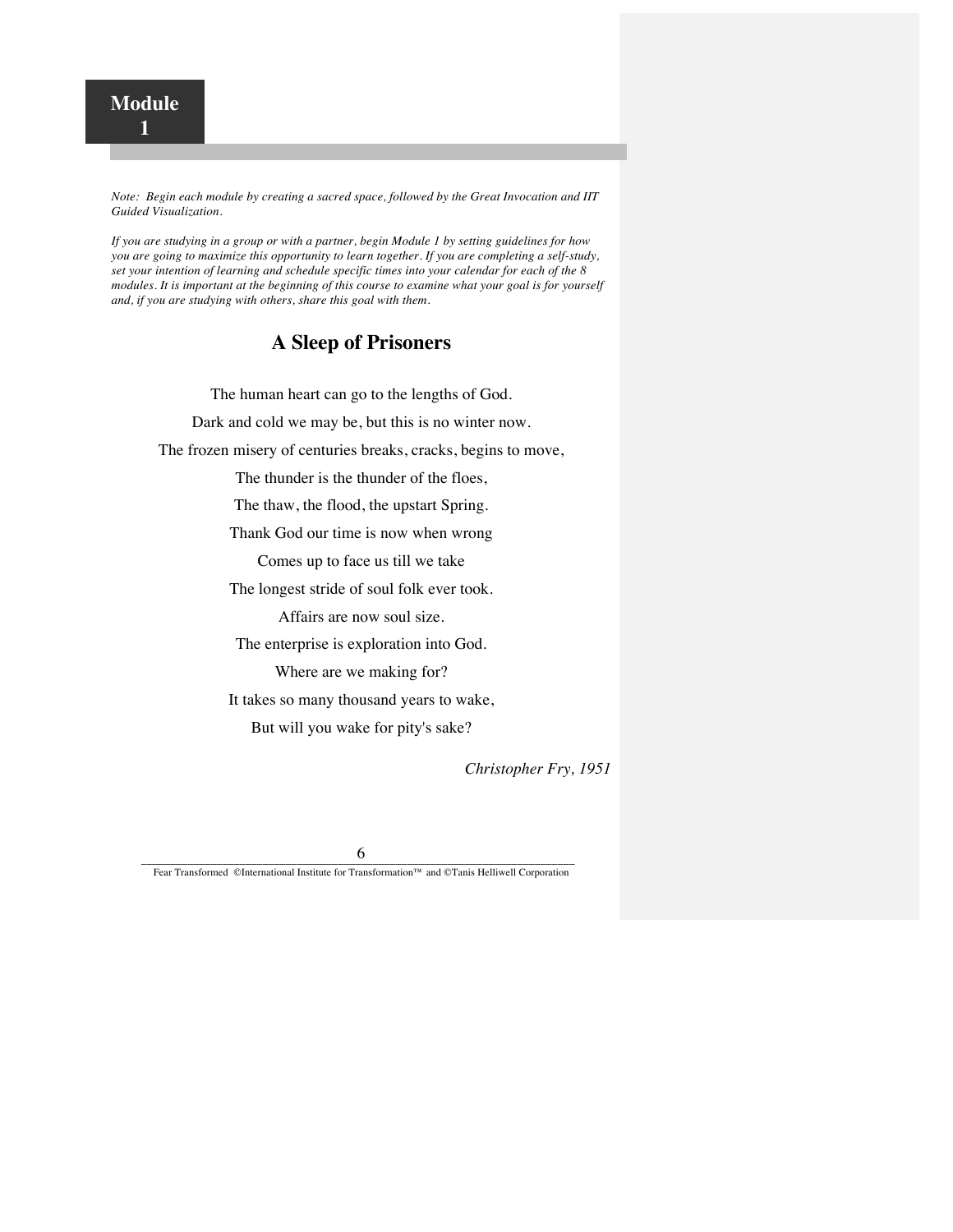*Note: Begin each module by creating a sacred space, followed by the Great Invocation and IIT Guided Visualization.*

*If you are studying in a group or with a partner, begin Module 1 by setting guidelines for how you are going to maximize this opportunity to learn together. If you are completing a self-study, set your intention of learning and schedule specific times into your calendar for each of the 8 modules. It is important at the beginning of this course to examine what your goal is for yourself and, if you are studying with others, share this goal with them.*

# **A Sleep of Prisoners**

The human heart can go to the lengths of God. Dark and cold we may be, but this is no winter now. The frozen misery of centuries breaks, cracks, begins to move, The thunder is the thunder of the floes, The thaw, the flood, the upstart Spring. Thank God our time is now when wrong Comes up to face us till we take The longest stride of soul folk ever took. Affairs are now soul size. The enterprise is exploration into God. Where are we making for? It takes so many thousand years to wake, But will you wake for pity's sake?

*Christopher Fry, 1951*

6

\_\_\_\_\_\_\_\_\_\_\_\_\_\_\_\_\_\_\_\_\_\_\_\_\_\_\_\_\_\_\_\_\_\_\_\_\_\_\_\_\_\_\_\_\_\_\_\_\_\_\_\_\_\_\_\_\_\_\_\_\_\_\_\_\_\_\_\_\_\_\_\_\_\_\_ Fear Transformed ©International Institute for Transformation™ and ©Tanis Helliwell Corporation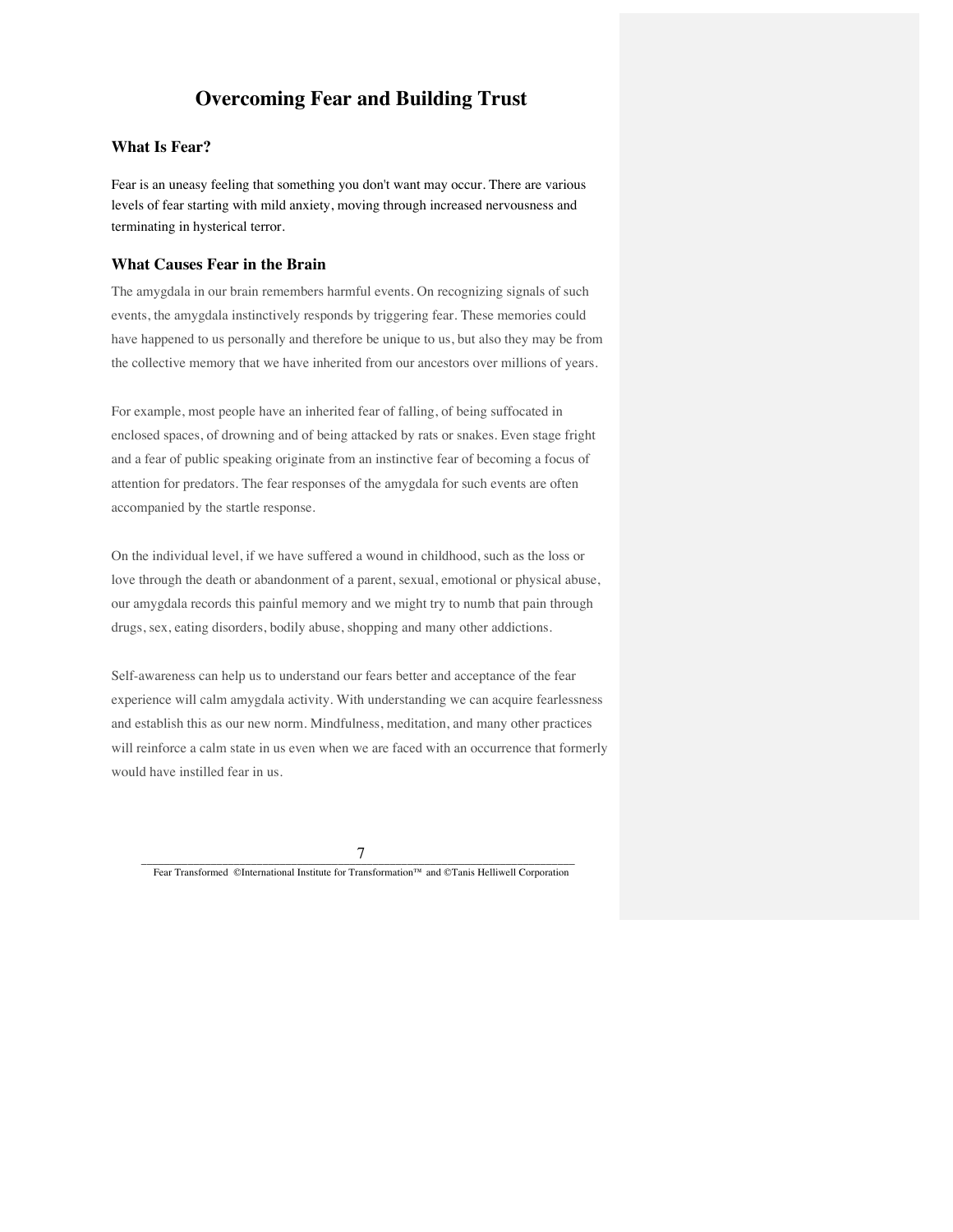# **Overcoming Fear and Building Trust**

### **What Is Fear?**

Fear is an uneasy feeling that something you don't want may occur. There are various levels of fear starting with mild anxiety, moving through increased nervousness and terminating in hysterical terror.

### **What Causes Fear in the Brain**

The amygdala in our brain remembers harmful events. On recognizing signals of such events, the amygdala instinctively responds by triggering fear. These memories could have happened to us personally and therefore be unique to us, but also they may be from the collective memory that we have inherited from our ancestors over millions of years.

For example, most people have an inherited fear of falling, of being suffocated in enclosed spaces, of drowning and of being attacked by rats or snakes. Even stage fright and a fear of public speaking originate from an instinctive fear of becoming a focus of attention for predators. The fear responses of the amygdala for such events are often accompanied by the startle response.

On the individual level, if we have suffered a wound in childhood, such as the loss or love through the death or abandonment of a parent, sexual, emotional or physical abuse, our amygdala records this painful memory and we might try to numb that pain through drugs, sex, eating disorders, bodily abuse, shopping and many other addictions.

Self-awareness can help us to understand our fears better and acceptance of the fear experience will calm amygdala activity. With understanding we can acquire fearlessness and establish this as our new norm. Mindfulness, meditation, and many other practices will reinforce a calm state in us even when we are faced with an occurrence that formerly would have instilled fear in us.

7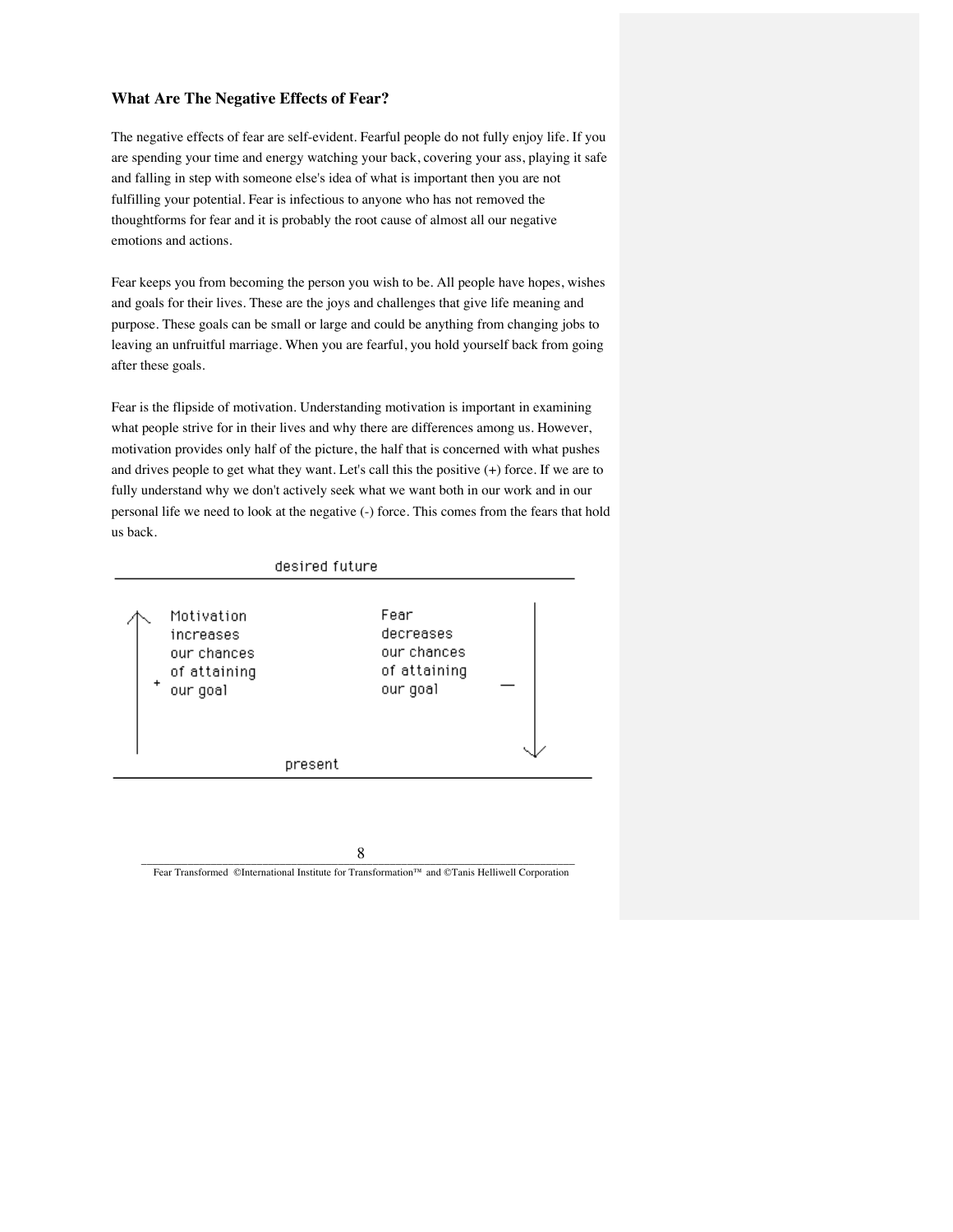### **What Are The Negative Effects of Fear?**

The negative effects of fear are self-evident. Fearful people do not fully enjoy life. If you are spending your time and energy watching your back, covering your ass, playing it safe and falling in step with someone else's idea of what is important then you are not fulfilling your potential. Fear is infectious to anyone who has not removed the thoughtforms for fear and it is probably the root cause of almost all our negative emotions and actions.

Fear keeps you from becoming the person you wish to be. All people have hopes, wishes and goals for their lives. These are the joys and challenges that give life meaning and purpose. These goals can be small or large and could be anything from changing jobs to leaving an unfruitful marriage. When you are fearful, you hold yourself back from going after these goals.

Fear is the flipside of motivation. Understanding motivation is important in examining what people strive for in their lives and why there are differences among us. However, motivation provides only half of the picture, the half that is concerned with what pushes and drives people to get what they want. Let's call this the positive (+) force. If we are to fully understand why we don't actively seek what we want both in our work and in our personal life we need to look at the negative (-) force. This comes from the fears that hold us back.

|           |                                                                    | desired future |                                                              |  |
|-----------|--------------------------------------------------------------------|----------------|--------------------------------------------------------------|--|
| $\ddot{}$ | Motivation<br>increases<br>our chances<br>of attaining<br>our goal | present        | Fear<br>decreases<br>our chances<br>of attaining<br>our goal |  |
|           |                                                                    |                |                                                              |  |

8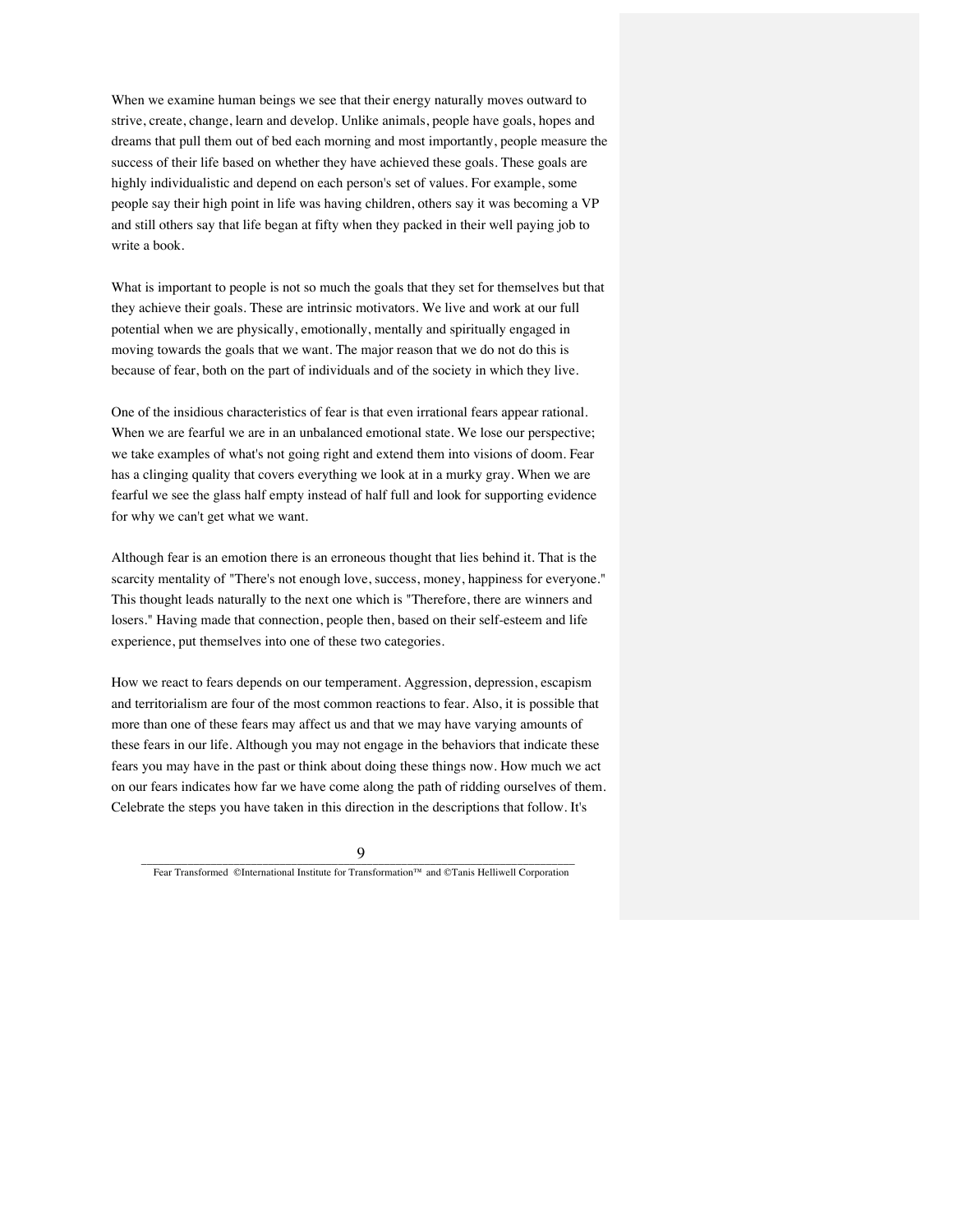When we examine human beings we see that their energy naturally moves outward to strive, create, change, learn and develop. Unlike animals, people have goals, hopes and dreams that pull them out of bed each morning and most importantly, people measure the success of their life based on whether they have achieved these goals. These goals are highly individualistic and depend on each person's set of values. For example, some people say their high point in life was having children, others say it was becoming a VP and still others say that life began at fifty when they packed in their well paying job to write a book.

What is important to people is not so much the goals that they set for themselves but that they achieve their goals. These are intrinsic motivators. We live and work at our full potential when we are physically, emotionally, mentally and spiritually engaged in moving towards the goals that we want. The major reason that we do not do this is because of fear, both on the part of individuals and of the society in which they live.

One of the insidious characteristics of fear is that even irrational fears appear rational. When we are fearful we are in an unbalanced emotional state. We lose our perspective; we take examples of what's not going right and extend them into visions of doom. Fear has a clinging quality that covers everything we look at in a murky gray. When we are fearful we see the glass half empty instead of half full and look for supporting evidence for why we can't get what we want.

Although fear is an emotion there is an erroneous thought that lies behind it. That is the scarcity mentality of "There's not enough love, success, money, happiness for everyone." This thought leads naturally to the next one which is "Therefore, there are winners and losers." Having made that connection, people then, based on their self-esteem and life experience, put themselves into one of these two categories.

How we react to fears depends on our temperament. Aggression, depression, escapism and territorialism are four of the most common reactions to fear. Also, it is possible that more than one of these fears may affect us and that we may have varying amounts of these fears in our life. Although you may not engage in the behaviors that indicate these fears you may have in the past or think about doing these things now. How much we act on our fears indicates how far we have come along the path of ridding ourselves of them. Celebrate the steps you have taken in this direction in the descriptions that follow. It's

9

\_\_\_\_\_\_\_\_\_\_\_\_\_\_\_\_\_\_\_\_\_\_\_\_\_\_\_\_\_\_\_\_\_\_\_\_\_\_\_\_\_\_\_\_\_\_\_\_\_\_\_\_\_\_\_\_\_\_\_\_\_\_\_\_\_\_\_\_\_\_\_\_\_\_\_ Fear Transformed ©International Institute for Transformation™ and ©Tanis Helliwell Corporation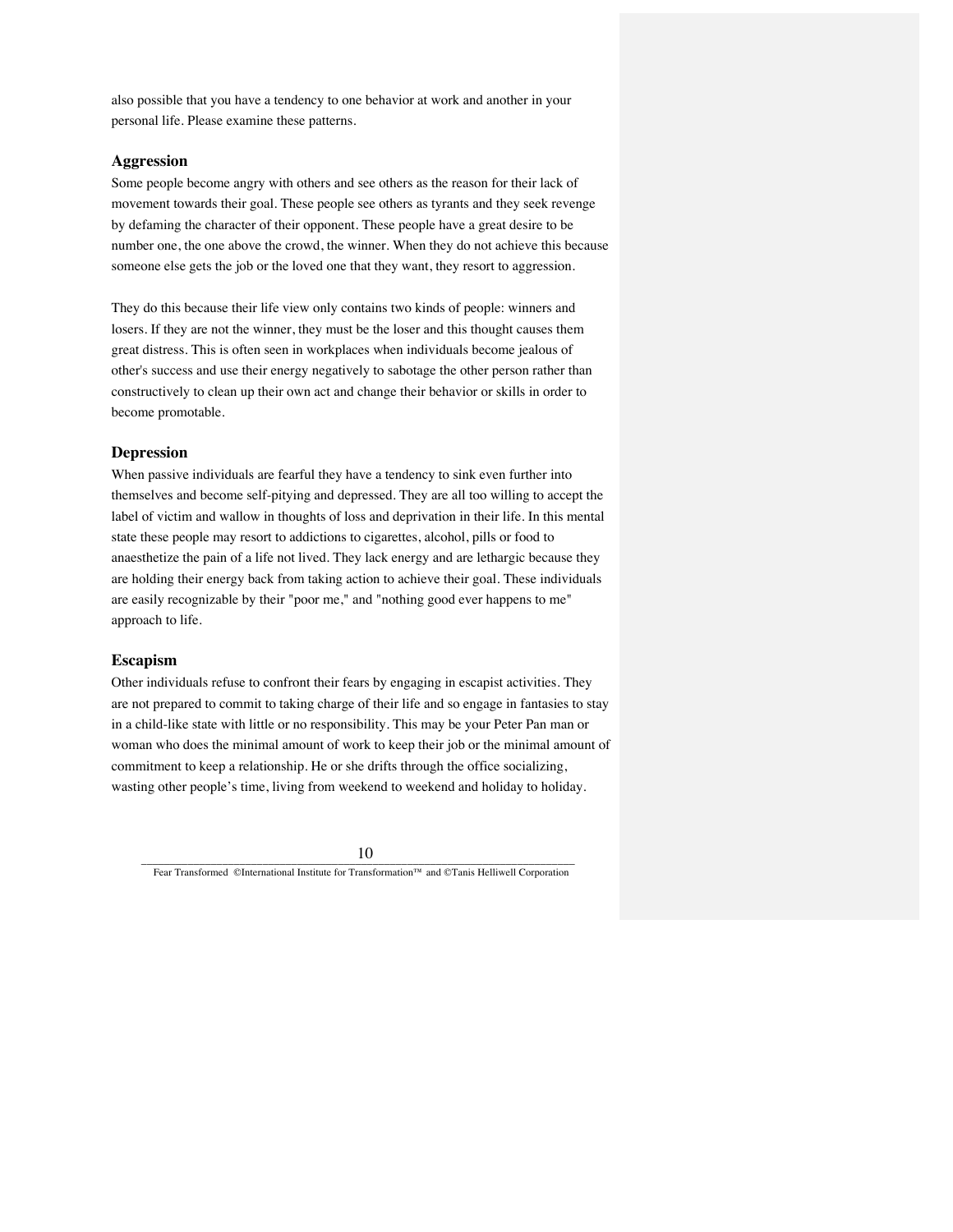also possible that you have a tendency to one behavior at work and another in your personal life. Please examine these patterns.

### **Aggression**

Some people become angry with others and see others as the reason for their lack of movement towards their goal. These people see others as tyrants and they seek revenge by defaming the character of their opponent. These people have a great desire to be number one, the one above the crowd, the winner. When they do not achieve this because someone else gets the job or the loved one that they want, they resort to aggression.

They do this because their life view only contains two kinds of people: winners and losers. If they are not the winner, they must be the loser and this thought causes them great distress. This is often seen in workplaces when individuals become jealous of other's success and use their energy negatively to sabotage the other person rather than constructively to clean up their own act and change their behavior or skills in order to become promotable.

### **Depression**

When passive individuals are fearful they have a tendency to sink even further into themselves and become self-pitying and depressed. They are all too willing to accept the label of victim and wallow in thoughts of loss and deprivation in their life. In this mental state these people may resort to addictions to cigarettes, alcohol, pills or food to anaesthetize the pain of a life not lived. They lack energy and are lethargic because they are holding their energy back from taking action to achieve their goal. These individuals are easily recognizable by their "poor me," and "nothing good ever happens to me" approach to life.

### **Escapism**

Other individuals refuse to confront their fears by engaging in escapist activities. They are not prepared to commit to taking charge of their life and so engage in fantasies to stay in a child-like state with little or no responsibility. This may be your Peter Pan man or woman who does the minimal amount of work to keep their job or the minimal amount of commitment to keep a relationship. He or she drifts through the office socializing, wasting other people's time, living from weekend to weekend and holiday to holiday.

10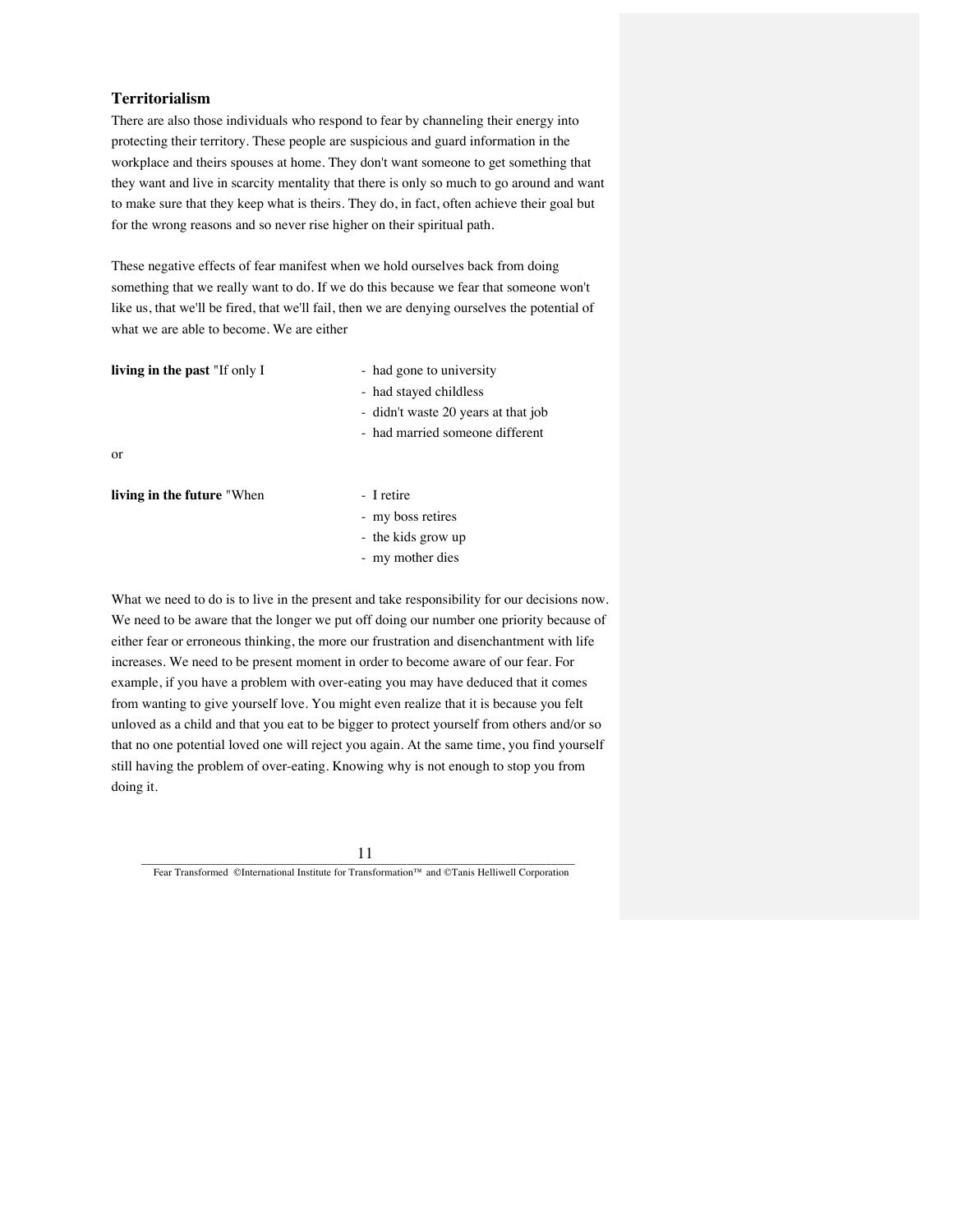### **Territorialism**

There are also those individuals who respond to fear by channeling their energy into protecting their territory. These people are suspicious and guard information in the workplace and theirs spouses at home. They don't want someone to get something that they want and live in scarcity mentality that there is only so much to go around and want to make sure that they keep what is theirs. They do, in fact, often achieve their goal but for the wrong reasons and so never rise higher on their spiritual path.

These negative effects of fear manifest when we hold ourselves back from doing something that we really want to do. If we do this because we fear that someone won't like us, that we'll be fired, that we'll fail, then we are denying ourselves the potential of what we are able to become. We are either

| <b>living in the past "If only I</b> | - had gone to university            |
|--------------------------------------|-------------------------------------|
|                                      | - had stayed childless              |
|                                      | - didn't waste 20 years at that job |
|                                      | - had married someone different     |
| or                                   |                                     |
|                                      |                                     |
| living in the future "When           | - I retire                          |
|                                      |                                     |

- my boss retires
- the kids grow up
- my mother dies

What we need to do is to live in the present and take responsibility for our decisions now. We need to be aware that the longer we put off doing our number one priority because of either fear or erroneous thinking, the more our frustration and disenchantment with life increases. We need to be present moment in order to become aware of our fear. For example, if you have a problem with over-eating you may have deduced that it comes from wanting to give yourself love. You might even realize that it is because you felt unloved as a child and that you eat to be bigger to protect yourself from others and/or so that no one potential loved one will reject you again. At the same time, you find yourself still having the problem of over-eating. Knowing why is not enough to stop you from doing it.

11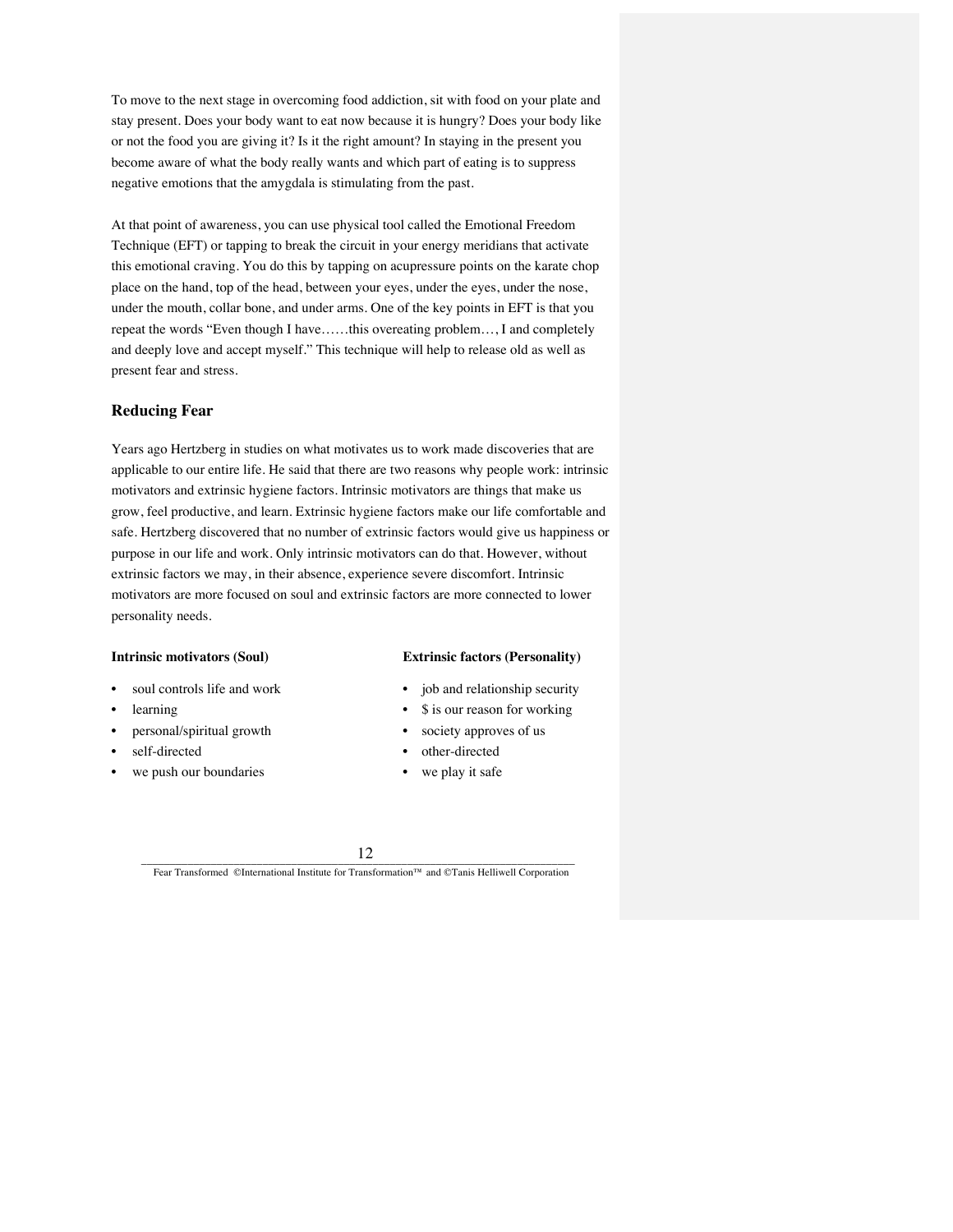To move to the next stage in overcoming food addiction, sit with food on your plate and stay present. Does your body want to eat now because it is hungry? Does your body like or not the food you are giving it? Is it the right amount? In staying in the present you become aware of what the body really wants and which part of eating is to suppress negative emotions that the amygdala is stimulating from the past.

At that point of awareness, you can use physical tool called the Emotional Freedom Technique (EFT) or tapping to break the circuit in your energy meridians that activate this emotional craving. You do this by tapping on acupressure points on the karate chop place on the hand, top of the head, between your eyes, under the eyes, under the nose, under the mouth, collar bone, and under arms. One of the key points in EFT is that you repeat the words "Even though I have……this overeating problem…, I and completely and deeply love and accept myself." This technique will help to release old as well as present fear and stress.

### **Reducing Fear**

Years ago Hertzberg in studies on what motivates us to work made discoveries that are applicable to our entire life. He said that there are two reasons why people work: intrinsic motivators and extrinsic hygiene factors. Intrinsic motivators are things that make us grow, feel productive, and learn. Extrinsic hygiene factors make our life comfortable and safe. Hertzberg discovered that no number of extrinsic factors would give us happiness or purpose in our life and work. Only intrinsic motivators can do that. However, without extrinsic factors we may, in their absence, experience severe discomfort. Intrinsic motivators are more focused on soul and extrinsic factors are more connected to lower personality needs.

### **Intrinsic motivators (Soul) Extrinsic factors (Personality)**

- 
- 
- 
- 
- we push our boundaries we play it safe

- soul controls life and work job and relationship security
- earning \$ is our reason for working
- personal/spiritual growth society approves of us
- self-directed other-directed
	-

12

\_\_\_\_\_\_\_\_\_\_\_\_\_\_\_\_\_\_\_\_\_\_\_\_\_\_\_\_\_\_\_\_\_\_\_\_\_\_\_\_\_\_\_\_\_\_\_\_\_\_\_\_\_\_\_\_\_\_\_\_\_\_\_\_\_\_\_\_\_\_\_\_\_\_\_ Fear Transformed ©International Institute for Transformation™ and ©Tanis Helliwell Corporation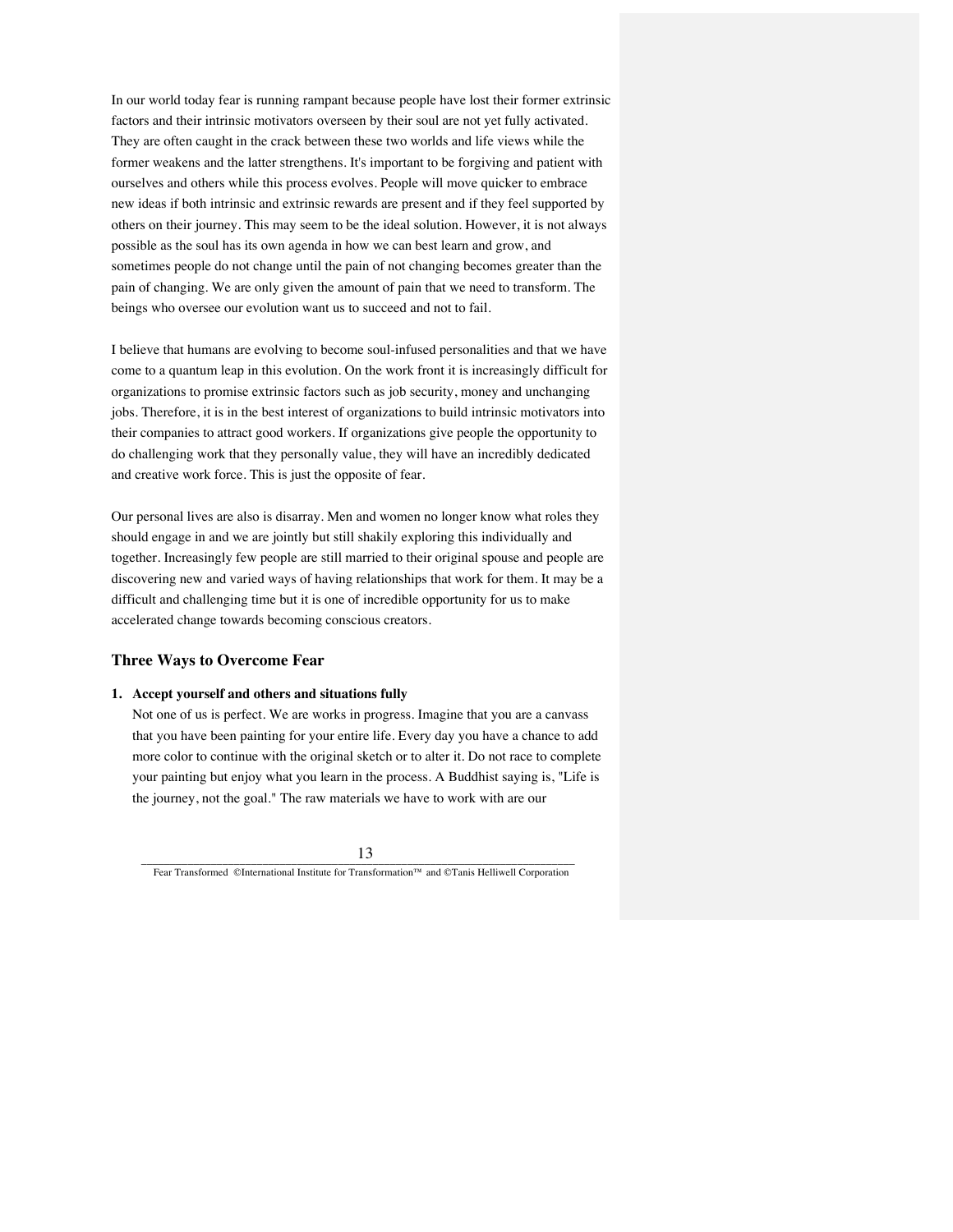In our world today fear is running rampant because people have lost their former extrinsic factors and their intrinsic motivators overseen by their soul are not yet fully activated. They are often caught in the crack between these two worlds and life views while the former weakens and the latter strengthens. It's important to be forgiving and patient with ourselves and others while this process evolves. People will move quicker to embrace new ideas if both intrinsic and extrinsic rewards are present and if they feel supported by others on their journey. This may seem to be the ideal solution. However, it is not always possible as the soul has its own agenda in how we can best learn and grow, and sometimes people do not change until the pain of not changing becomes greater than the pain of changing. We are only given the amount of pain that we need to transform. The beings who oversee our evolution want us to succeed and not to fail.

I believe that humans are evolving to become soul-infused personalities and that we have come to a quantum leap in this evolution. On the work front it is increasingly difficult for organizations to promise extrinsic factors such as job security, money and unchanging jobs. Therefore, it is in the best interest of organizations to build intrinsic motivators into their companies to attract good workers. If organizations give people the opportunity to do challenging work that they personally value, they will have an incredibly dedicated and creative work force. This is just the opposite of fear.

Our personal lives are also is disarray. Men and women no longer know what roles they should engage in and we are jointly but still shakily exploring this individually and together. Increasingly few people are still married to their original spouse and people are discovering new and varied ways of having relationships that work for them. It may be a difficult and challenging time but it is one of incredible opportunity for us to make accelerated change towards becoming conscious creators.

### **Three Ways to Overcome Fear**

### **1. Accept yourself and others and situations fully**

Not one of us is perfect. We are works in progress. Imagine that you are a canvass that you have been painting for your entire life. Every day you have a chance to add more color to continue with the original sketch or to alter it. Do not race to complete your painting but enjoy what you learn in the process. A Buddhist saying is, "Life is the journey, not the goal." The raw materials we have to work with are our

13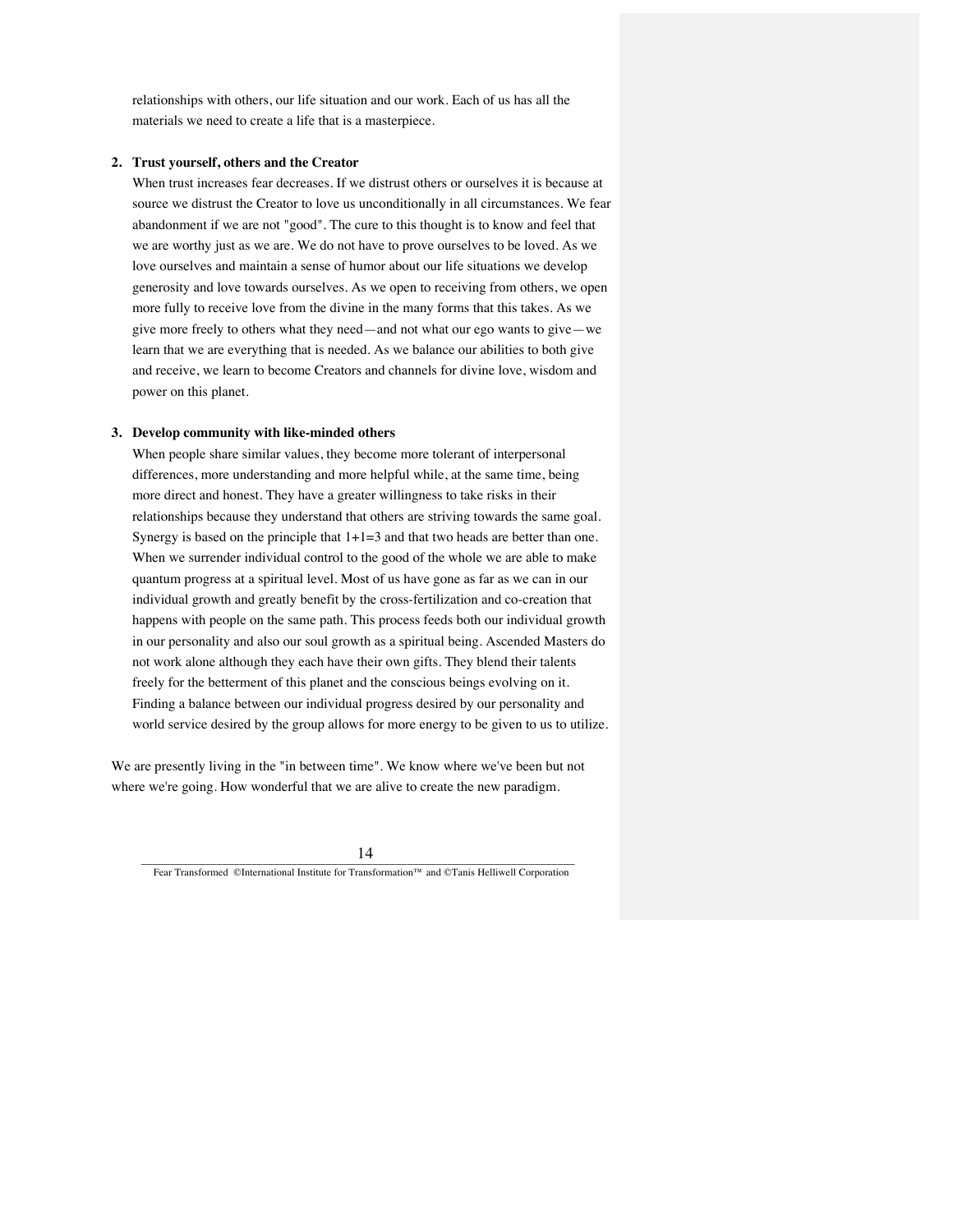relationships with others, our life situation and our work. Each of us has all the materials we need to create a life that is a masterpiece.

### **2. Trust yourself, others and the Creator**

When trust increases fear decreases. If we distrust others or ourselves it is because at source we distrust the Creator to love us unconditionally in all circumstances. We fear abandonment if we are not "good". The cure to this thought is to know and feel that we are worthy just as we are. We do not have to prove ourselves to be loved. As we love ourselves and maintain a sense of humor about our life situations we develop generosity and love towards ourselves. As we open to receiving from others, we open more fully to receive love from the divine in the many forms that this takes. As we give more freely to others what they need—and not what our ego wants to give—we learn that we are everything that is needed. As we balance our abilities to both give and receive, we learn to become Creators and channels for divine love, wisdom and power on this planet.

### **3. Develop community with like-minded others**

When people share similar values, they become more tolerant of interpersonal differences, more understanding and more helpful while, at the same time, being more direct and honest. They have a greater willingness to take risks in their relationships because they understand that others are striving towards the same goal. Synergy is based on the principle that  $1+1=3$  and that two heads are better than one. When we surrender individual control to the good of the whole we are able to make quantum progress at a spiritual level. Most of us have gone as far as we can in our individual growth and greatly benefit by the cross-fertilization and co-creation that happens with people on the same path. This process feeds both our individual growth in our personality and also our soul growth as a spiritual being. Ascended Masters do not work alone although they each have their own gifts. They blend their talents freely for the betterment of this planet and the conscious beings evolving on it. Finding a balance between our individual progress desired by our personality and world service desired by the group allows for more energy to be given to us to utilize.

We are presently living in the "in between time". We know where we've been but not where we're going. How wonderful that we are alive to create the new paradigm.

14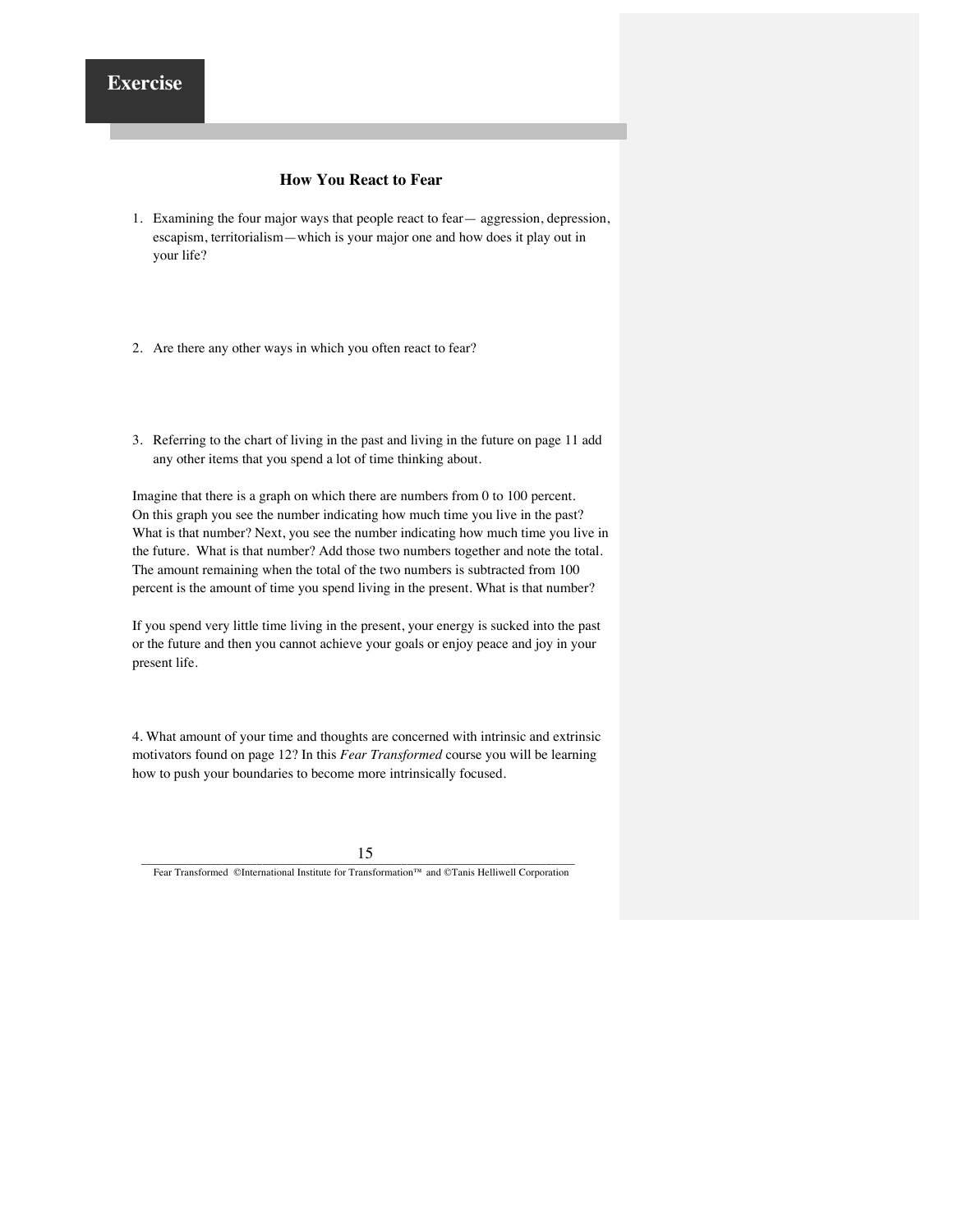### **How You React to Fear**

- 1. Examining the four major ways that people react to fear— aggression, depression, escapism, territorialism—which is your major one and how does it play out in your life?
- 2. Are there any other ways in which you often react to fear?
- 3. Referring to the chart of living in the past and living in the future on page 11 add any other items that you spend a lot of time thinking about.

Imagine that there is a graph on which there are numbers from 0 to 100 percent. On this graph you see the number indicating how much time you live in the past? What is that number? Next, you see the number indicating how much time you live in the future. What is that number? Add those two numbers together and note the total. The amount remaining when the total of the two numbers is subtracted from 100 percent is the amount of time you spend living in the present. What is that number?

If you spend very little time living in the present, your energy is sucked into the past or the future and then you cannot achieve your goals or enjoy peace and joy in your present life.

4. What amount of your time and thoughts are concerned with intrinsic and extrinsic motivators found on page 12? In this *Fear Transformed* course you will be learning how to push your boundaries to become more intrinsically focused.

15

\_\_\_\_\_\_\_\_\_\_\_\_\_\_\_\_\_\_\_\_\_\_\_\_\_\_\_\_\_\_\_\_\_\_\_\_\_\_\_\_\_\_\_\_\_\_\_\_\_\_\_\_\_\_\_\_\_\_\_\_\_\_\_\_\_\_\_\_\_\_\_\_\_\_\_ Fear Transformed ©International Institute for Transformation™ and ©Tanis Helliwell Corporation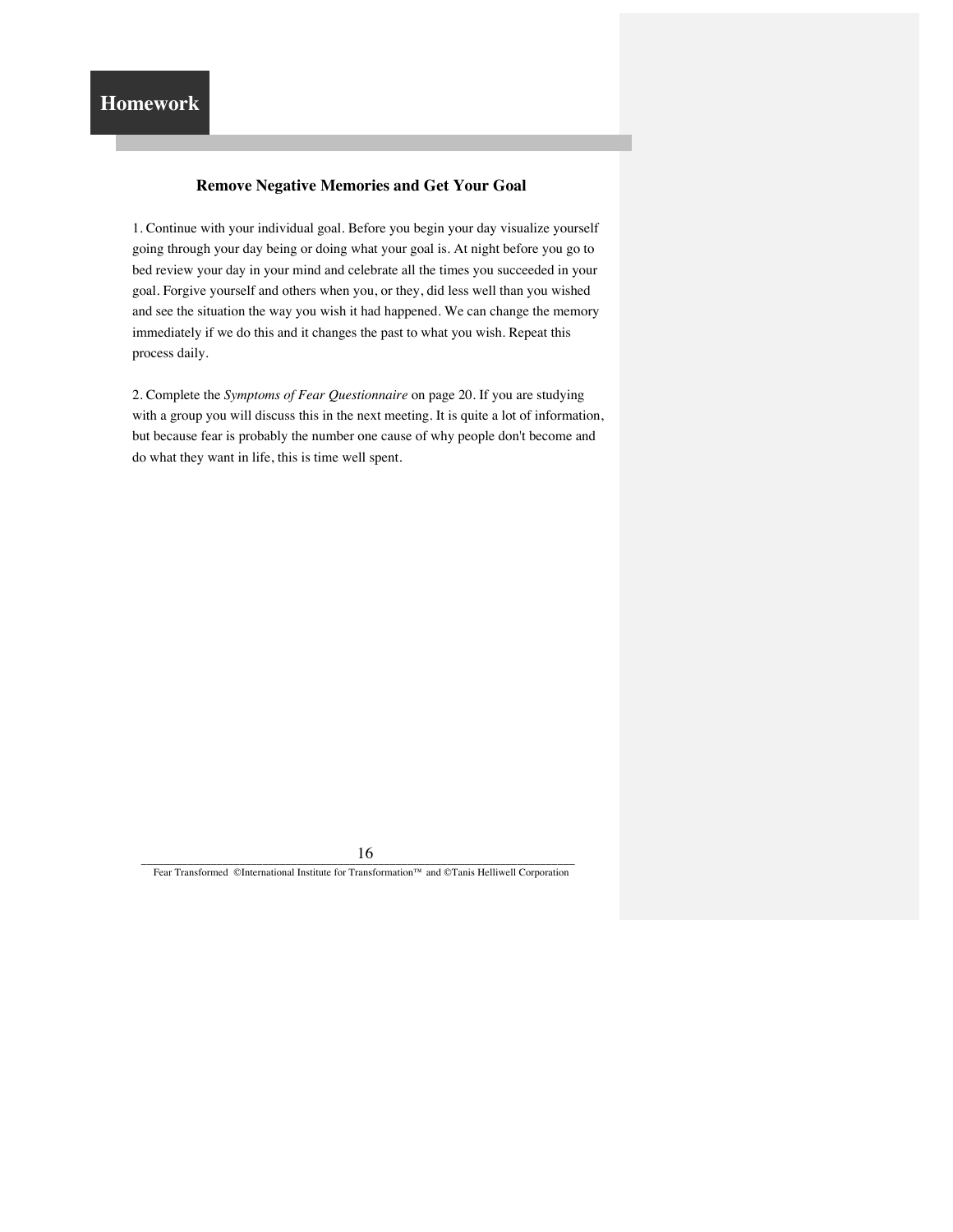### **Remove Negative Memories and Get Your Goal**

1. Continue with your individual goal. Before you begin your day visualize yourself going through your day being or doing what your goal is. At night before you go to bed review your day in your mind and celebrate all the times you succeeded in your goal. Forgive yourself and others when you, or they, did less well than you wished and see the situation the way you wish it had happened. We can change the memory immediately if we do this and it changes the past to what you wish. Repeat this process daily.

2. Complete the *Symptoms of Fear Questionnaire* on page 20. If you are studying with a group you will discuss this in the next meeting. It is quite a lot of information, but because fear is probably the number one cause of why people don't become and do what they want in life, this is time well spent.

16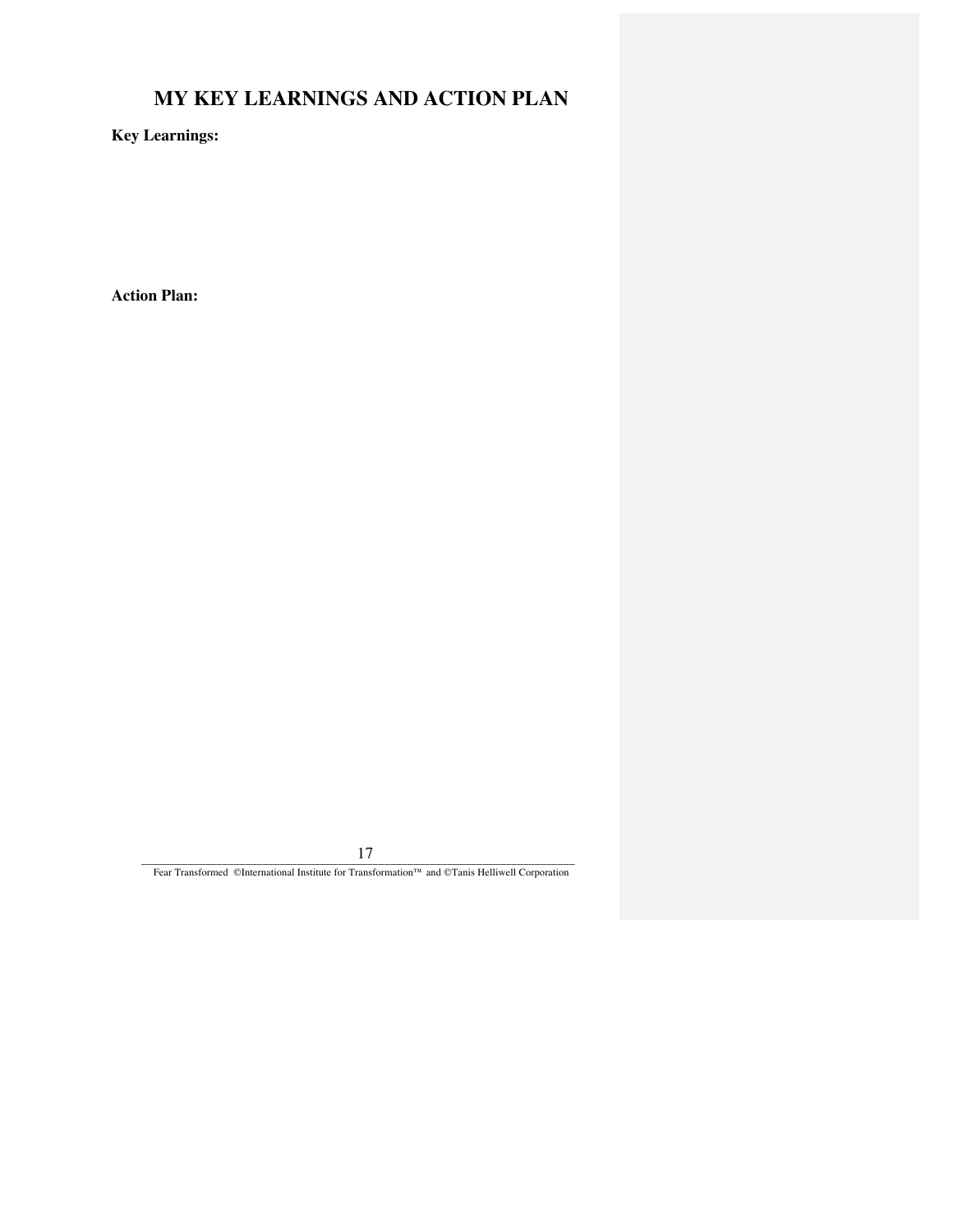# **MY KEY LEARNINGS AND ACTION PLAN**

**Key Learnings:**

**Action Plan:**

17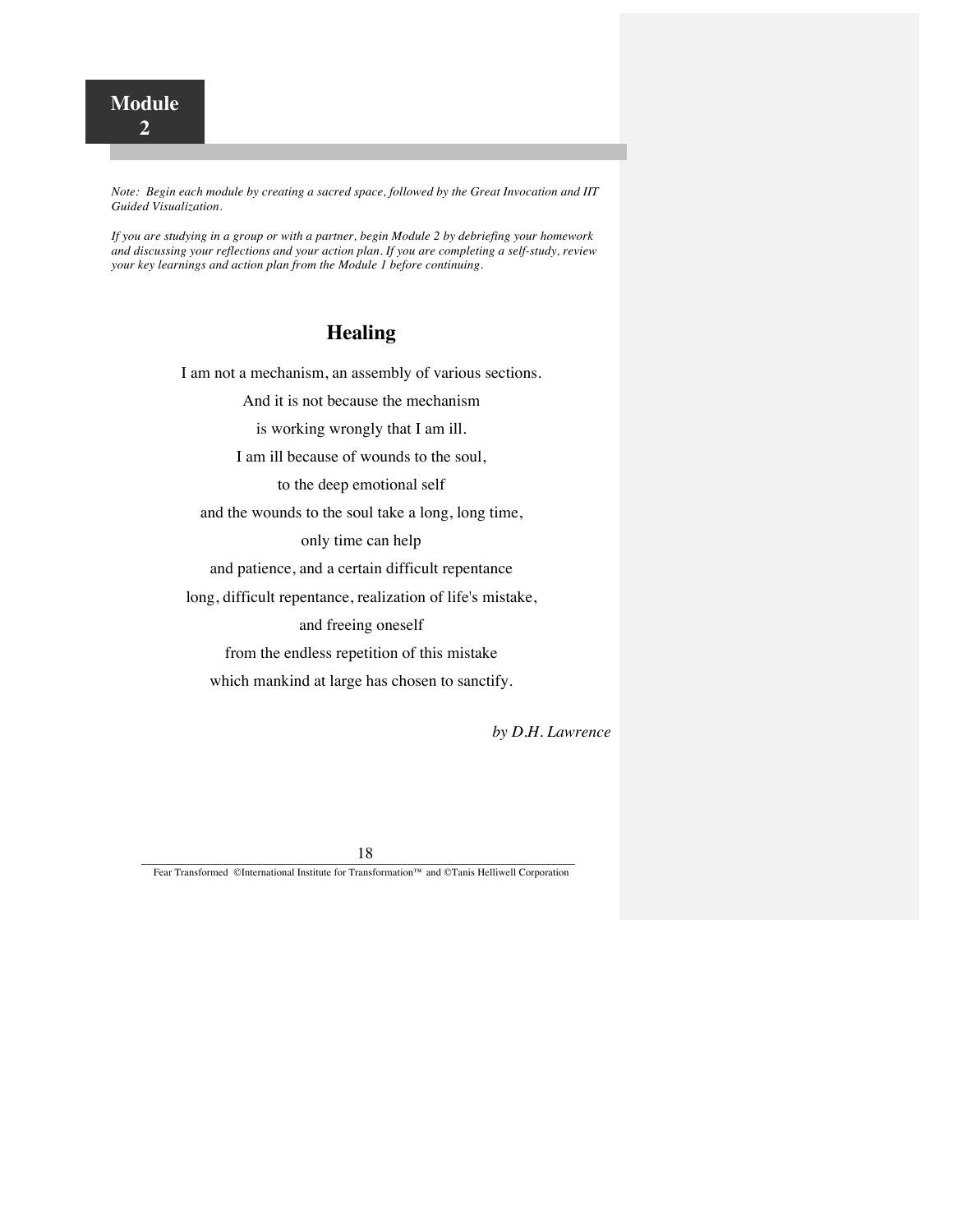*Note: Begin each module by creating a sacred space, followed by the Great Invocation and IIT Guided Visualization.*

*If you are studying in a group or with a partner, begin Module 2 by debriefing your homework and discussing your reflections and your action plan. If you are completing a self-study, review your key learnings and action plan from the Module 1 before continuing.*

# **Healing**

I am not a mechanism, an assembly of various sections.

And it is not because the mechanism

is working wrongly that I am ill.

I am ill because of wounds to the soul,

to the deep emotional self

and the wounds to the soul take a long, long time,

only time can help

and patience, and a certain difficult repentance

long, difficult repentance, realization of life's mistake,

and freeing oneself

from the endless repetition of this mistake

which mankind at large has chosen to sanctify.

*by D.H. Lawrence*

18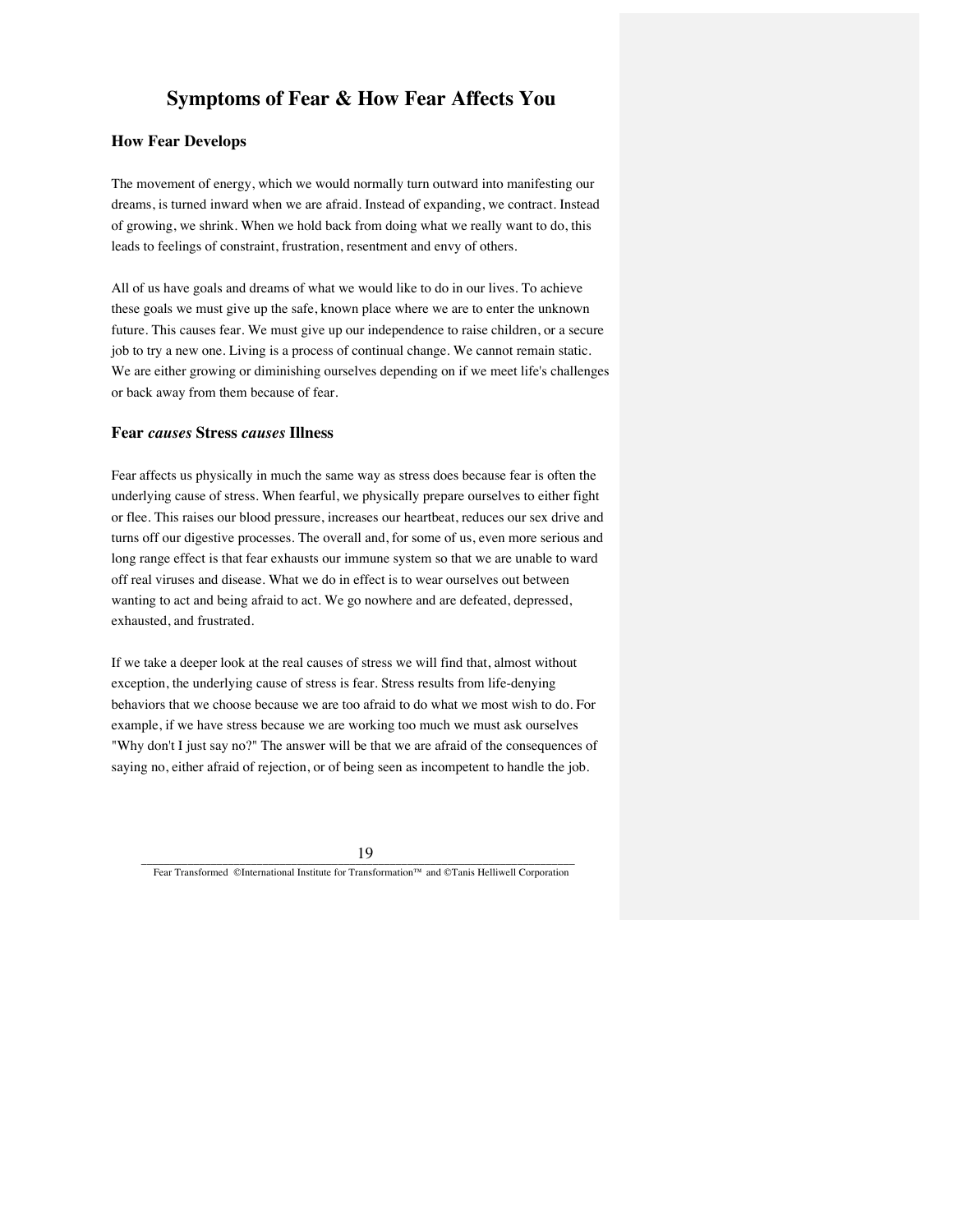# **Symptoms of Fear & How Fear Affects You**

### **How Fear Develops**

The movement of energy, which we would normally turn outward into manifesting our dreams, is turned inward when we are afraid. Instead of expanding, we contract. Instead of growing, we shrink. When we hold back from doing what we really want to do, this leads to feelings of constraint, frustration, resentment and envy of others.

All of us have goals and dreams of what we would like to do in our lives. To achieve these goals we must give up the safe, known place where we are to enter the unknown future. This causes fear. We must give up our independence to raise children, or a secure job to try a new one. Living is a process of continual change. We cannot remain static. We are either growing or diminishing ourselves depending on if we meet life's challenges or back away from them because of fear.

### **Fear** *causes* **Stress** *causes* **Illness**

Fear affects us physically in much the same way as stress does because fear is often the underlying cause of stress. When fearful, we physically prepare ourselves to either fight or flee. This raises our blood pressure, increases our heartbeat, reduces our sex drive and turns off our digestive processes. The overall and, for some of us, even more serious and long range effect is that fear exhausts our immune system so that we are unable to ward off real viruses and disease. What we do in effect is to wear ourselves out between wanting to act and being afraid to act. We go nowhere and are defeated, depressed, exhausted, and frustrated.

If we take a deeper look at the real causes of stress we will find that, almost without exception, the underlying cause of stress is fear. Stress results from life-denying behaviors that we choose because we are too afraid to do what we most wish to do. For example, if we have stress because we are working too much we must ask ourselves "Why don't I just say no?" The answer will be that we are afraid of the consequences of saying no, either afraid of rejection, or of being seen as incompetent to handle the job.

19

\_\_\_\_\_\_\_\_\_\_\_\_\_\_\_\_\_\_\_\_\_\_\_\_\_\_\_\_\_\_\_\_\_\_\_\_\_\_\_\_\_\_\_\_\_\_\_\_\_\_\_\_\_\_\_\_\_\_\_\_\_\_\_\_\_\_\_\_\_\_\_\_\_\_\_ Fear Transformed ©International Institute for Transformation™ and ©Tanis Helliwell Corporation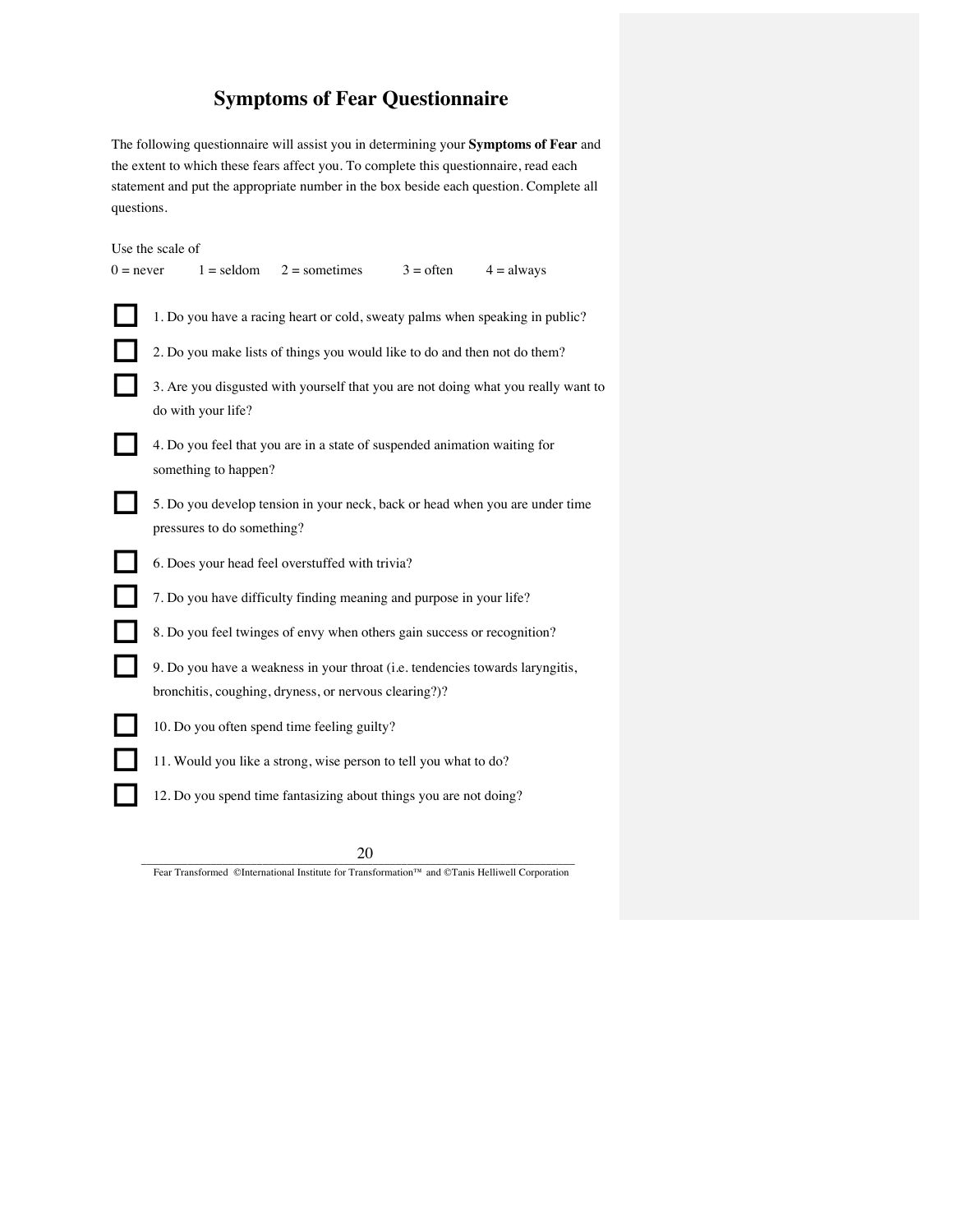# **Symptoms of Fear Questionnaire**

The following questionnaire will assist you in determining your **Symptoms of Fear** and the extent to which these fears affect you. To complete this questionnaire, read each statement and put the appropriate number in the box beside each question. Complete all questions.

|             | Use the scale of |                            |                                                                                                                                        |                    |                                                                                                                                                                   |
|-------------|------------------|----------------------------|----------------------------------------------------------------------------------------------------------------------------------------|--------------------|-------------------------------------------------------------------------------------------------------------------------------------------------------------------|
| $0 =$ never |                  | $1 =$ seldom               | $2 =$ sometimes                                                                                                                        | $3 = \text{often}$ | $4 =$ always                                                                                                                                                      |
|             |                  | do with your life?         | 2. Do you make lists of things you would like to do and then not do them?                                                              |                    | 1. Do you have a racing heart or cold, sweaty palms when speaking in public?<br>3. Are you disgusted with yourself that you are not doing what you really want to |
|             |                  | something to happen?       | 4. Do you feel that you are in a state of suspended animation waiting for                                                              |                    |                                                                                                                                                                   |
|             |                  | pressures to do something? |                                                                                                                                        |                    | 5. Do you develop tension in your neck, back or head when you are under time                                                                                      |
|             |                  |                            | 6. Does your head feel overstuffed with trivia?                                                                                        |                    |                                                                                                                                                                   |
|             |                  |                            | 7. Do you have difficulty finding meaning and purpose in your life?                                                                    |                    |                                                                                                                                                                   |
|             |                  |                            | 8. Do you feel twinges of envy when others gain success or recognition?                                                                |                    |                                                                                                                                                                   |
|             |                  |                            | 9. Do you have a weakness in your throat (i.e. tendencies towards laryngitis,<br>bronchitis, coughing, dryness, or nervous clearing?)? |                    |                                                                                                                                                                   |
|             |                  |                            | 10. Do you often spend time feeling guilty?                                                                                            |                    |                                                                                                                                                                   |
|             |                  |                            | 11. Would you like a strong, wise person to tell you what to do?                                                                       |                    |                                                                                                                                                                   |
|             |                  |                            | 12. Do you spend time fantasizing about things you are not doing?                                                                      |                    |                                                                                                                                                                   |

20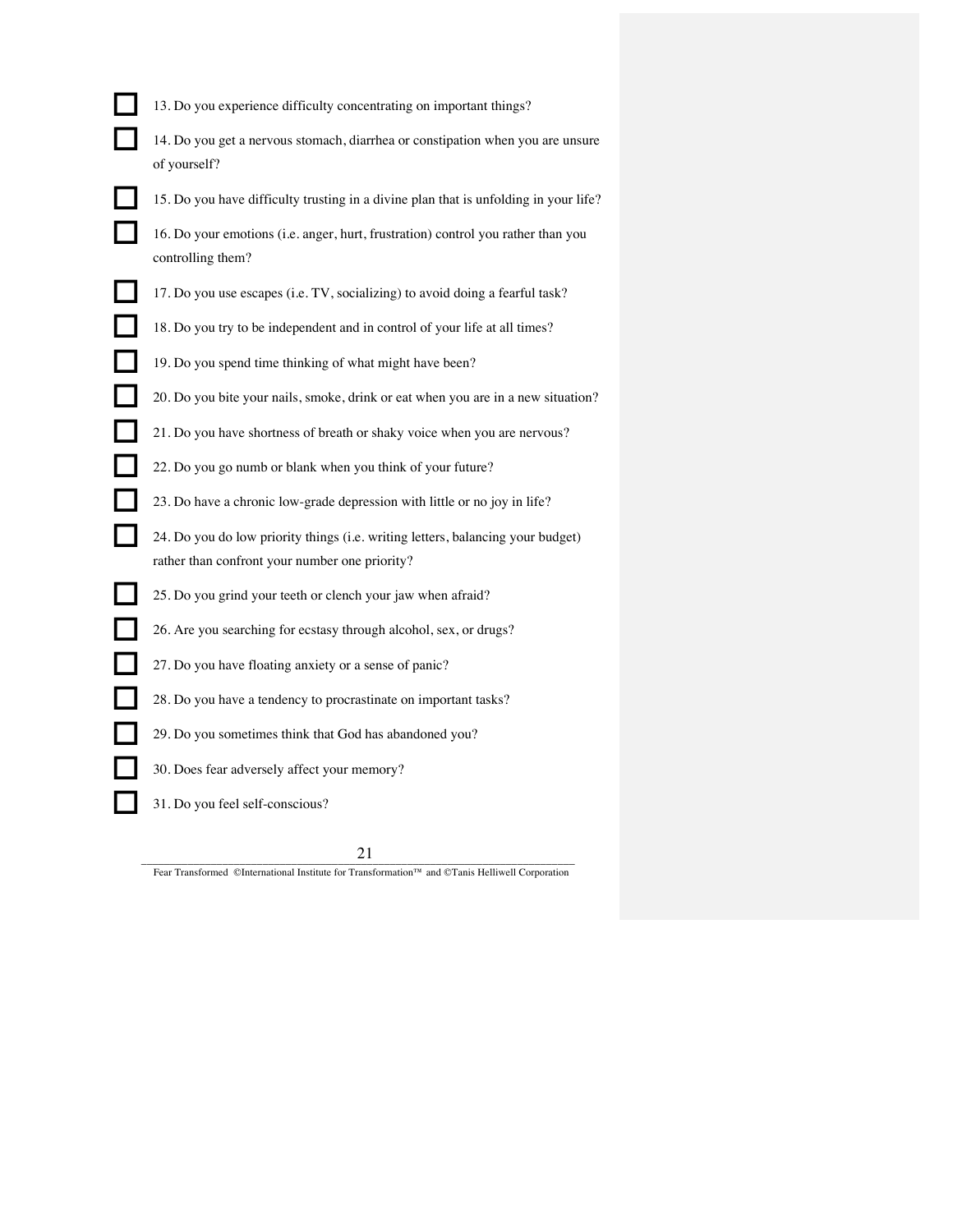|                             | 13. Do you experience difficulty concentrating on important things?                                                               |
|-----------------------------|-----------------------------------------------------------------------------------------------------------------------------------|
|                             | 14. Do you get a nervous stomach, diarrhea or constipation when you are unsure<br>of yourself?                                    |
|                             | 15. Do you have difficulty trusting in a divine plan that is unfolding in your life?                                              |
|                             | 16. Do your emotions (i.e. anger, hurt, frustration) control you rather than you<br>controlling them?                             |
|                             | 17. Do you use escapes (i.e. TV, socializing) to avoid doing a fearful task?                                                      |
|                             | 18. Do you try to be independent and in control of your life at all times?                                                        |
| $\Box$                      | 19. Do you spend time thinking of what might have been?                                                                           |
|                             | 20. Do you bite your nails, smoke, drink or eat when you are in a new situation?                                                  |
|                             | 21. Do you have shortness of breath or shaky voice when you are nervous?                                                          |
| $\mathcal{L}_{\mathcal{A}}$ | 22. Do you go numb or blank when you think of your future?                                                                        |
|                             | 23. Do have a chronic low-grade depression with little or no joy in life?                                                         |
|                             | 24. Do you do low priority things (i.e. writing letters, balancing your budget)<br>rather than confront your number one priority? |
|                             | 25. Do you grind your teeth or clench your jaw when afraid?                                                                       |
|                             | 26. Are you searching for ecstasy through alcohol, sex, or drugs?                                                                 |
|                             | 27. Do you have floating anxiety or a sense of panic?                                                                             |
|                             | 28. Do you have a tendency to procrastinate on important tasks?                                                                   |
|                             | 29. Do you sometimes think that God has abandoned you?                                                                            |
|                             | 30. Does fear adversely affect your memory?                                                                                       |
|                             | 31. Do you feel self-conscious?                                                                                                   |
|                             |                                                                                                                                   |

21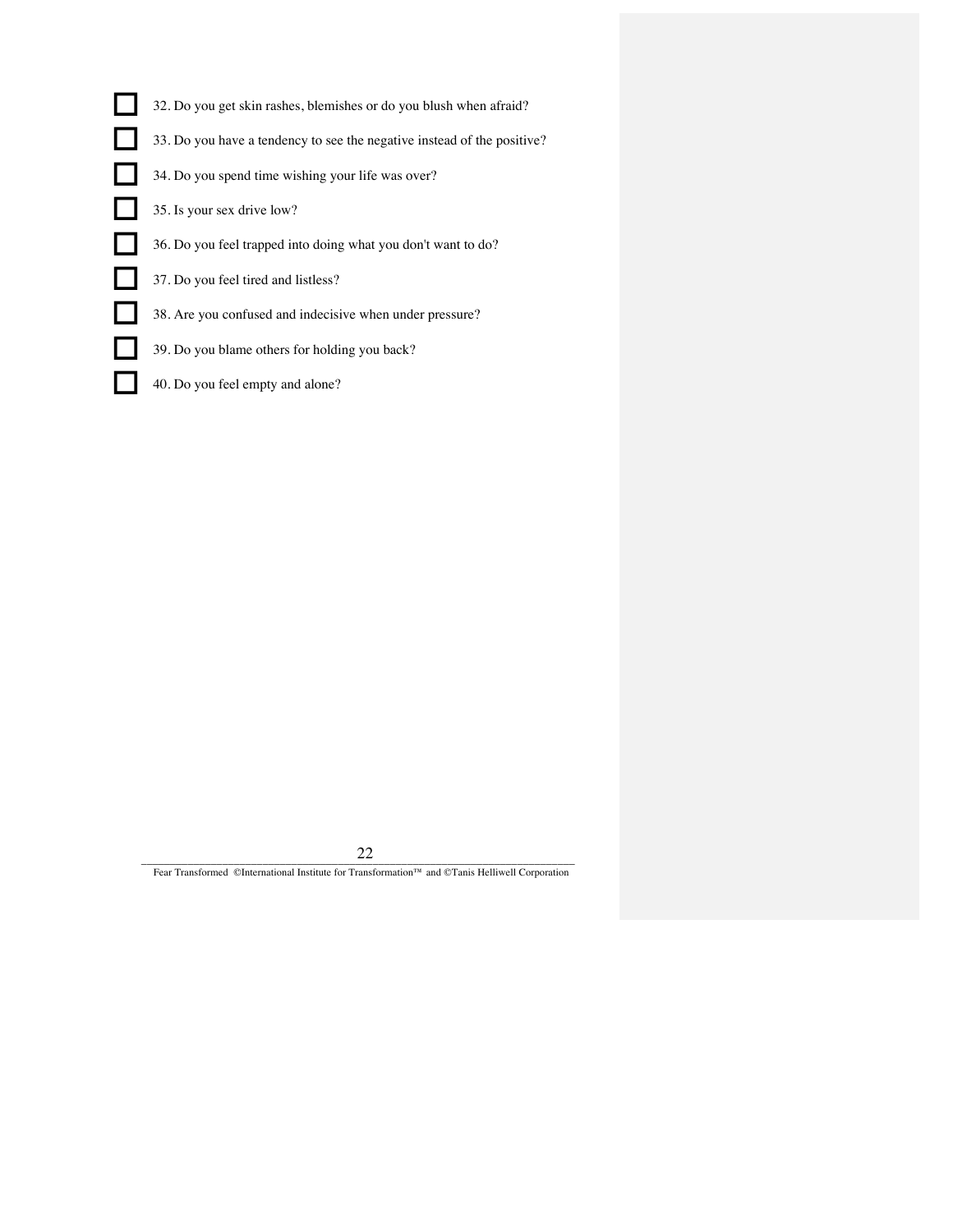- 32. Do you get skin rashes, blemishes or do you blush when afraid?
- 33. Do you have a tendency to see the negative instead of the positive?
- 34. Do you spend time wishing your life was over?
- 35. Is your sex drive low?
- 36. Do you feel trapped into doing what you don't want to do?
- 37. Do you feel tired and listless?
- 38. Are you confused and indecisive when under pressure?
- 39. Do you blame others for holding you back?
- 40. Do you feel empty and alone?

22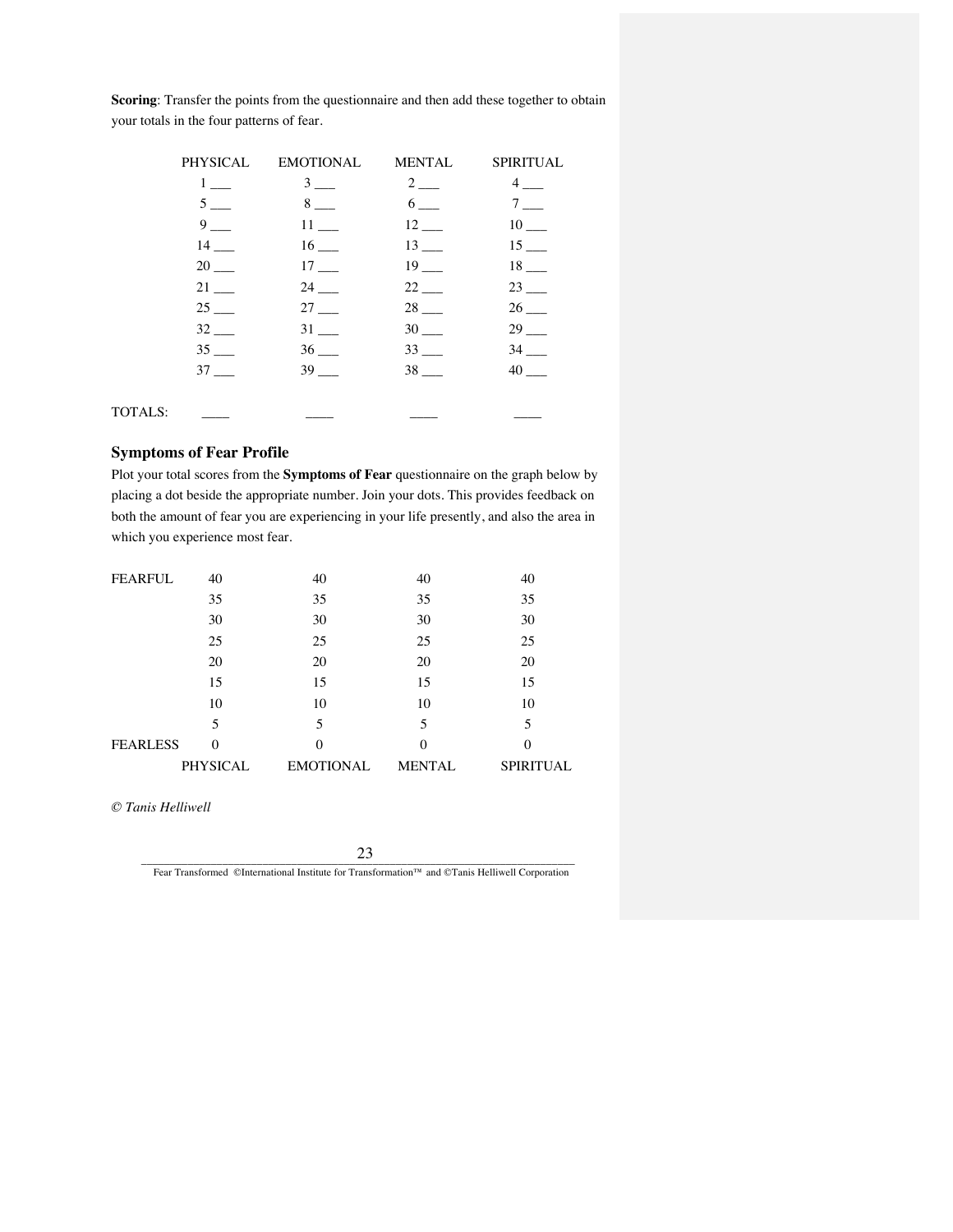**Scoring**: Transfer the points from the questionnaire and then add these together to obtain your totals in the four patterns of fear.

|         |                        | PHYSICAL EMOTIONAL | <b>MENTAL</b>          | <b>SPIRITUAL</b> |
|---------|------------------------|--------------------|------------------------|------------------|
|         | $1 \quad \blacksquare$ | $3$ —              | $2 \quad \blacksquare$ | $4\overline{ }$  |
|         | $5^{\circ}$            | 8                  | $6\degree$             | 7                |
|         | 9                      | 11 —               | $12$ —                 | $10$ —           |
|         | 14                     | 16                 | $13$ <sub>—</sub>      | 15               |
|         | 20                     | 17                 | 19                     | 18               |
|         | 21                     | 24                 | 22                     | 23               |
|         | 25                     | 27                 | 28                     | 26               |
|         | 32                     | 31                 | 30                     | 29               |
|         | 35                     | 36                 | 33                     | 34               |
|         | 37                     | 39                 | 38                     | 40               |
|         |                        |                    |                        |                  |
| TOTALS: |                        |                    |                        |                  |

### **Symptoms of Fear Profile**

Plot your total scores from the **Symptoms of Fear** questionnaire on the graph below by placing a dot beside the appropriate number. Join your dots. This provides feedback on both the amount of fear you are experiencing in your life presently, and also the area in which you experience most fear.

| <b>FEARFUL</b>  | 40              | 40               | 40            | 40               |
|-----------------|-----------------|------------------|---------------|------------------|
|                 | 35              | 35               | 35            | 35               |
|                 | 30              | 30               | 30            | 30               |
|                 | 25              | 25               | 25            | 25               |
|                 | 20              | 20               | 20            | 20               |
|                 | 15              | 15               | 15            | 15               |
|                 | 10              | 10               | 10            | 10               |
|                 | 5               | 5                | 5             |                  |
| <b>FEARLESS</b> | $\theta$        | $\Omega$         | $\Omega$      | $\Omega$         |
|                 | <b>PHYSICAL</b> | <b>EMOTIONAL</b> | <b>MENTAL</b> | <b>SPIRITUAL</b> |

*© Tanis Helliwell*

23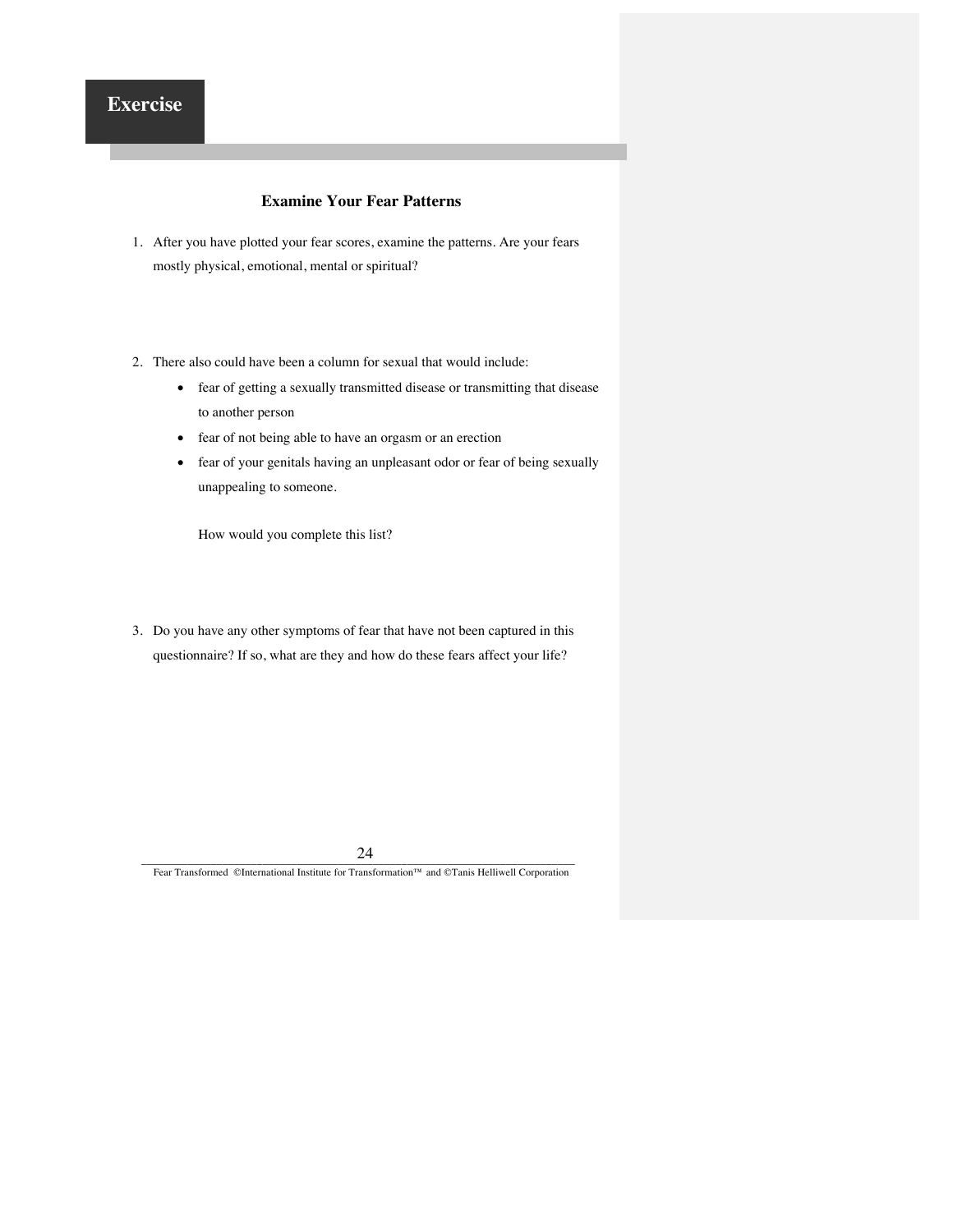### **Examine Your Fear Patterns**

- 1. After you have plotted your fear scores, examine the patterns. Are your fears mostly physical, emotional, mental or spiritual?
- 2. There also could have been a column for sexual that would include:
	- fear of getting a sexually transmitted disease or transmitting that disease to another person
	- fear of not being able to have an orgasm or an erection
	- fear of your genitals having an unpleasant odor or fear of being sexually unappealing to someone.

How would you complete this list?

3. Do you have any other symptoms of fear that have not been captured in this questionnaire? If so, what are they and how do these fears affect your life?

24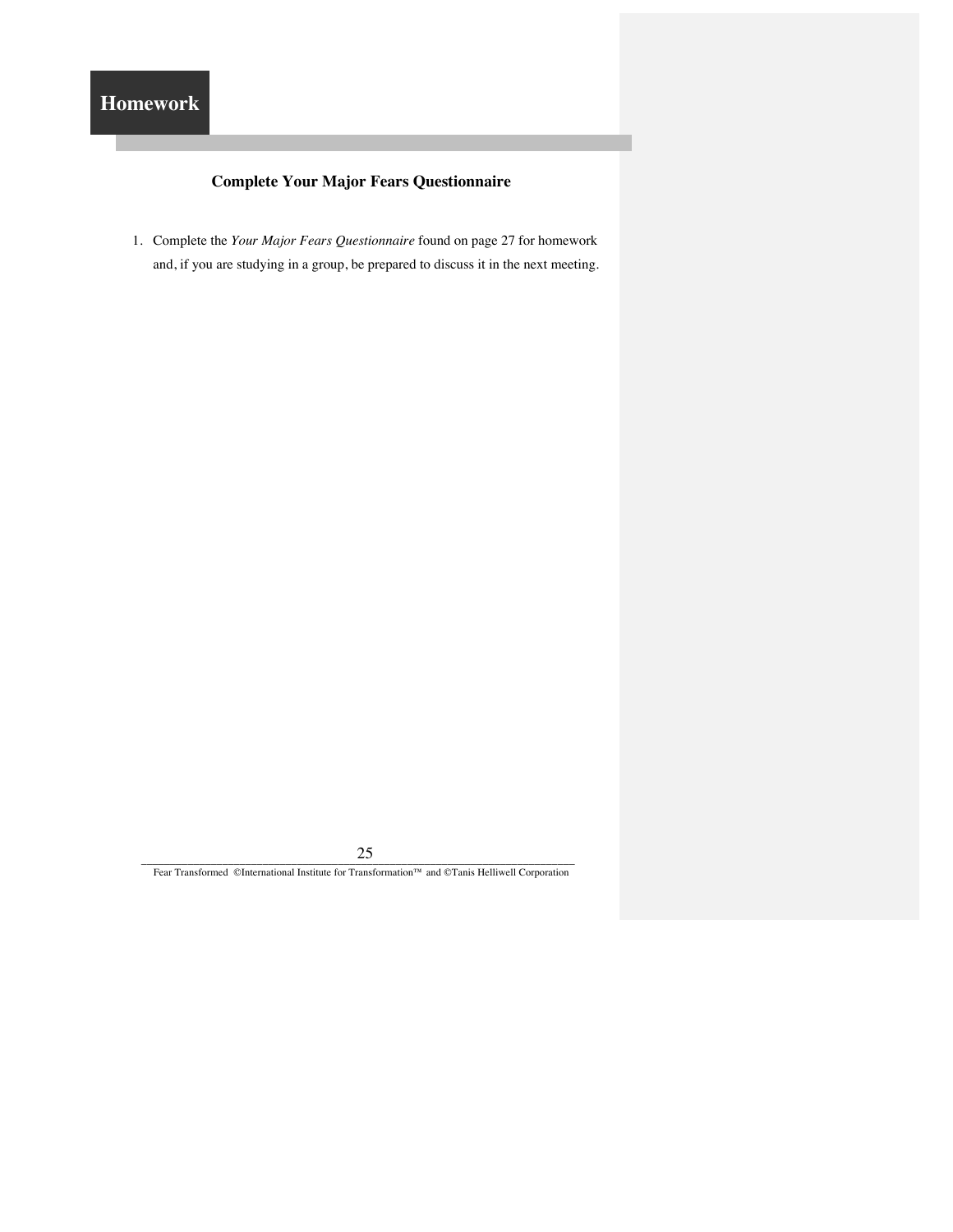

# **Complete Your Major Fears Questionnaire**

1. Complete the *Your Major Fears Questionnaire* found on page 27 for homework and, if you are studying in a group, be prepared to discuss it in the next meeting.

25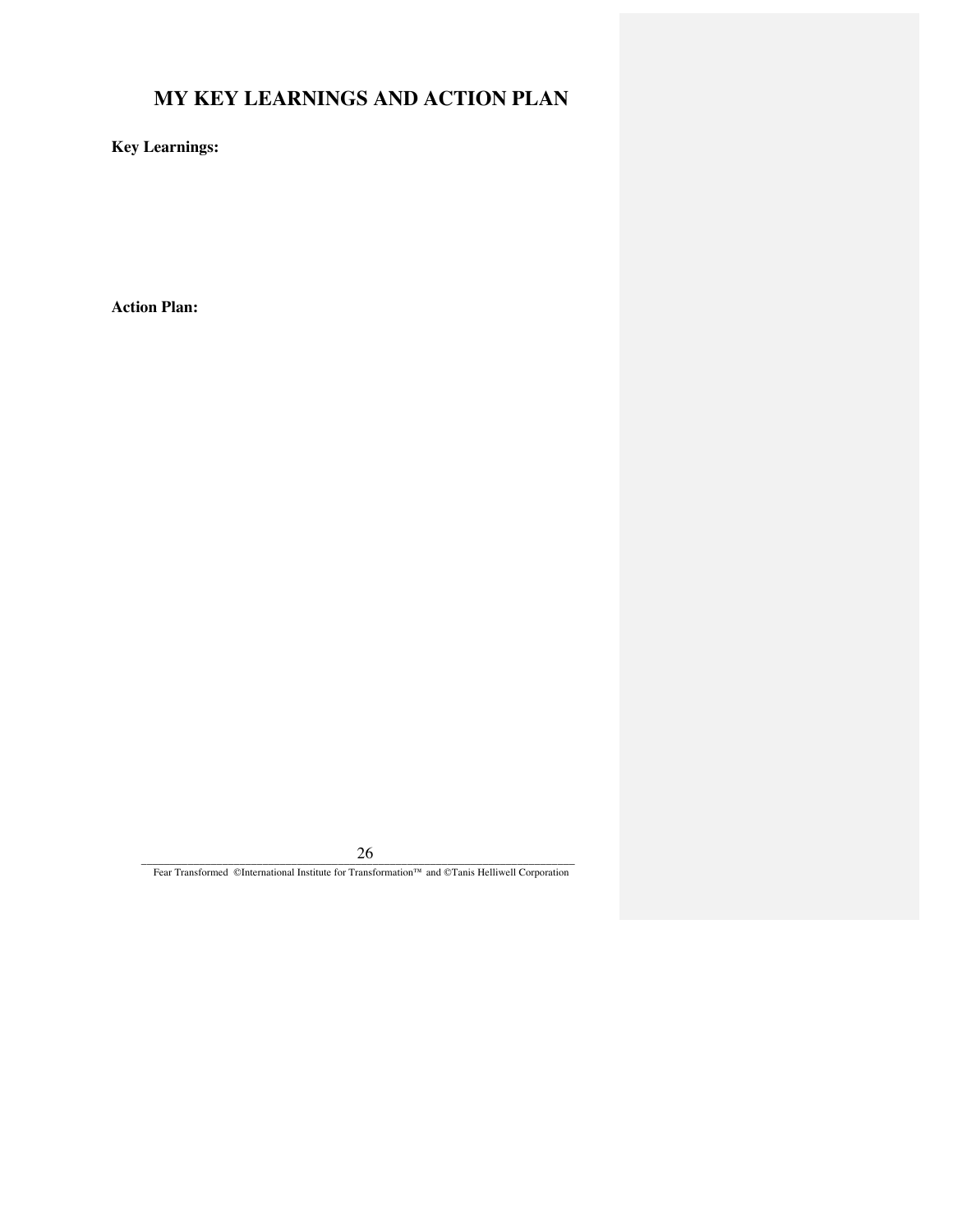# **MY KEY LEARNINGS AND ACTION PLAN**

**Key Learnings:**

**Action Plan:**

26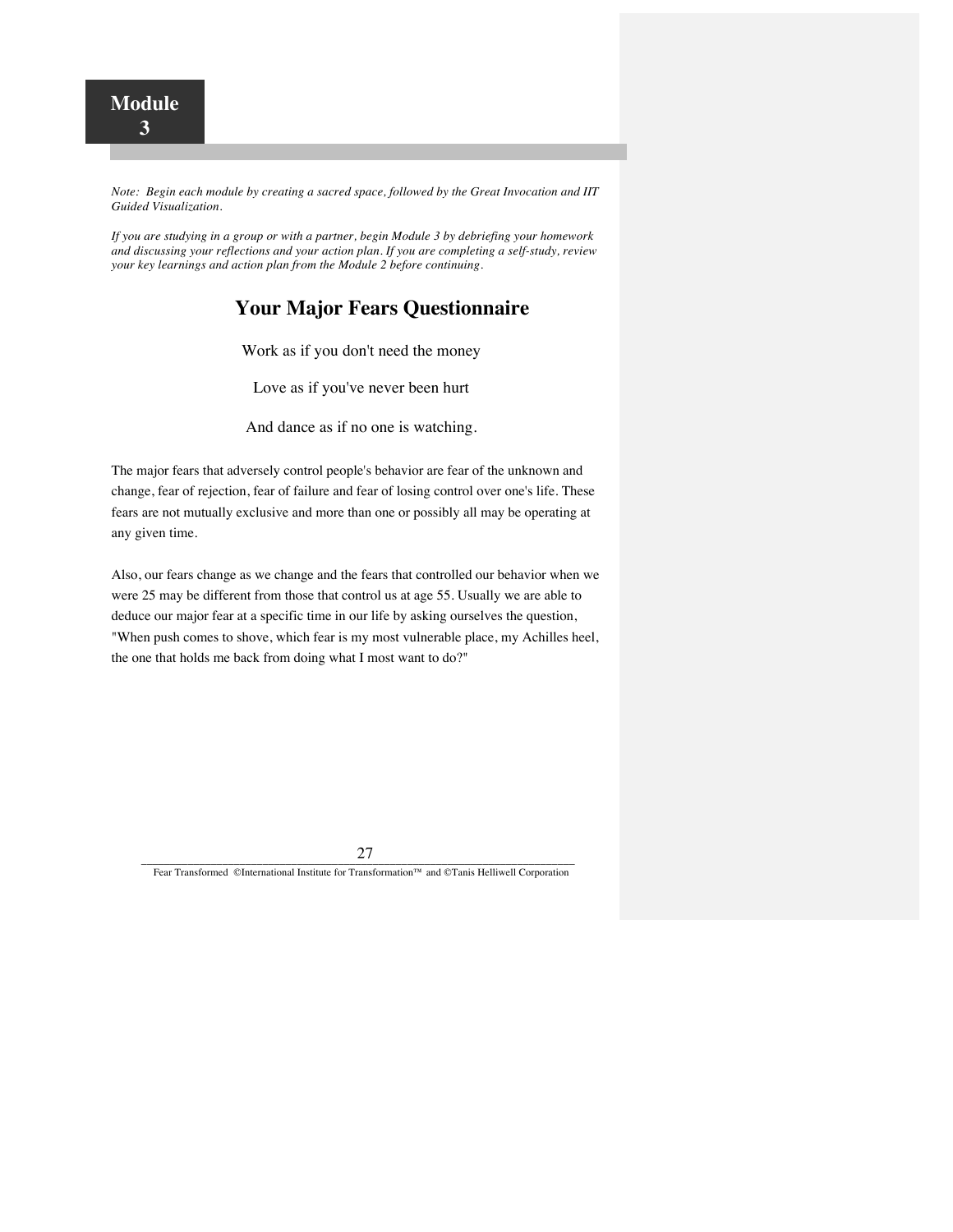*Note: Begin each module by creating a sacred space, followed by the Great Invocation and IIT Guided Visualization.*

*If you are studying in a group or with a partner, begin Module 3 by debriefing your homework and discussing your reflections and your action plan. If you are completing a self-study, review your key learnings and action plan from the Module 2 before continuing.*

# **Your Major Fears Questionnaire**

Work as if you don't need the money

Love as if you've never been hurt

And dance as if no one is watching.

The major fears that adversely control people's behavior are fear of the unknown and change, fear of rejection, fear of failure and fear of losing control over one's life. These fears are not mutually exclusive and more than one or possibly all may be operating at any given time.

Also, our fears change as we change and the fears that controlled our behavior when we were 25 may be different from those that control us at age 55. Usually we are able to deduce our major fear at a specific time in our life by asking ourselves the question, "When push comes to shove, which fear is my most vulnerable place, my Achilles heel, the one that holds me back from doing what I most want to do?"

27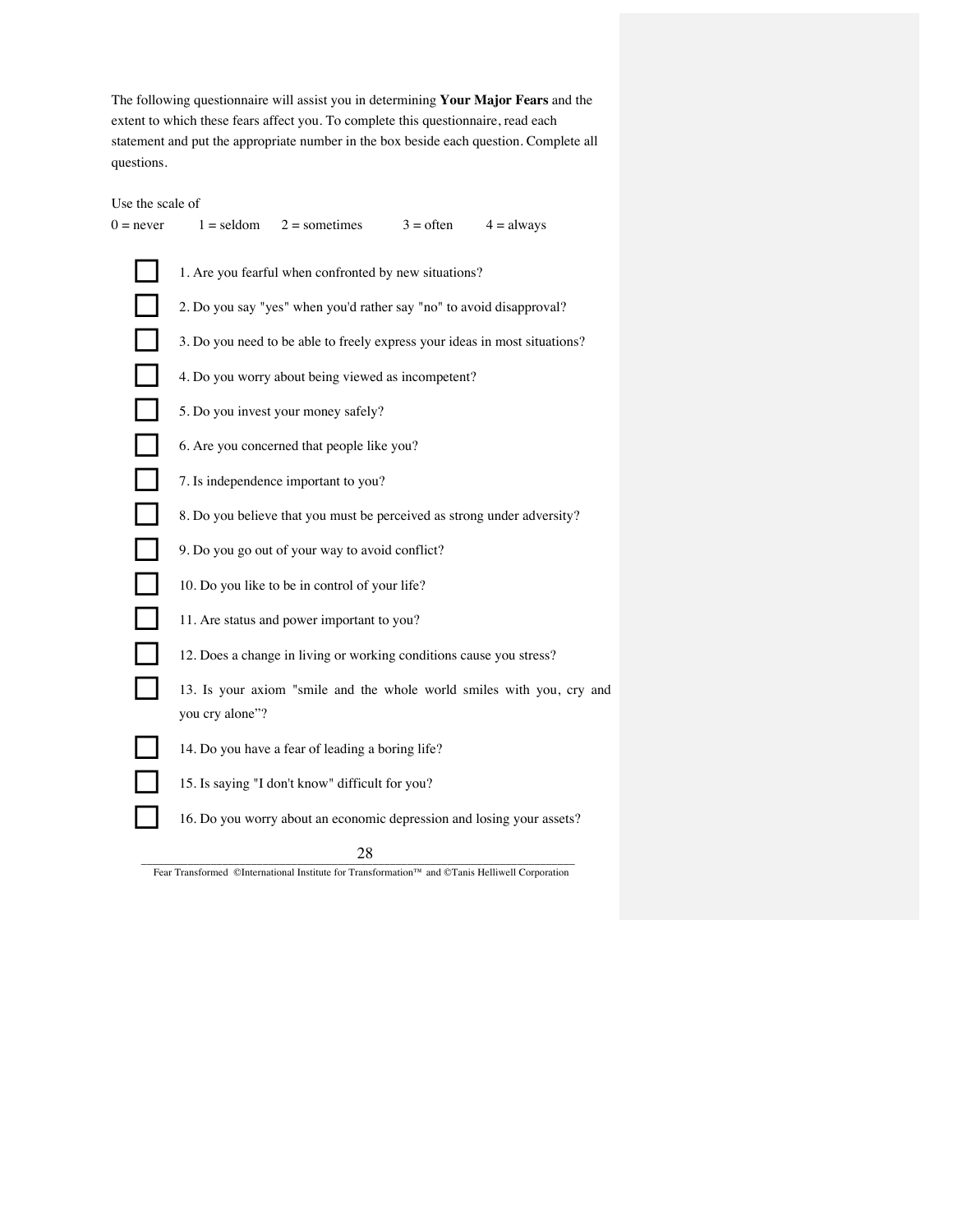The following questionnaire will assist you in determining **Your Major Fears** and the extent to which these fears affect you. To complete this questionnaire, read each statement and put the appropriate number in the box beside each question. Complete all questions.

### Use the scale of

| $0 =$ never                                                                                    | $1 =$ seldom                               | $2 =$ sometimes                                                      | $3 =$ often | $4 =$ always                                                               |  |  |
|------------------------------------------------------------------------------------------------|--------------------------------------------|----------------------------------------------------------------------|-------------|----------------------------------------------------------------------------|--|--|
|                                                                                                |                                            | 1. Are you fearful when confronted by new situations?                |             |                                                                            |  |  |
|                                                                                                |                                            | 2. Do you say "yes" when you'd rather say "no" to avoid disapproval? |             |                                                                            |  |  |
|                                                                                                |                                            |                                                                      |             | 3. Do you need to be able to freely express your ideas in most situations? |  |  |
| $\mathbf{L}$                                                                                   |                                            | 4. Do you worry about being viewed as incompetent?                   |             |                                                                            |  |  |
| $\mathbf{L}$                                                                                   |                                            | 5. Do you invest your money safely?                                  |             |                                                                            |  |  |
| L                                                                                              |                                            | 6. Are you concerned that people like you?                           |             |                                                                            |  |  |
| $\Box$                                                                                         |                                            | 7. Is independence important to you?                                 |             |                                                                            |  |  |
| $\overline{\phantom{a}}$                                                                       |                                            |                                                                      |             | 8. Do you believe that you must be perceived as strong under adversity?    |  |  |
| $\Box$                                                                                         |                                            | 9. Do you go out of your way to avoid conflict?                      |             |                                                                            |  |  |
| $\Box$                                                                                         |                                            | 10. Do you like to be in control of your life?                       |             |                                                                            |  |  |
|                                                                                                | 11. Are status and power important to you? |                                                                      |             |                                                                            |  |  |
|                                                                                                |                                            | 12. Does a change in living or working conditions cause you stress?  |             |                                                                            |  |  |
|                                                                                                |                                            |                                                                      |             | 13. Is your axiom "smile and the whole world smiles with you, cry and      |  |  |
|                                                                                                | you cry alone"?                            |                                                                      |             |                                                                            |  |  |
|                                                                                                |                                            | 14. Do you have a fear of leading a boring life?                     |             |                                                                            |  |  |
|                                                                                                |                                            | 15. Is saying "I don't know" difficult for you?                      |             |                                                                            |  |  |
|                                                                                                |                                            |                                                                      |             | 16. Do you worry about an economic depression and losing your assets?      |  |  |
| 28                                                                                             |                                            |                                                                      |             |                                                                            |  |  |
| Fear Transformed ©International Institute for Transformation™ and ©Tanis Helliwell Corporation |                                            |                                                                      |             |                                                                            |  |  |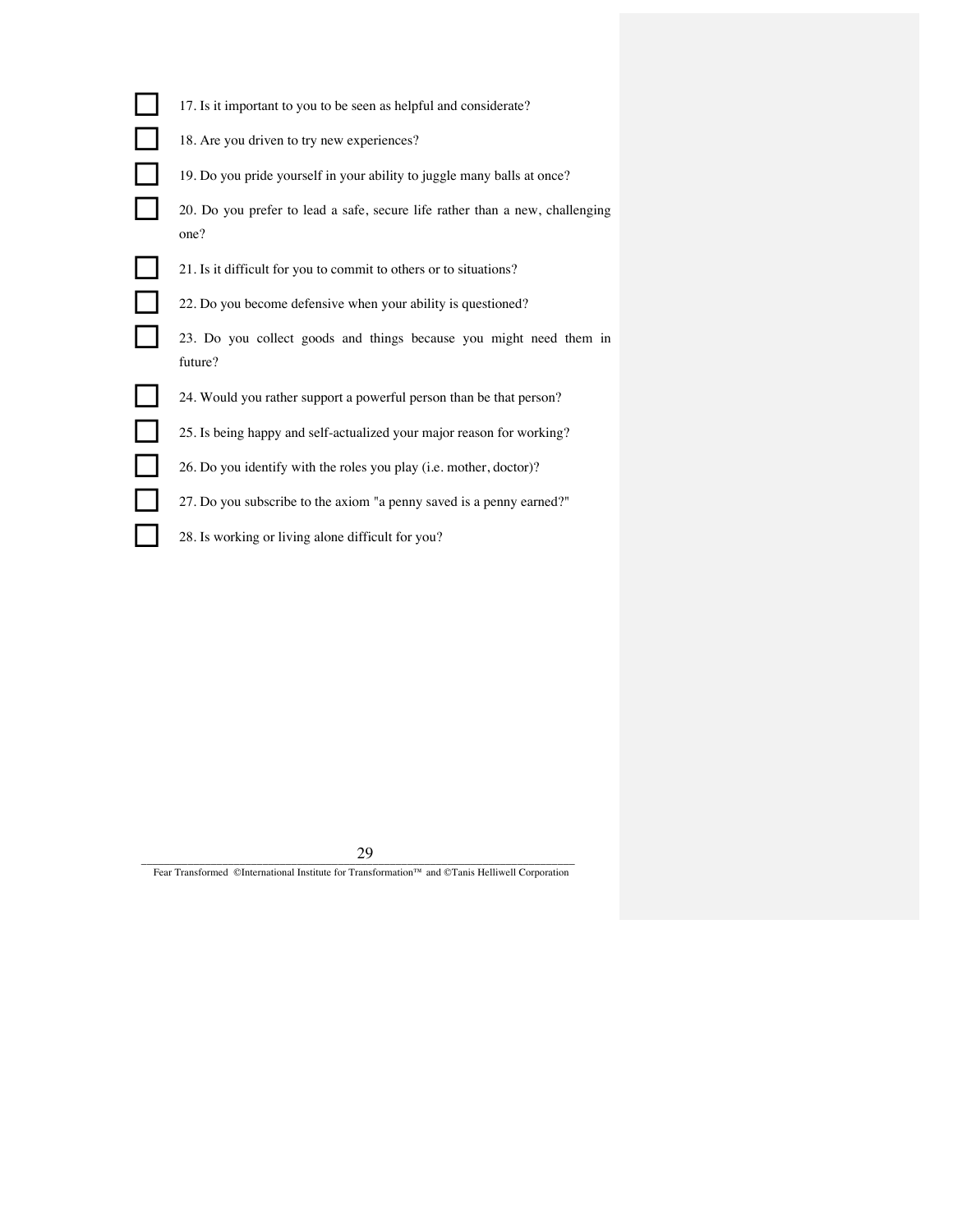

29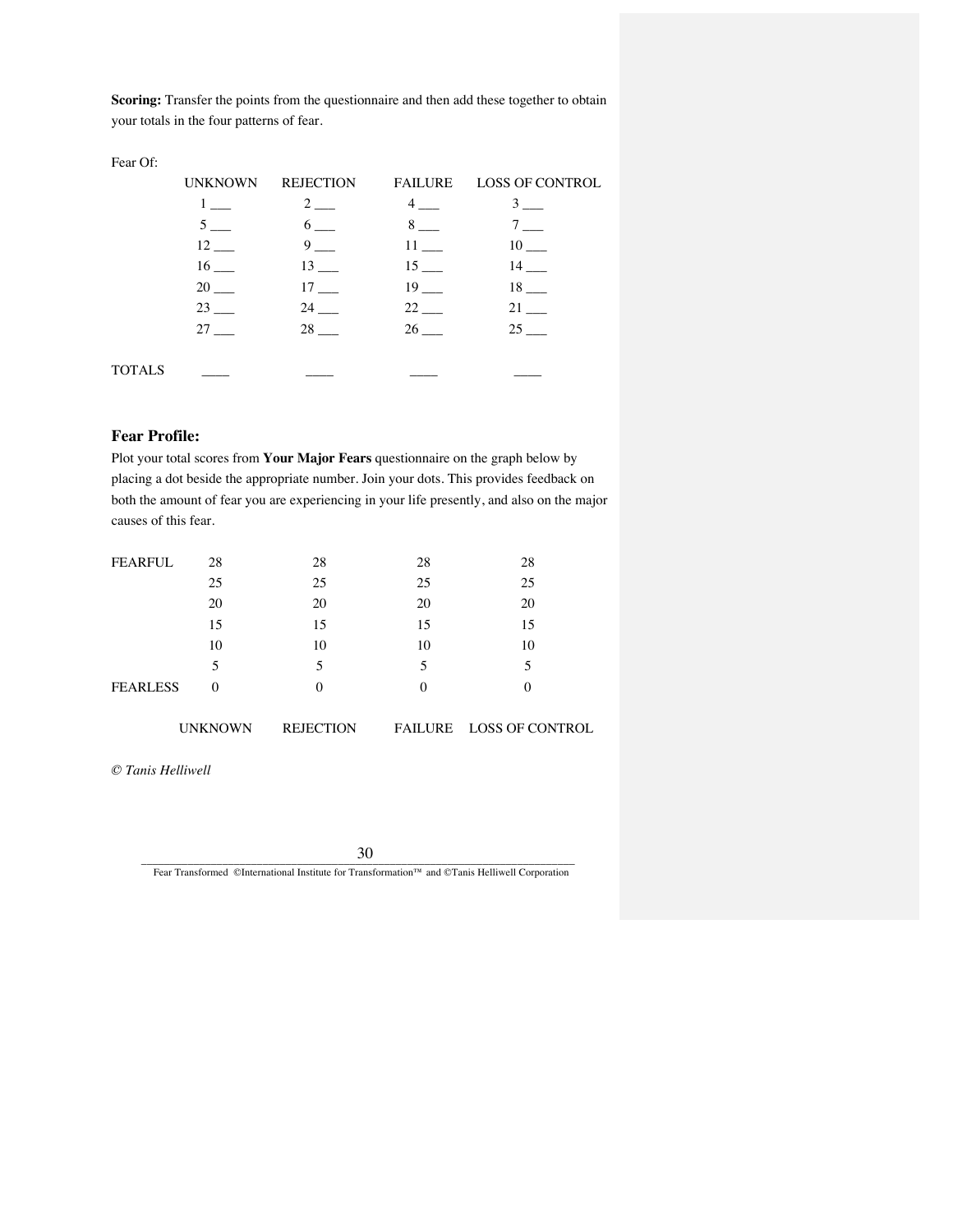**Scoring:** Transfer the points from the questionnaire and then add these together to obtain your totals in the four patterns of fear.

Fear Of:

|        |                               | UNKNOWN REJECTION |      | FAILURE LOSS OF CONTROL |
|--------|-------------------------------|-------------------|------|-------------------------|
|        |                               | $\overline{2}$    |      | 3                       |
|        | $5^{\circ}$                   | $6 \quad$         | 8    |                         |
|        | 12                            | 9                 | 11 — | 10                      |
|        | 16                            | 13                | 15   | 14                      |
|        | $20$ $\overline{\phantom{0}}$ | 17                | 19   | 18                      |
|        | 23                            | 24                | 22   | 21                      |
|        | $27 -$                        | 28                | 26   | 25                      |
|        |                               |                   |      |                         |
| TOTALS |                               |                   |      |                         |
|        |                               |                   |      |                         |

### **Fear Profile:**

Plot your total scores from **Your Major Fears** questionnaire on the graph below by placing a dot beside the appropriate number. Join your dots. This provides feedback on both the amount of fear you are experiencing in your life presently, and also on the major causes of this fear.

| <b>FEARFUL</b>  | 28 | 28       | 28 | 28 |
|-----------------|----|----------|----|----|
|                 | 25 | 25       | 25 | 25 |
|                 | 20 | 20       | 20 | 20 |
|                 | 15 | 15       | 15 | 15 |
|                 | 10 | 10       | 10 | 10 |
|                 | 5  | 5        | 5  | 5  |
| <b>FEARLESS</b> |    | $\theta$ |    |    |

UNKNOWN REJECTION FAILURE LOSS OF CONTROL

*© Tanis Helliwell*

30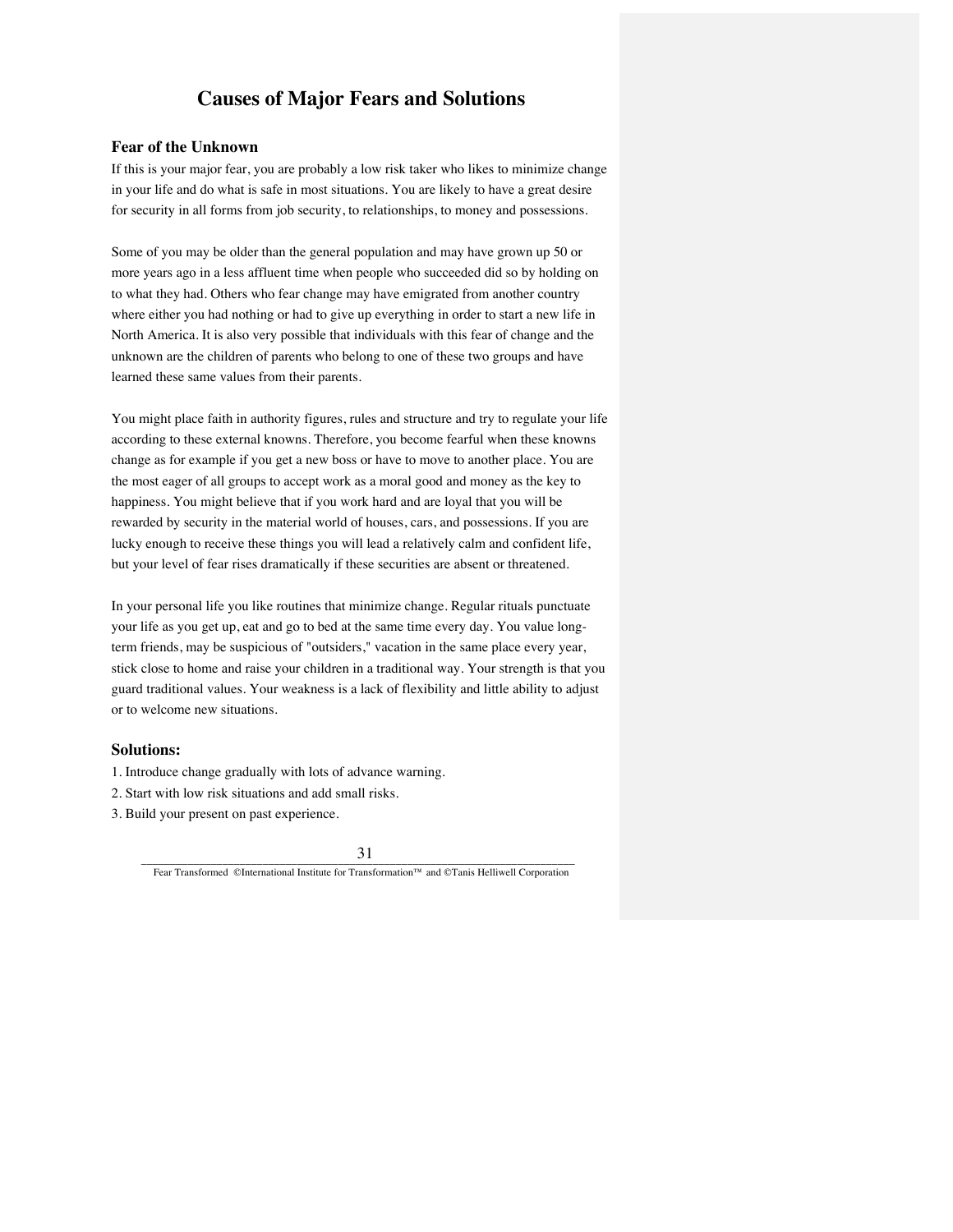# **Causes of Major Fears and Solutions**

### **Fear of the Unknown**

If this is your major fear, you are probably a low risk taker who likes to minimize change in your life and do what is safe in most situations. You are likely to have a great desire for security in all forms from job security, to relationships, to money and possessions.

Some of you may be older than the general population and may have grown up 50 or more years ago in a less affluent time when people who succeeded did so by holding on to what they had. Others who fear change may have emigrated from another country where either you had nothing or had to give up everything in order to start a new life in North America. It is also very possible that individuals with this fear of change and the unknown are the children of parents who belong to one of these two groups and have learned these same values from their parents.

You might place faith in authority figures, rules and structure and try to regulate your life according to these external knowns. Therefore, you become fearful when these knowns change as for example if you get a new boss or have to move to another place. You are the most eager of all groups to accept work as a moral good and money as the key to happiness. You might believe that if you work hard and are loyal that you will be rewarded by security in the material world of houses, cars, and possessions. If you are lucky enough to receive these things you will lead a relatively calm and confident life, but your level of fear rises dramatically if these securities are absent or threatened.

In your personal life you like routines that minimize change. Regular rituals punctuate your life as you get up, eat and go to bed at the same time every day. You value longterm friends, may be suspicious of "outsiders," vacation in the same place every year, stick close to home and raise your children in a traditional way. Your strength is that you guard traditional values. Your weakness is a lack of flexibility and little ability to adjust or to welcome new situations.

### **Solutions:**

- 1. Introduce change gradually with lots of advance warning.
- 2. Start with low risk situations and add small risks.
- 3. Build your present on past experience.

31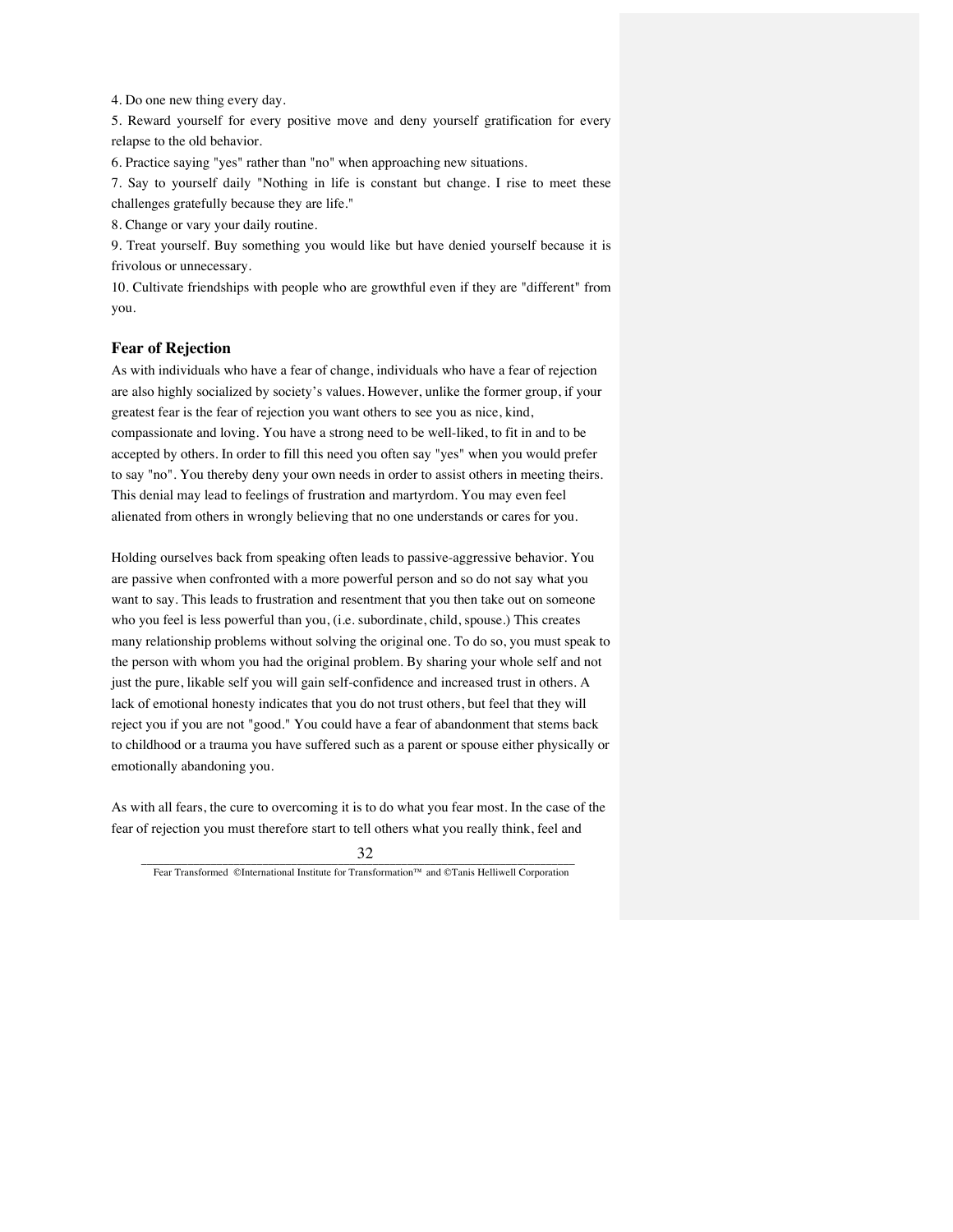4. Do one new thing every day.

5. Reward yourself for every positive move and deny yourself gratification for every relapse to the old behavior.

6. Practice saying "yes" rather than "no" when approaching new situations.

7. Say to yourself daily "Nothing in life is constant but change. I rise to meet these challenges gratefully because they are life."

8. Change or vary your daily routine.

9. Treat yourself. Buy something you would like but have denied yourself because it is frivolous or unnecessary.

10. Cultivate friendships with people who are growthful even if they are "different" from you.

### **Fear of Rejection**

As with individuals who have a fear of change, individuals who have a fear of rejection are also highly socialized by society's values. However, unlike the former group, if your greatest fear is the fear of rejection you want others to see you as nice, kind, compassionate and loving. You have a strong need to be well-liked, to fit in and to be accepted by others. In order to fill this need you often say "yes" when you would prefer to say "no". You thereby deny your own needs in order to assist others in meeting theirs. This denial may lead to feelings of frustration and martyrdom. You may even feel alienated from others in wrongly believing that no one understands or cares for you.

Holding ourselves back from speaking often leads to passive-aggressive behavior. You are passive when confronted with a more powerful person and so do not say what you want to say. This leads to frustration and resentment that you then take out on someone who you feel is less powerful than you, (i.e. subordinate, child, spouse.) This creates many relationship problems without solving the original one. To do so, you must speak to the person with whom you had the original problem. By sharing your whole self and not just the pure, likable self you will gain self-confidence and increased trust in others. A lack of emotional honesty indicates that you do not trust others, but feel that they will reject you if you are not "good." You could have a fear of abandonment that stems back to childhood or a trauma you have suffered such as a parent or spouse either physically or emotionally abandoning you.

As with all fears, the cure to overcoming it is to do what you fear most. In the case of the fear of rejection you must therefore start to tell others what you really think, feel and

32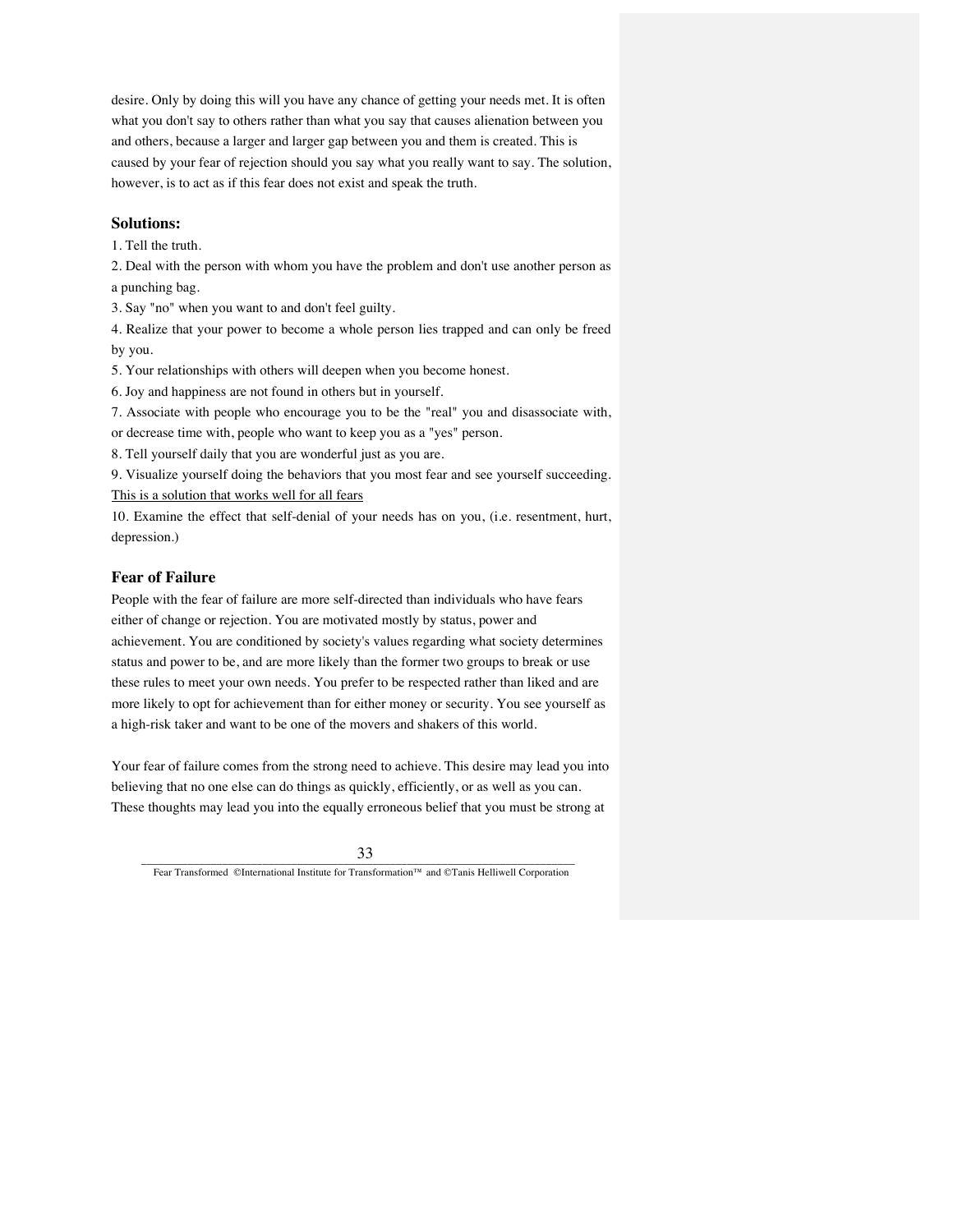desire. Only by doing this will you have any chance of getting your needs met. It is often what you don't say to others rather than what you say that causes alienation between you and others, because a larger and larger gap between you and them is created. This is caused by your fear of rejection should you say what you really want to say. The solution, however, is to act as if this fear does not exist and speak the truth.

### **Solutions:**

1. Tell the truth.

2. Deal with the person with whom you have the problem and don't use another person as a punching bag.

3. Say "no" when you want to and don't feel guilty.

4. Realize that your power to become a whole person lies trapped and can only be freed by you.

5. Your relationships with others will deepen when you become honest.

6. Joy and happiness are not found in others but in yourself.

7. Associate with people who encourage you to be the "real" you and disassociate with,

or decrease time with, people who want to keep you as a "yes" person.

8. Tell yourself daily that you are wonderful just as you are.

9. Visualize yourself doing the behaviors that you most fear and see yourself succeeding. This is a solution that works well for all fears

10. Examine the effect that self-denial of your needs has on you, (i.e. resentment, hurt, depression.)

### **Fear of Failure**

People with the fear of failure are more self-directed than individuals who have fears either of change or rejection. You are motivated mostly by status, power and achievement. You are conditioned by society's values regarding what society determines status and power to be, and are more likely than the former two groups to break or use these rules to meet your own needs. You prefer to be respected rather than liked and are more likely to opt for achievement than for either money or security. You see yourself as a high-risk taker and want to be one of the movers and shakers of this world.

Your fear of failure comes from the strong need to achieve. This desire may lead you into believing that no one else can do things as quickly, efficiently, or as well as you can. These thoughts may lead you into the equally erroneous belief that you must be strong at

33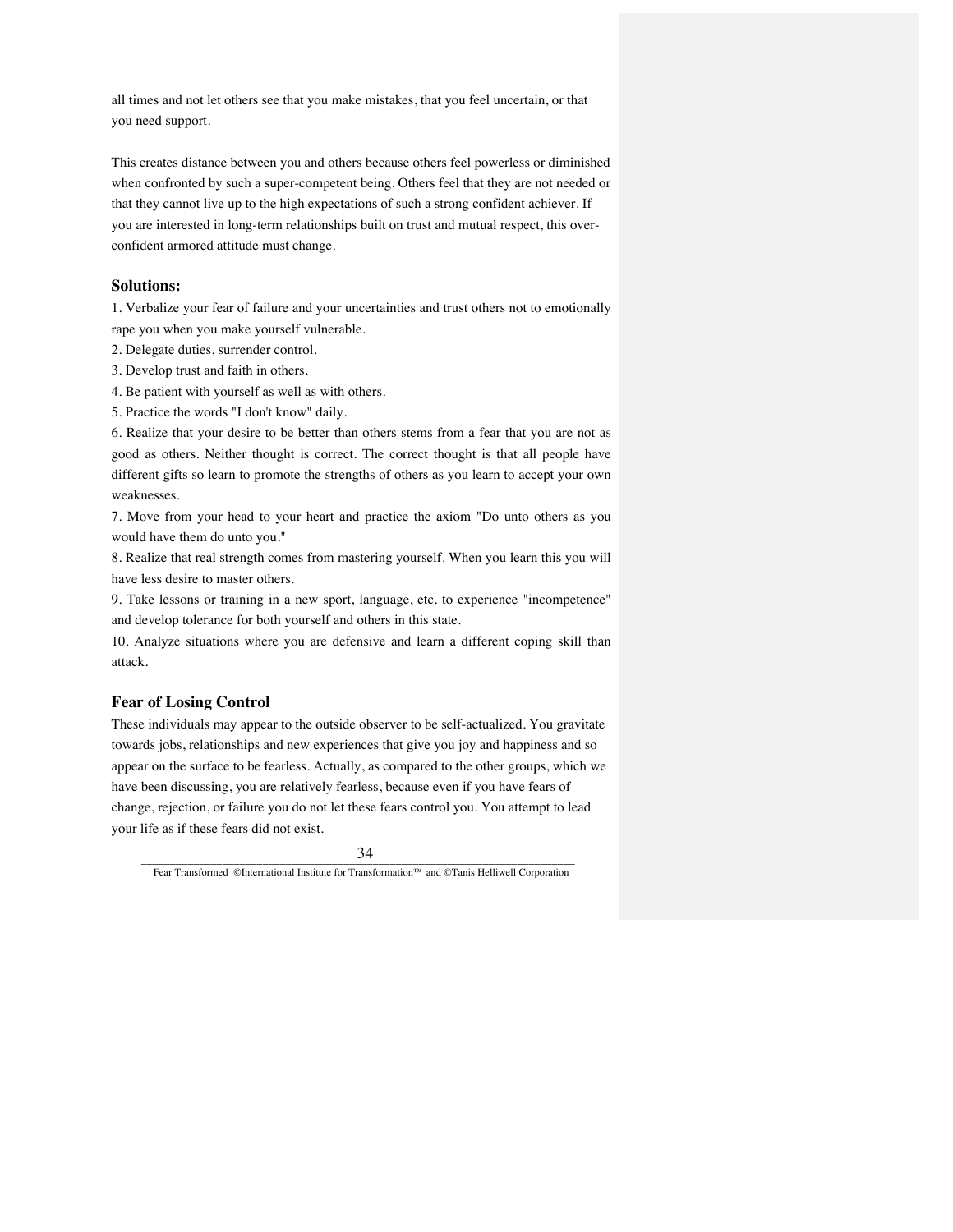all times and not let others see that you make mistakes, that you feel uncertain, or that you need support.

This creates distance between you and others because others feel powerless or diminished when confronted by such a super-competent being. Others feel that they are not needed or that they cannot live up to the high expectations of such a strong confident achiever. If you are interested in long-term relationships built on trust and mutual respect, this overconfident armored attitude must change.

#### **Solutions:**

1. Verbalize your fear of failure and your uncertainties and trust others not to emotionally rape you when you make yourself vulnerable.

- 2. Delegate duties, surrender control.
- 3. Develop trust and faith in others.
- 4. Be patient with yourself as well as with others.
- 5. Practice the words "I don't know" daily.

6. Realize that your desire to be better than others stems from a fear that you are not as good as others. Neither thought is correct. The correct thought is that all people have different gifts so learn to promote the strengths of others as you learn to accept your own weaknesses.

7. Move from your head to your heart and practice the axiom "Do unto others as you would have them do unto you."

8. Realize that real strength comes from mastering yourself. When you learn this you will have less desire to master others.

9. Take lessons or training in a new sport, language, etc. to experience "incompetence" and develop tolerance for both yourself and others in this state.

10. Analyze situations where you are defensive and learn a different coping skill than attack.

#### **Fear of Losing Control**

These individuals may appear to the outside observer to be self-actualized. You gravitate towards jobs, relationships and new experiences that give you joy and happiness and so appear on the surface to be fearless. Actually, as compared to the other groups, which we have been discussing, you are relatively fearless, because even if you have fears of change, rejection, or failure you do not let these fears control you. You attempt to lead your life as if these fears did not exist.

34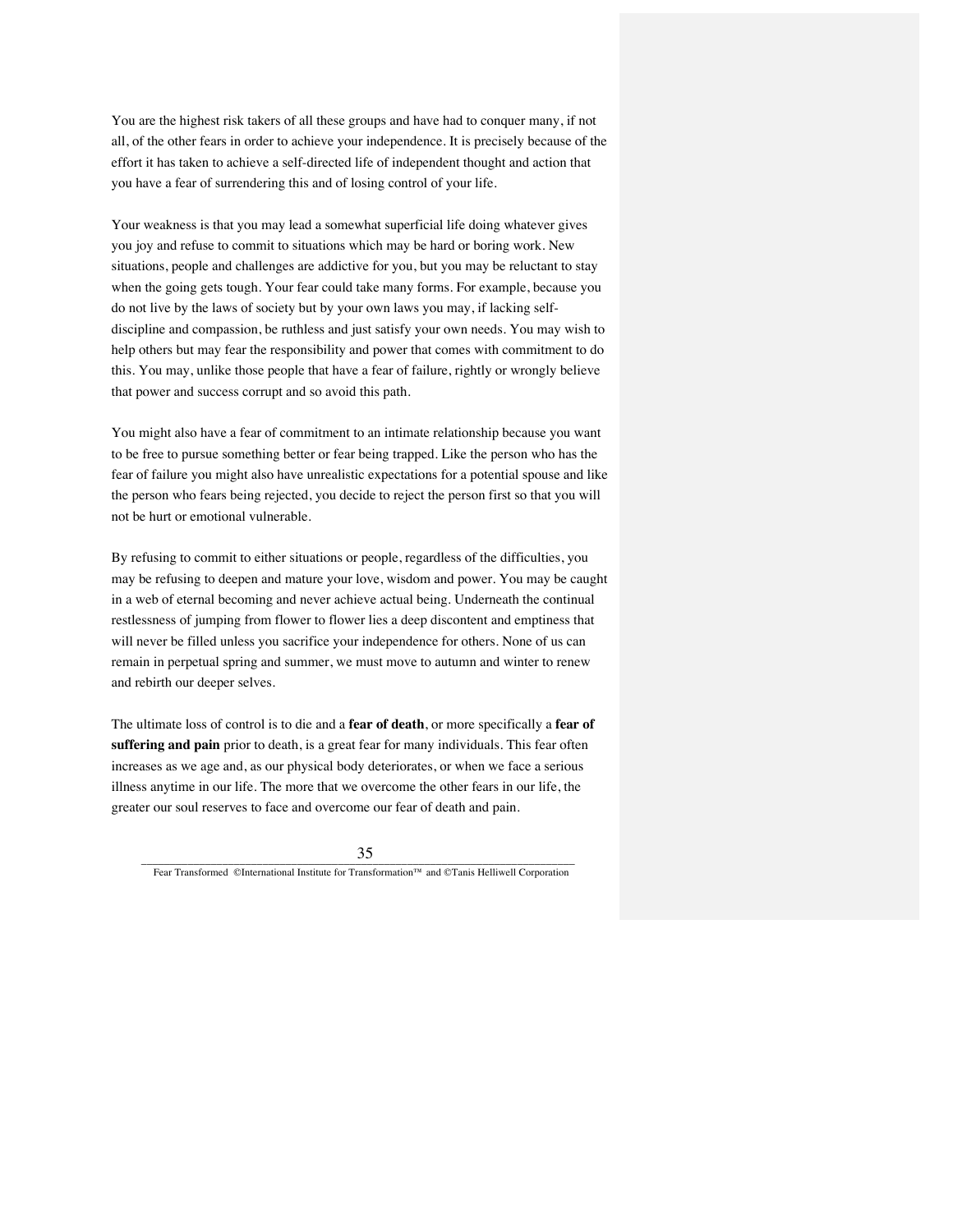You are the highest risk takers of all these groups and have had to conquer many, if not all, of the other fears in order to achieve your independence. It is precisely because of the effort it has taken to achieve a self-directed life of independent thought and action that you have a fear of surrendering this and of losing control of your life.

Your weakness is that you may lead a somewhat superficial life doing whatever gives you joy and refuse to commit to situations which may be hard or boring work. New situations, people and challenges are addictive for you, but you may be reluctant to stay when the going gets tough. Your fear could take many forms. For example, because you do not live by the laws of society but by your own laws you may, if lacking selfdiscipline and compassion, be ruthless and just satisfy your own needs. You may wish to help others but may fear the responsibility and power that comes with commitment to do this. You may, unlike those people that have a fear of failure, rightly or wrongly believe that power and success corrupt and so avoid this path.

You might also have a fear of commitment to an intimate relationship because you want to be free to pursue something better or fear being trapped. Like the person who has the fear of failure you might also have unrealistic expectations for a potential spouse and like the person who fears being rejected, you decide to reject the person first so that you will not be hurt or emotional vulnerable.

By refusing to commit to either situations or people, regardless of the difficulties, you may be refusing to deepen and mature your love, wisdom and power. You may be caught in a web of eternal becoming and never achieve actual being. Underneath the continual restlessness of jumping from flower to flower lies a deep discontent and emptiness that will never be filled unless you sacrifice your independence for others. None of us can remain in perpetual spring and summer, we must move to autumn and winter to renew and rebirth our deeper selves.

The ultimate loss of control is to die and a **fear of death**, or more specifically a **fear of suffering and pain** prior to death, is a great fear for many individuals. This fear often increases as we age and, as our physical body deteriorates, or when we face a serious illness anytime in our life. The more that we overcome the other fears in our life, the greater our soul reserves to face and overcome our fear of death and pain.

35

\_\_\_\_\_\_\_\_\_\_\_\_\_\_\_\_\_\_\_\_\_\_\_\_\_\_\_\_\_\_\_\_\_\_\_\_\_\_\_\_\_\_\_\_\_\_\_\_\_\_\_\_\_\_\_\_\_\_\_\_\_\_\_\_\_\_\_\_\_\_\_\_\_\_\_ Fear Transformed ©International Institute for Transformation™ and ©Tanis Helliwell Corporation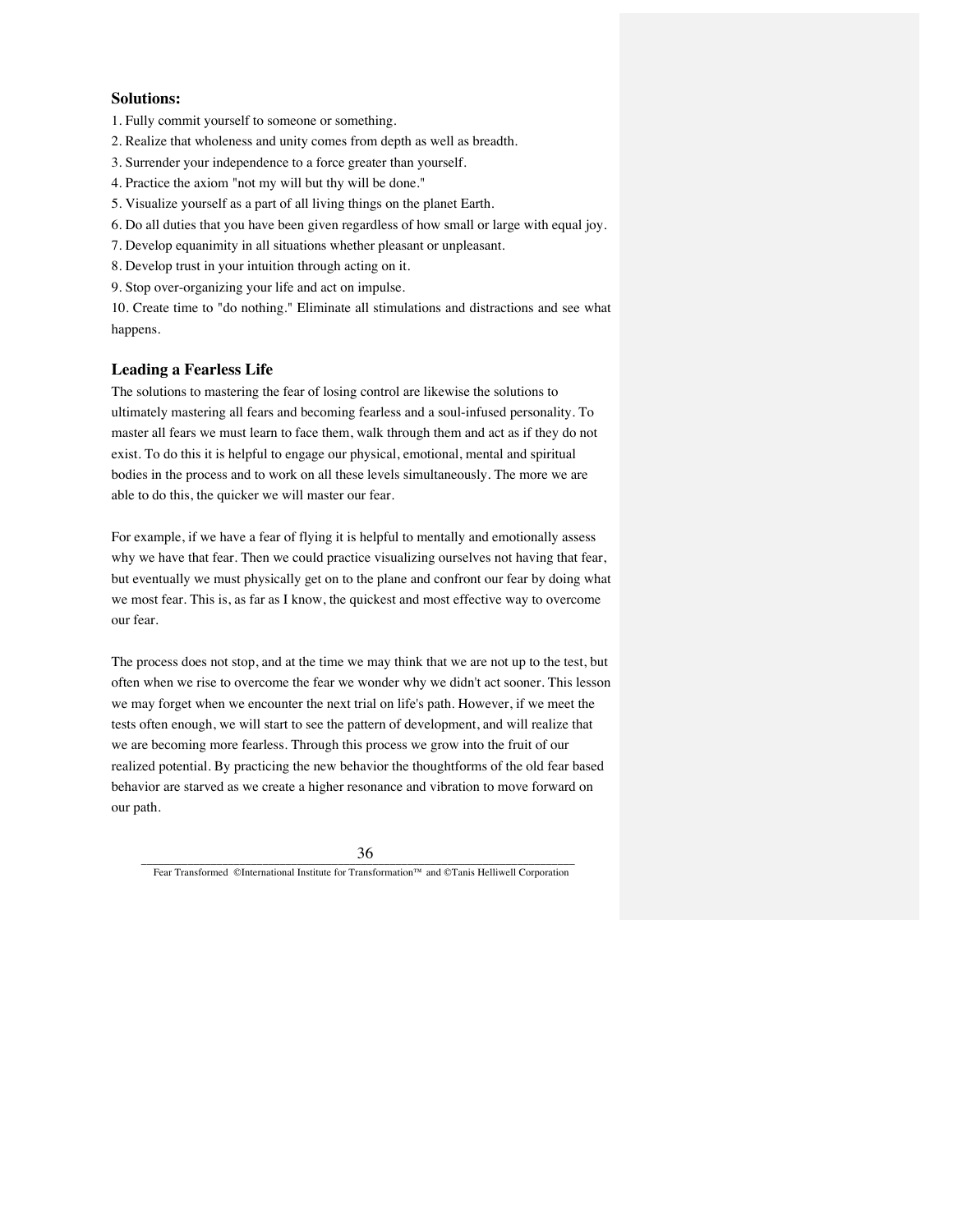#### **Solutions:**

- 1. Fully commit yourself to someone or something.
- 2. Realize that wholeness and unity comes from depth as well as breadth.
- 3. Surrender your independence to a force greater than yourself.
- 4. Practice the axiom "not my will but thy will be done."
- 5. Visualize yourself as a part of all living things on the planet Earth.
- 6. Do all duties that you have been given regardless of how small or large with equal joy.
- 7. Develop equanimity in all situations whether pleasant or unpleasant.
- 8. Develop trust in your intuition through acting on it.
- 9. Stop over-organizing your life and act on impulse.

10. Create time to "do nothing." Eliminate all stimulations and distractions and see what happens.

#### **Leading a Fearless Life**

The solutions to mastering the fear of losing control are likewise the solutions to ultimately mastering all fears and becoming fearless and a soul-infused personality. To master all fears we must learn to face them, walk through them and act as if they do not exist. To do this it is helpful to engage our physical, emotional, mental and spiritual bodies in the process and to work on all these levels simultaneously. The more we are able to do this, the quicker we will master our fear.

For example, if we have a fear of flying it is helpful to mentally and emotionally assess why we have that fear. Then we could practice visualizing ourselves not having that fear, but eventually we must physically get on to the plane and confront our fear by doing what we most fear. This is, as far as I know, the quickest and most effective way to overcome our fear.

The process does not stop, and at the time we may think that we are not up to the test, but often when we rise to overcome the fear we wonder why we didn't act sooner. This lesson we may forget when we encounter the next trial on life's path. However, if we meet the tests often enough, we will start to see the pattern of development, and will realize that we are becoming more fearless. Through this process we grow into the fruit of our realized potential. By practicing the new behavior the thoughtforms of the old fear based behavior are starved as we create a higher resonance and vibration to move forward on our path.

36

\_\_\_\_\_\_\_\_\_\_\_\_\_\_\_\_\_\_\_\_\_\_\_\_\_\_\_\_\_\_\_\_\_\_\_\_\_\_\_\_\_\_\_\_\_\_\_\_\_\_\_\_\_\_\_\_\_\_\_\_\_\_\_\_\_\_\_\_\_\_\_\_\_\_\_ Fear Transformed ©International Institute for Transformation™ and ©Tanis Helliwell Corporation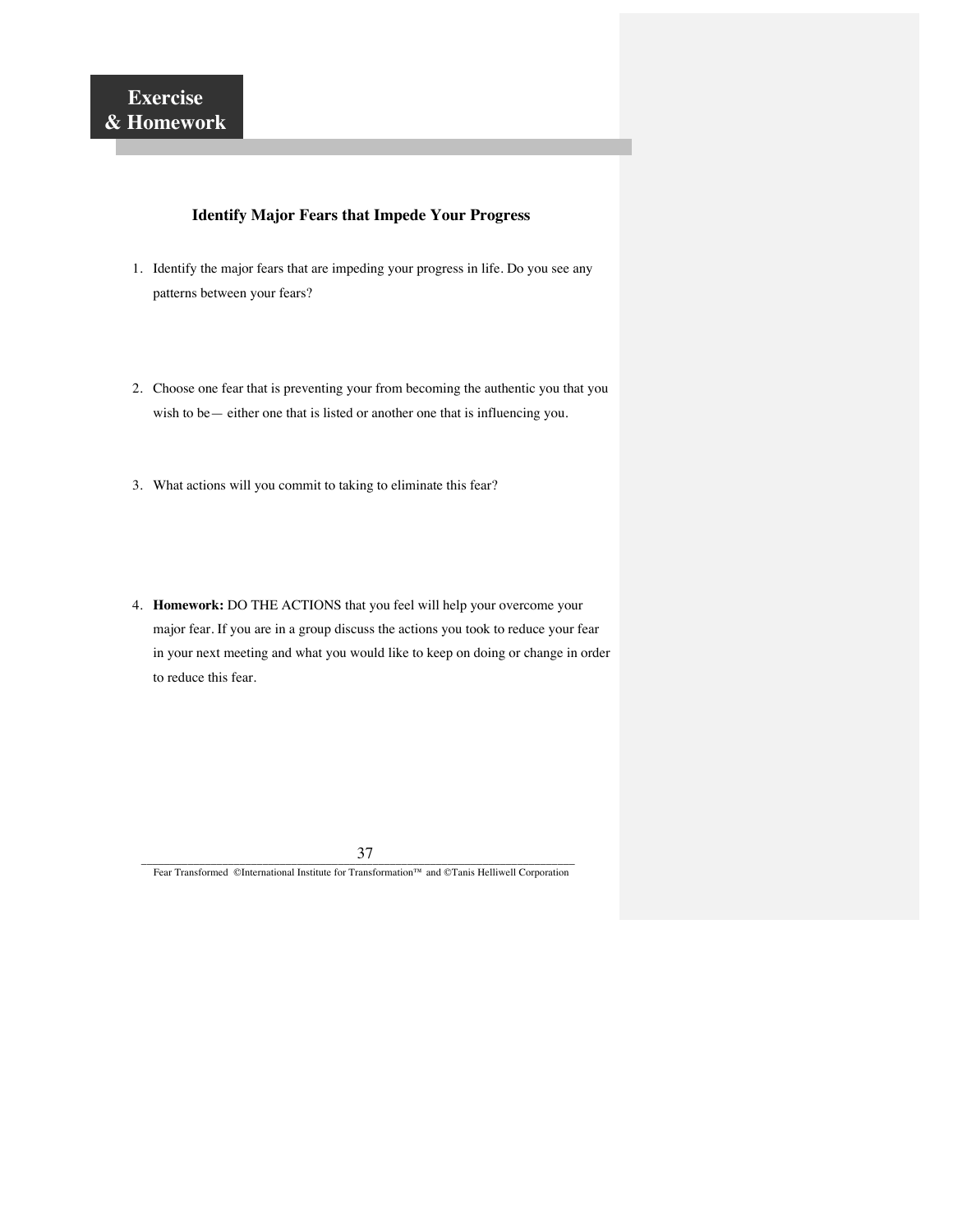## **Identify Major Fears that Impede Your Progress**

- 1. Identify the major fears that are impeding your progress in life. Do you see any patterns between your fears?
- 2. Choose one fear that is preventing your from becoming the authentic you that you wish to be— either one that is listed or another one that is influencing you.
- 3. What actions will you commit to taking to eliminate this fear?
- 4. **Homework:** DO THE ACTIONS that you feel will help your overcome your major fear. If you are in a group discuss the actions you took to reduce your fear in your next meeting and what you would like to keep on doing or change in order to reduce this fear.

37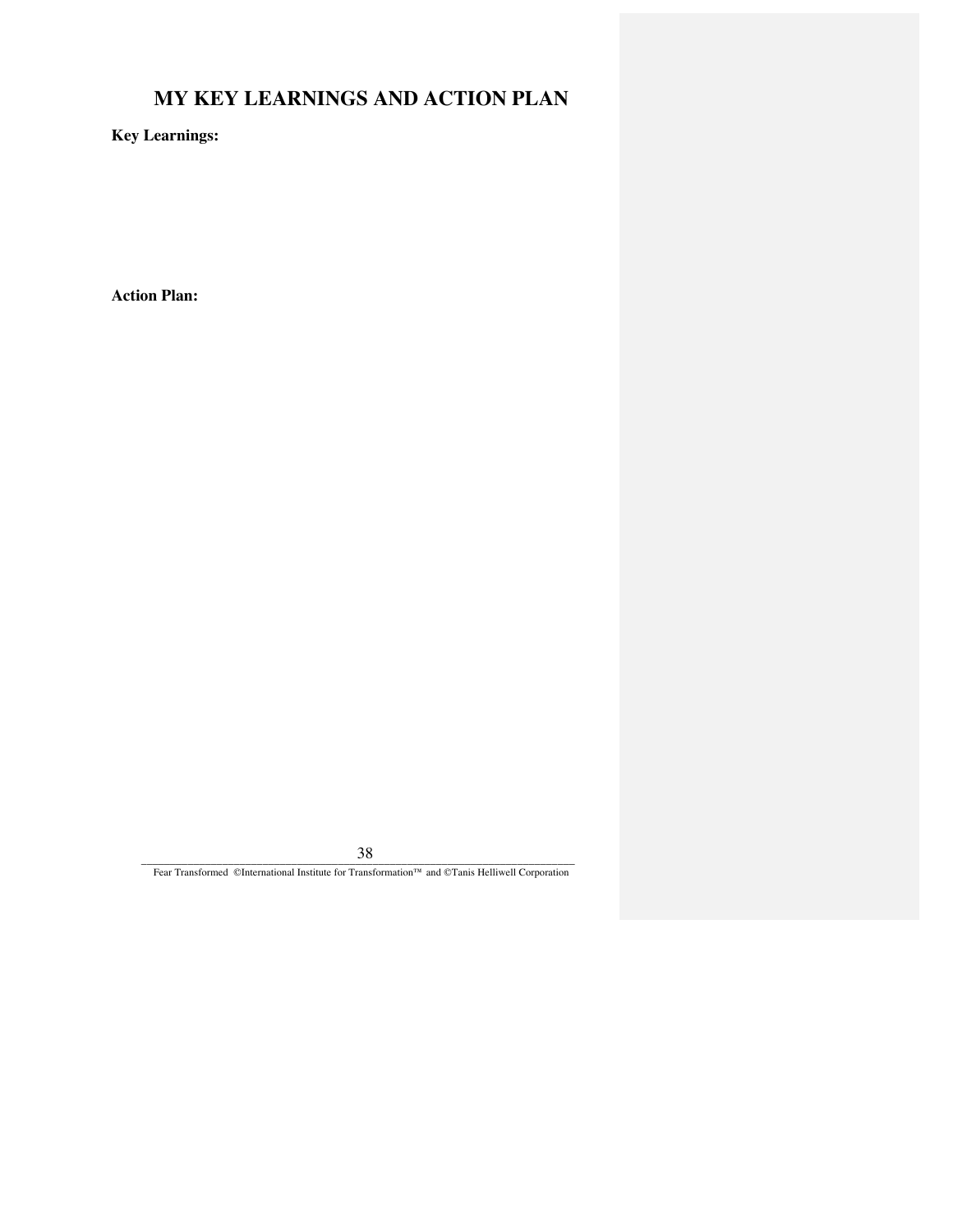# **MY KEY LEARNINGS AND ACTION PLAN**

**Key Learnings:**

**Action Plan:**

38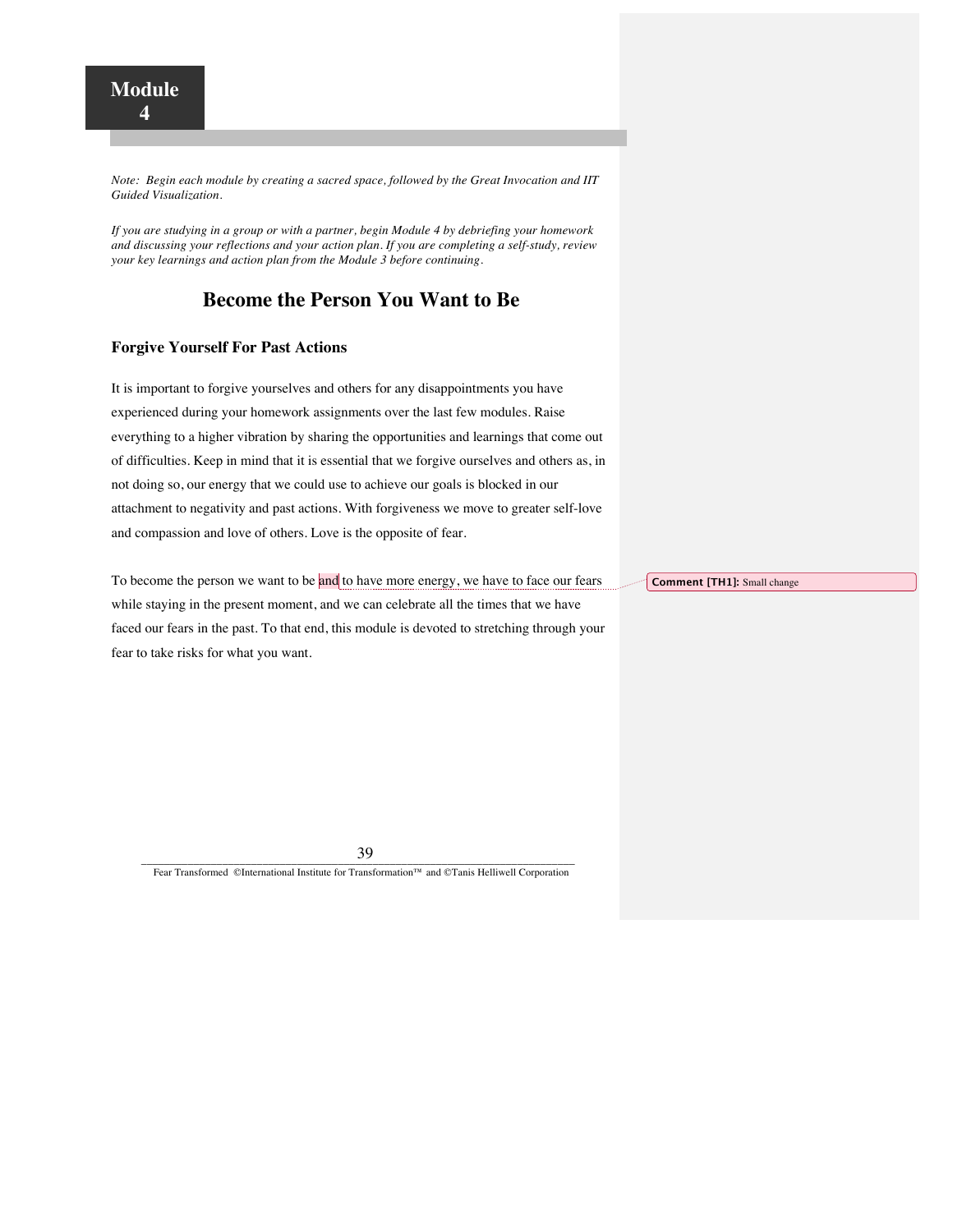*Note: Begin each module by creating a sacred space, followed by the Great Invocation and IIT Guided Visualization.*

*If you are studying in a group or with a partner, begin Module 4 by debriefing your homework and discussing your reflections and your action plan. If you are completing a self-study, review your key learnings and action plan from the Module 3 before continuing.*

## **Become the Person You Want to Be**

## **Forgive Yourself For Past Actions**

It is important to forgive yourselves and others for any disappointments you have experienced during your homework assignments over the last few modules. Raise everything to a higher vibration by sharing the opportunities and learnings that come out of difficulties. Keep in mind that it is essential that we forgive ourselves and others as, in not doing so, our energy that we could use to achieve our goals is blocked in our attachment to negativity and past actions. With forgiveness we move to greater self-love and compassion and love of others. Love is the opposite of fear.

To become the person we want to be and to have more energy, we have to face our fears while staying in the present moment, and we can celebrate all the times that we have faced our fears in the past. To that end, this module is devoted to stretching through your fear to take risks for what you want.

**Comment [TH1]:** Small change

39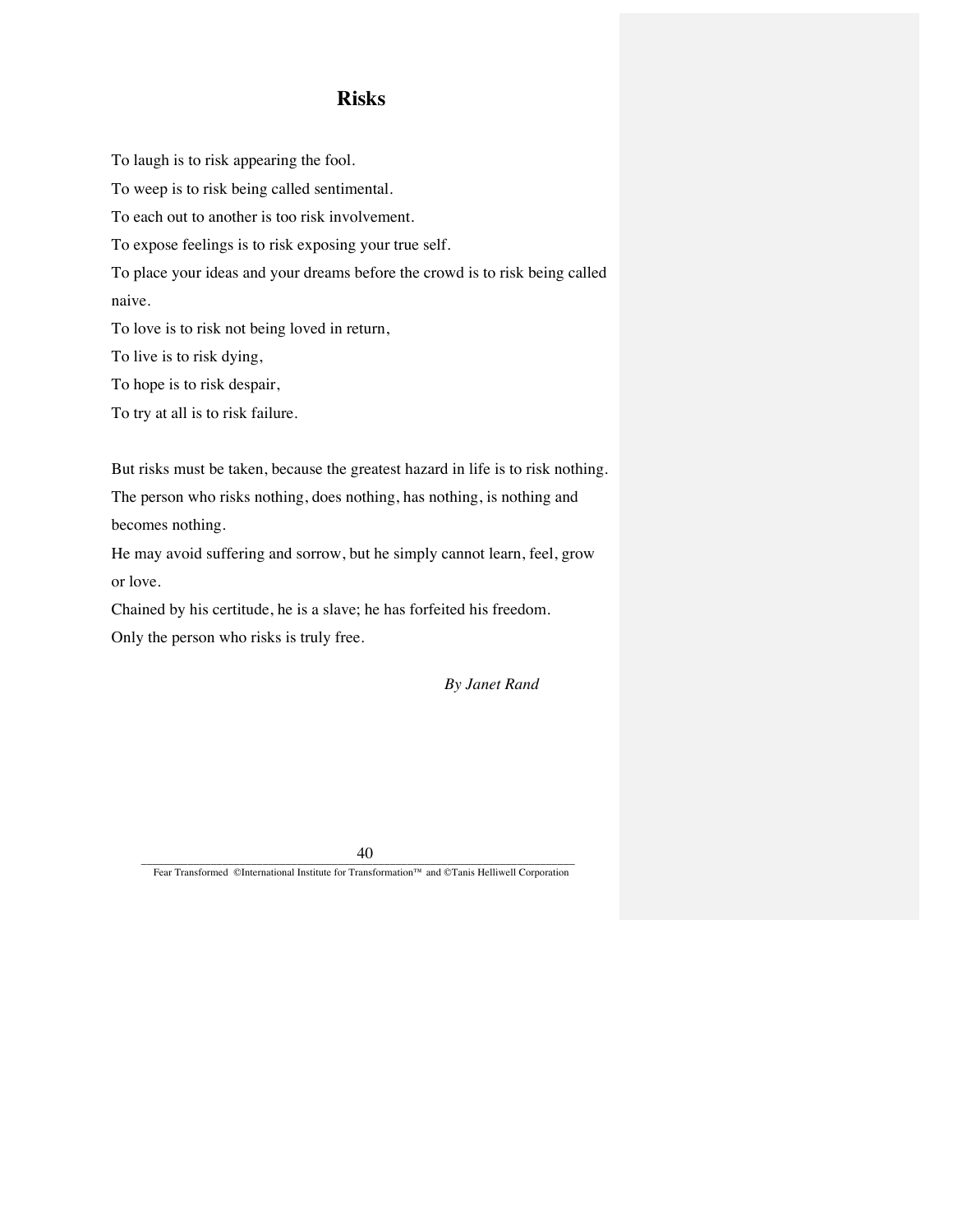## **Risks**

To laugh is to risk appearing the fool. To weep is to risk being called sentimental. To each out to another is too risk involvement. To expose feelings is to risk exposing your true self. To place your ideas and your dreams before the crowd is to risk being called naive. To love is to risk not being loved in return, To live is to risk dying, To hope is to risk despair, To try at all is to risk failure.

But risks must be taken, because the greatest hazard in life is to risk nothing. The person who risks nothing, does nothing, has nothing, is nothing and becomes nothing.

He may avoid suffering and sorrow, but he simply cannot learn, feel, grow or love.

Chained by his certitude, he is a slave; he has forfeited his freedom. Only the person who risks is truly free.

*By Janet Rand*

40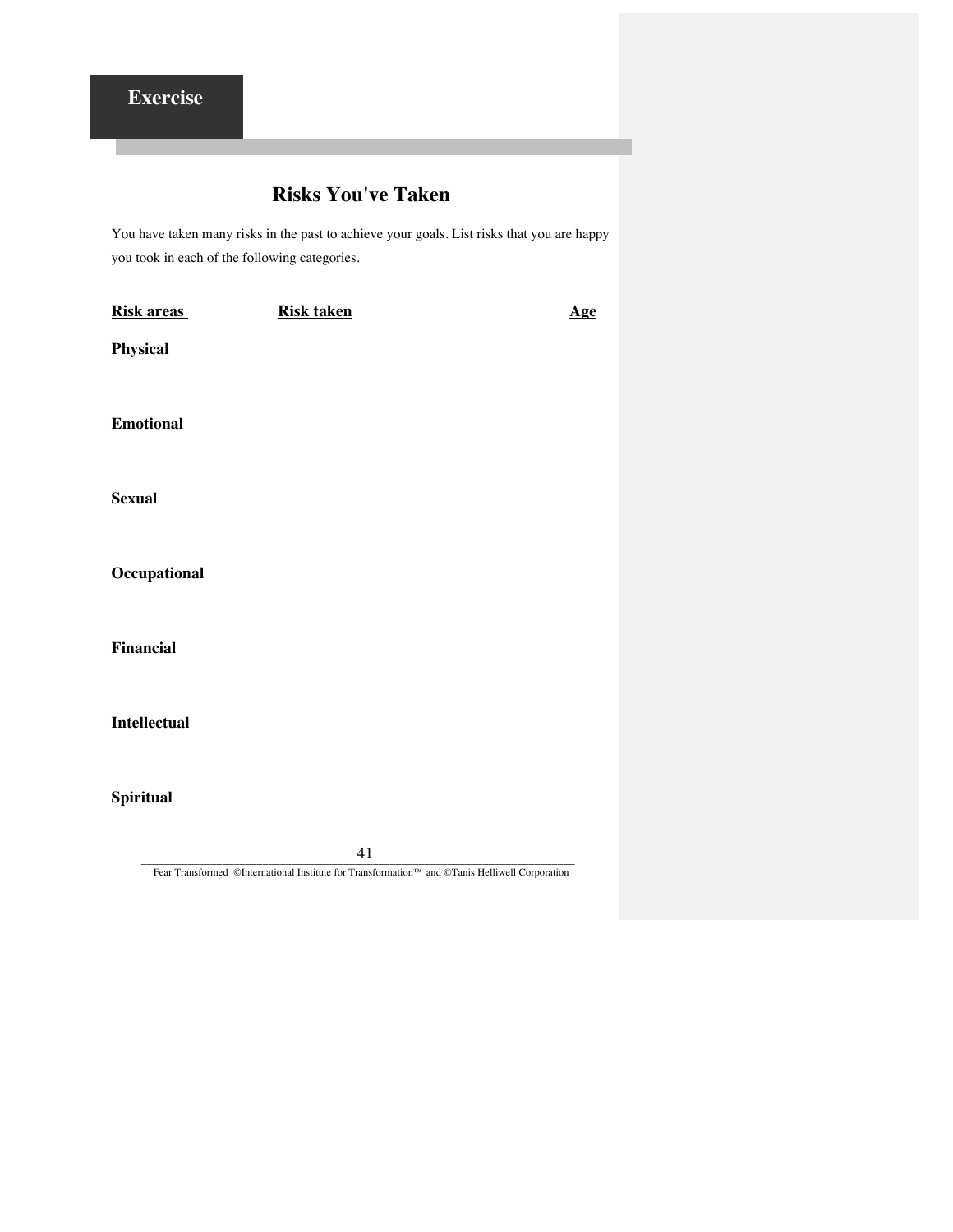# **Risks You've Taken**

You have taken many risks in the past to achieve your goals. List risks that you are happy you took in each of the following categories.

|                  | <b>Risk areas</b>                                                                                          | <b>Risk taken</b> |    |  | Age |  |
|------------------|------------------------------------------------------------------------------------------------------------|-------------------|----|--|-----|--|
| Physical         |                                                                                                            |                   |    |  |     |  |
|                  |                                                                                                            |                   |    |  |     |  |
| <b>Emotional</b> |                                                                                                            |                   |    |  |     |  |
|                  |                                                                                                            |                   |    |  |     |  |
| <b>Sexual</b>    |                                                                                                            |                   |    |  |     |  |
|                  |                                                                                                            |                   |    |  |     |  |
|                  | Occupational                                                                                               |                   |    |  |     |  |
|                  |                                                                                                            |                   |    |  |     |  |
| Financial        |                                                                                                            |                   |    |  |     |  |
|                  |                                                                                                            |                   |    |  |     |  |
|                  | <b>Intellectual</b>                                                                                        |                   |    |  |     |  |
|                  |                                                                                                            |                   |    |  |     |  |
| <b>Spiritual</b> |                                                                                                            |                   |    |  |     |  |
|                  |                                                                                                            |                   | 41 |  |     |  |
|                  | Fear Transformed ©International Institute for Transformation <sup>™</sup> and ©Tanis Helliwell Corporation |                   |    |  |     |  |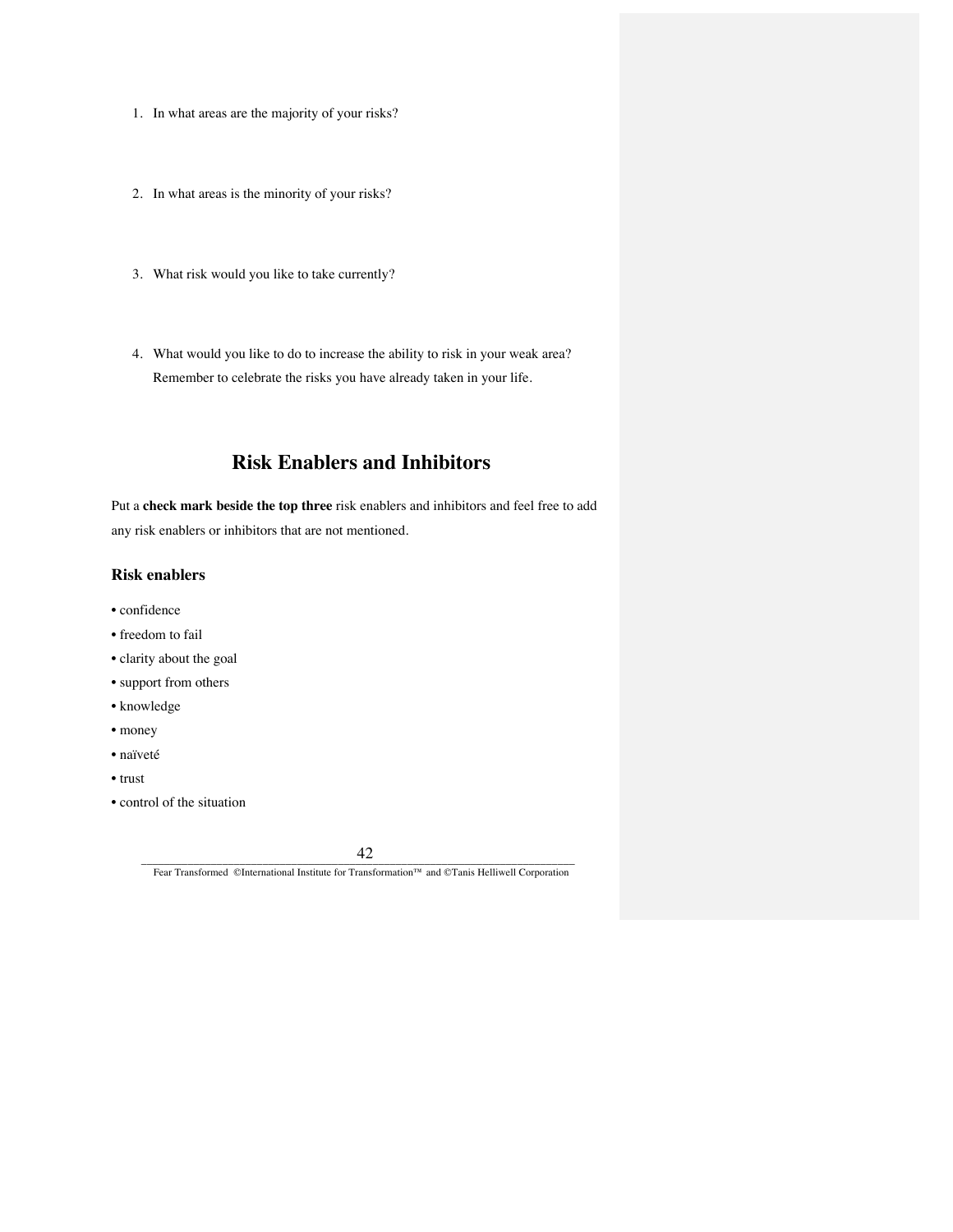- 1. In what areas are the majority of your risks?
- 2. In what areas is the minority of your risks?
- 3. What risk would you like to take currently?
- 4. What would you like to do to increase the ability to risk in your weak area? Remember to celebrate the risks you have already taken in your life.

## **Risk Enablers and Inhibitors**

Put a **check mark beside the top three** risk enablers and inhibitors and feel free to add any risk enablers or inhibitors that are not mentioned.

## **Risk enablers**

- confidence
- freedom to fail
- clarity about the goal
- support from others
- knowledge
- money
- naïveté
- trust
- control of the situation

42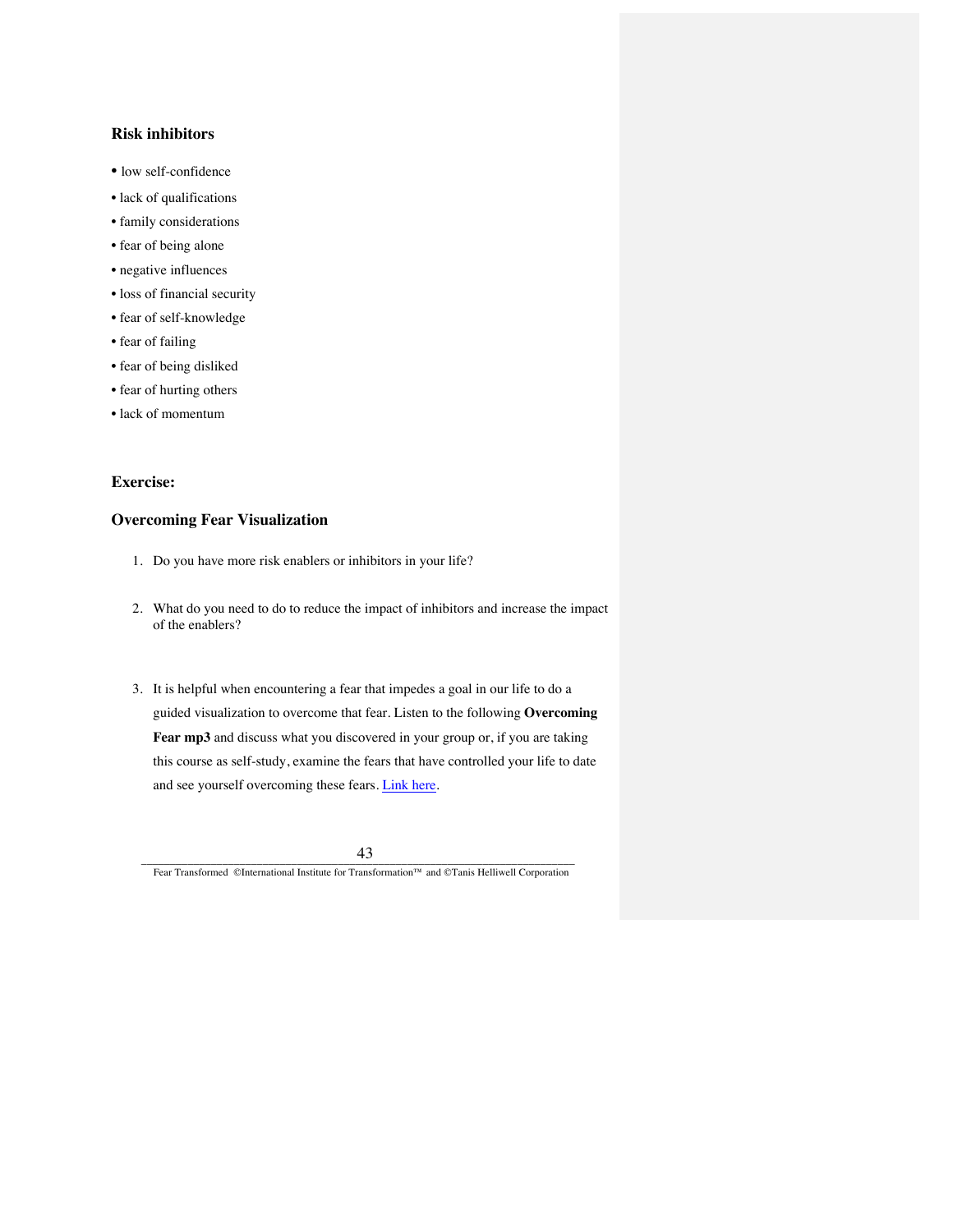## **Risk inhibitors**

- low self-confidence
- lack of qualifications
- family considerations
- fear of being alone
- negative influences
- loss of financial security
- fear of self-knowledge
- fear of failing
- fear of being disliked
- fear of hurting others
- lack of momentum

## **Exercise:**

## **Overcoming Fear Visualization**

- 1. Do you have more risk enablers or inhibitors in your life?
- 2. What do you need to do to reduce the impact of inhibitors and increase the impact of the enablers?
- 3. It is helpful when encountering a fear that impedes a goal in our life to do a guided visualization to overcome that fear. Listen to the following **Overcoming Fear mp3** and discuss what you discovered in your group or, if you are taking this course as self-study, examine the fears that have controlled your life to date and see yourself overcoming these fears. Link here.

43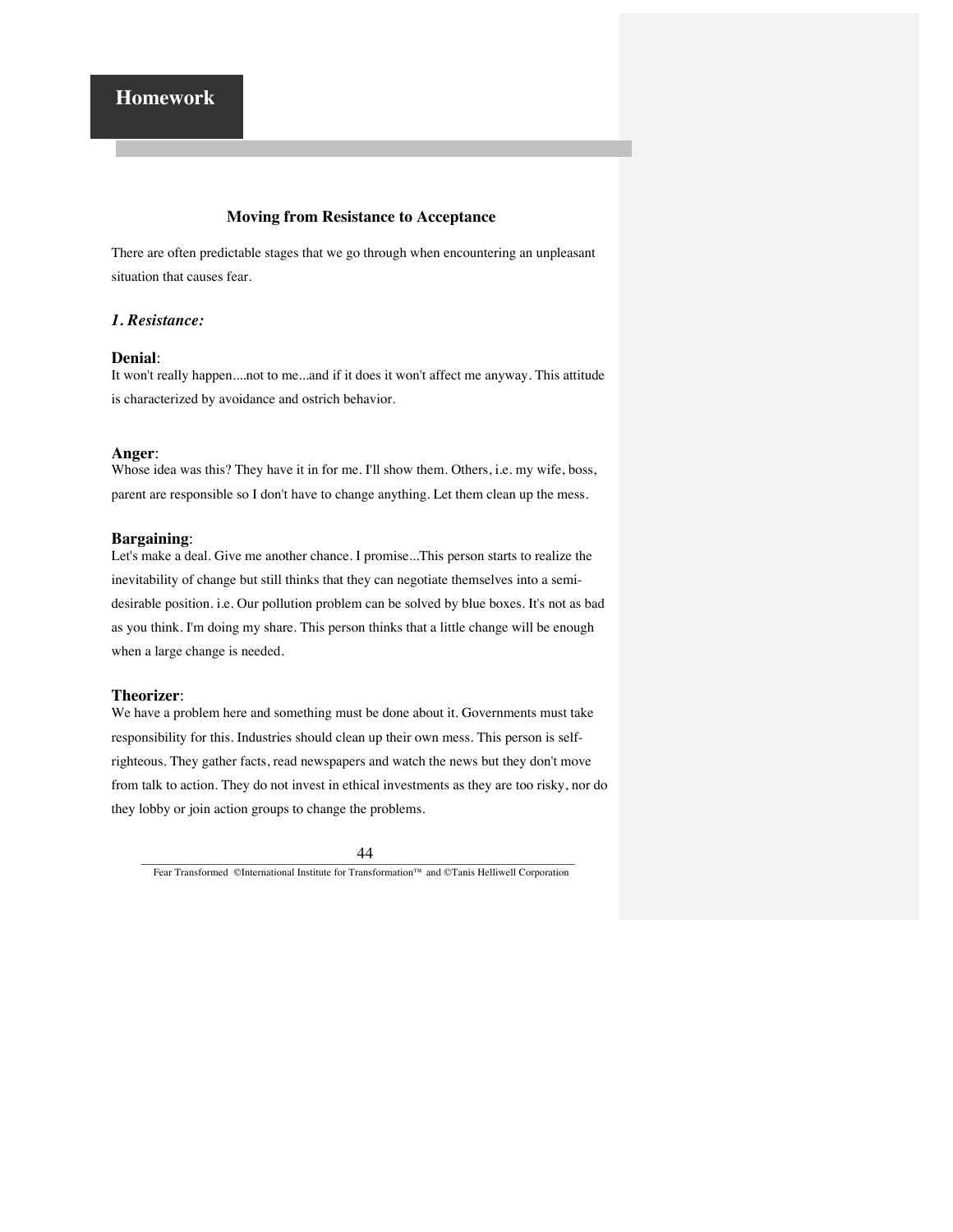**Homework**

#### **Moving from Resistance to Acceptance**

There are often predictable stages that we go through when encountering an unpleasant situation that causes fear.

## *1. Resistance:*

#### **Denial**:

It won't really happen....not to me...and if it does it won't affect me anyway. This attitude is characterized by avoidance and ostrich behavior.

### **Anger**:

Whose idea was this? They have it in for me. I'll show them. Others, i.e. my wife, boss, parent are responsible so I don't have to change anything. Let them clean up the mess.

#### **Bargaining**:

Let's make a deal. Give me another chance. I promise...This person starts to realize the inevitability of change but still thinks that they can negotiate themselves into a semidesirable position. i.e. Our pollution problem can be solved by blue boxes. It's not as bad as you think. I'm doing my share. This person thinks that a little change will be enough when a large change is needed.

#### **Theorizer**:

We have a problem here and something must be done about it. Governments must take responsibility for this. Industries should clean up their own mess. This person is selfrighteous. They gather facts, read newspapers and watch the news but they don't move from talk to action. They do not invest in ethical investments as they are too risky, nor do they lobby or join action groups to change the problems.

44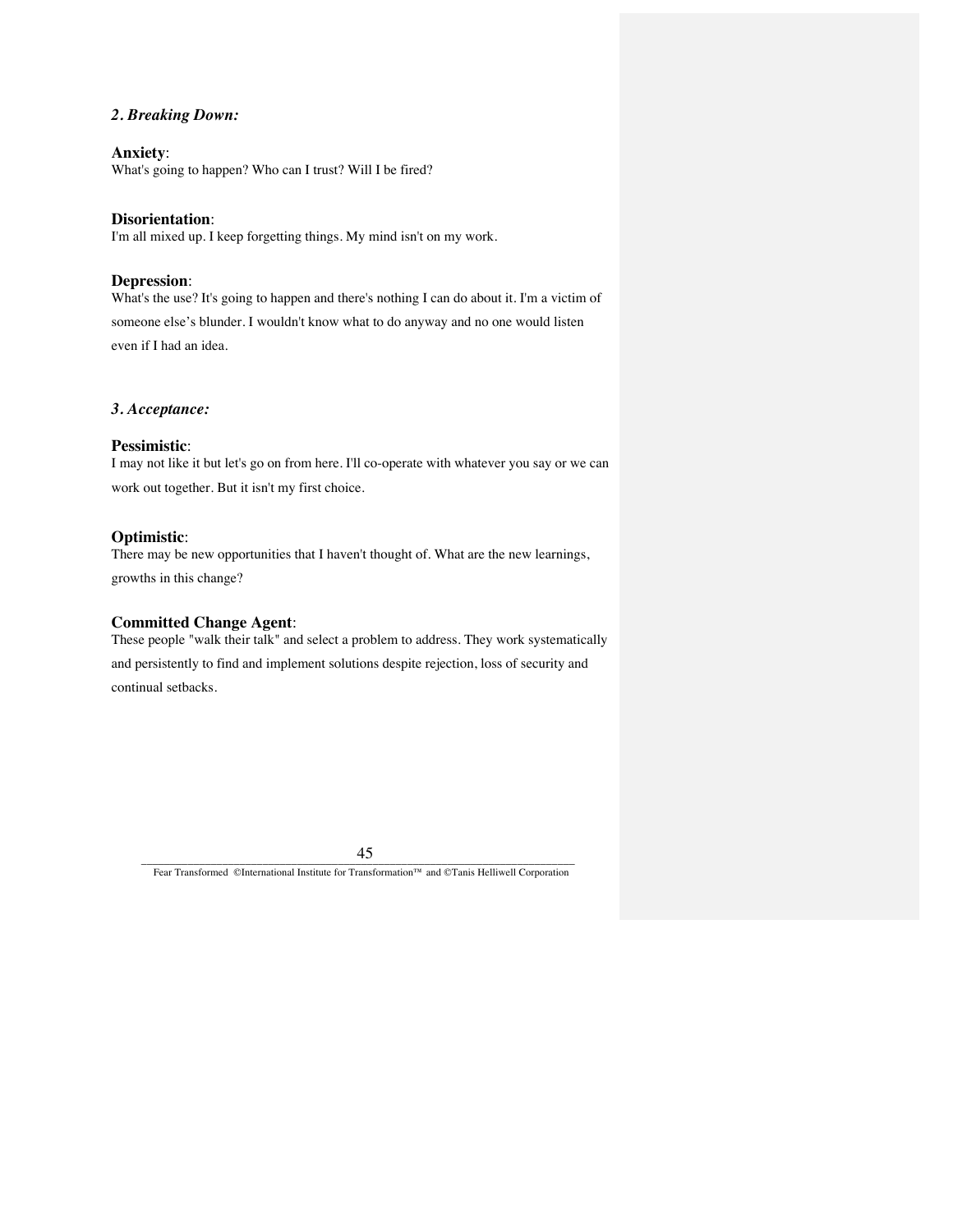## *2. Breaking Down:*

## **Anxiety**:

What's going to happen? Who can I trust? Will I be fired?

## **Disorientation**:

I'm all mixed up. I keep forgetting things. My mind isn't on my work.

## **Depression**:

What's the use? It's going to happen and there's nothing I can do about it. I'm a victim of someone else's blunder. I wouldn't know what to do anyway and no one would listen even if I had an idea.

## *3. Acceptance:*

## **Pessimistic**:

I may not like it but let's go on from here. I'll co-operate with whatever you say or we can work out together. But it isn't my first choice.

### **Optimistic**:

There may be new opportunities that I haven't thought of. What are the new learnings, growths in this change?

## **Committed Change Agent**:

These people "walk their talk" and select a problem to address. They work systematically

and persistently to find and implement solutions despite rejection, loss of security and continual setbacks.

45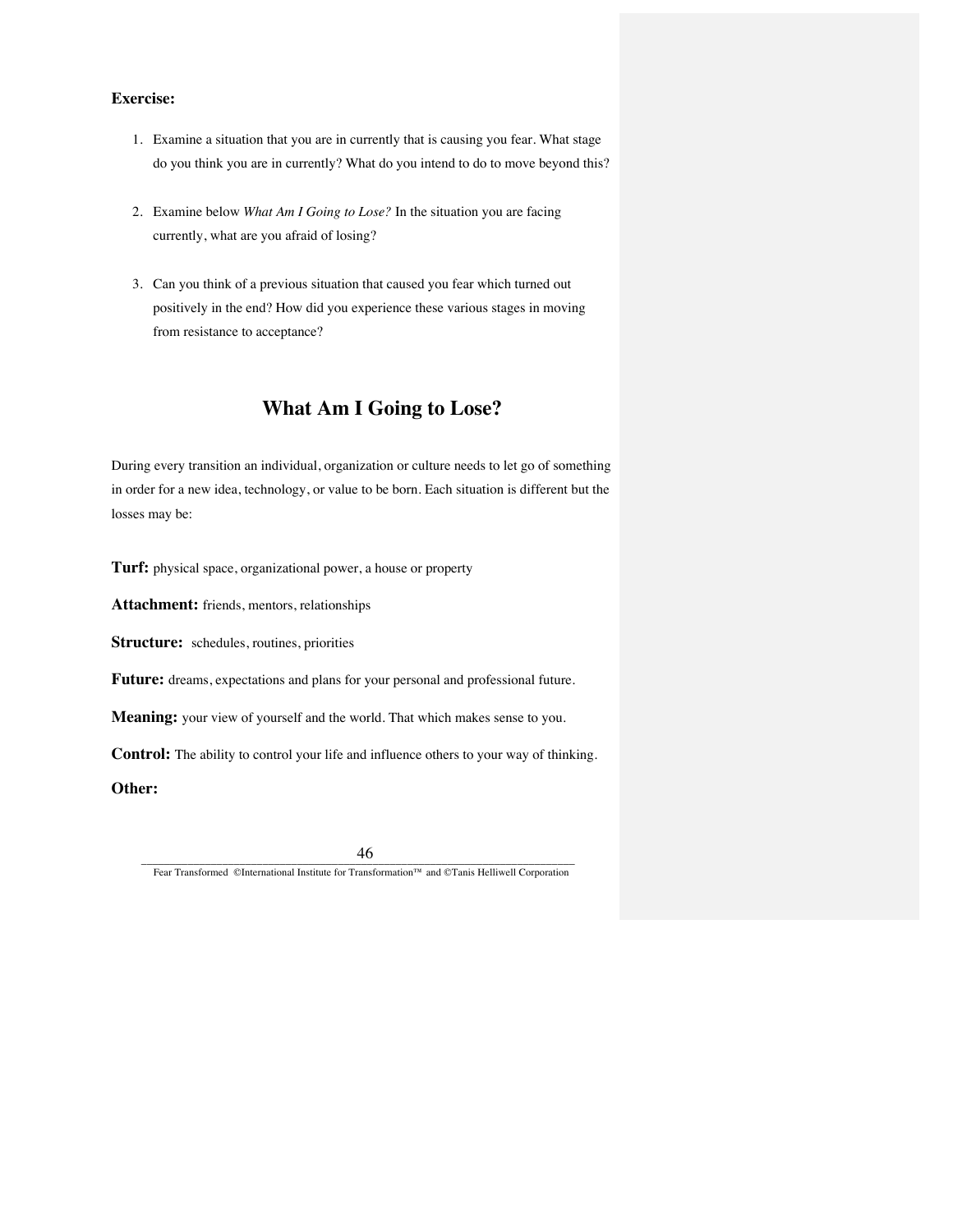## **Exercise:**

- 1. Examine a situation that you are in currently that is causing you fear. What stage do you think you are in currently? What do you intend to do to move beyond this?
- 2. Examine below *What Am I Going to Lose?* In the situation you are facing currently, what are you afraid of losing?
- 3. Can you think of a previous situation that caused you fear which turned out positively in the end? How did you experience these various stages in moving from resistance to acceptance?

## **What Am I Going to Lose?**

During every transition an individual, organization or culture needs to let go of something in order for a new idea, technology, or value to be born. Each situation is different but the losses may be:

**Turf:** physical space, organizational power, a house or property

**Attachment:** friends, mentors, relationships

Structure: schedules, routines, priorities

**Future:** dreams, expectations and plans for your personal and professional future.

**Meaning:** your view of yourself and the world. That which makes sense to you.

**Control:** The ability to control your life and influence others to your way of thinking.

**Other:**

46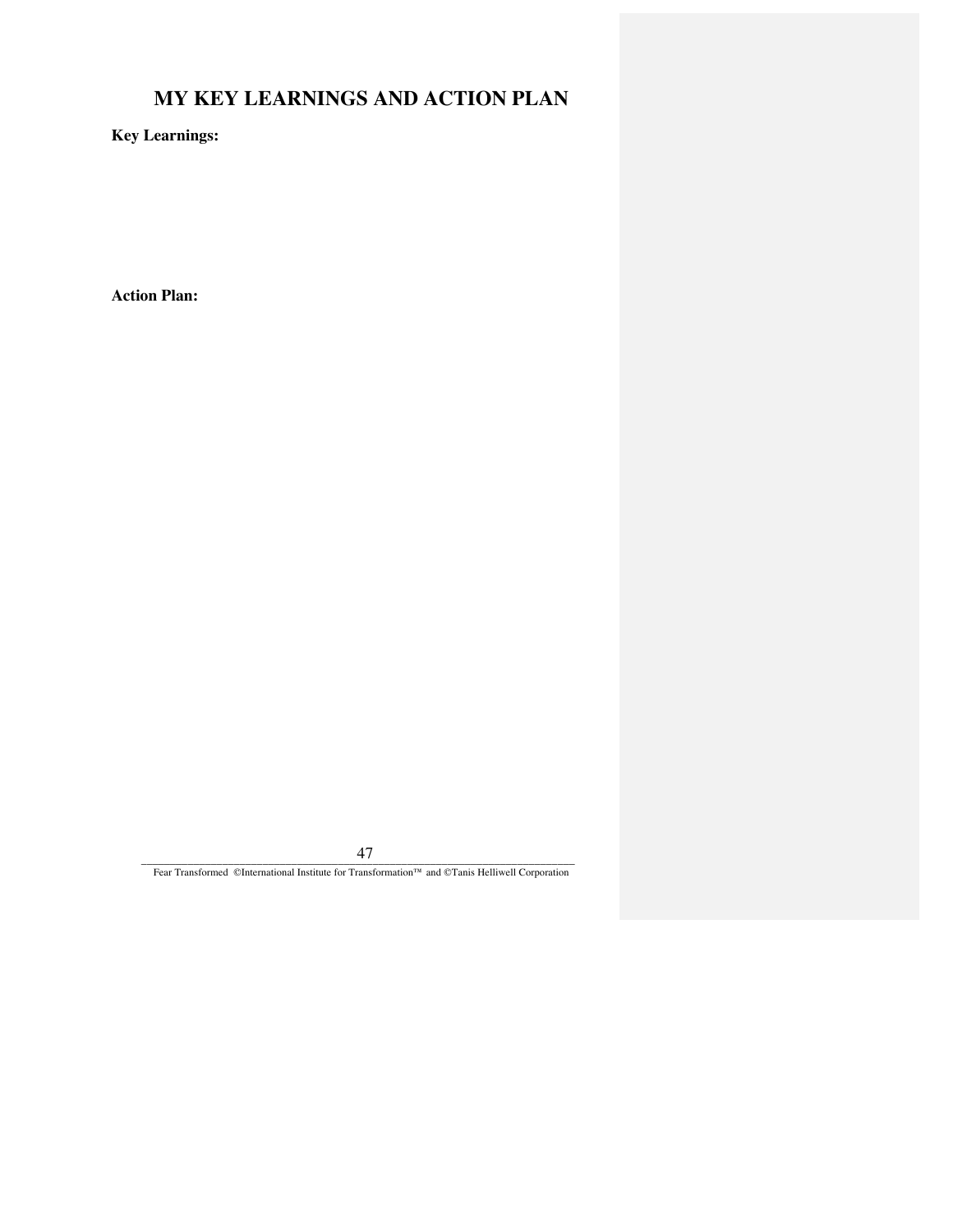# **MY KEY LEARNINGS AND ACTION PLAN**

**Key Learnings:**

**Action Plan:**

47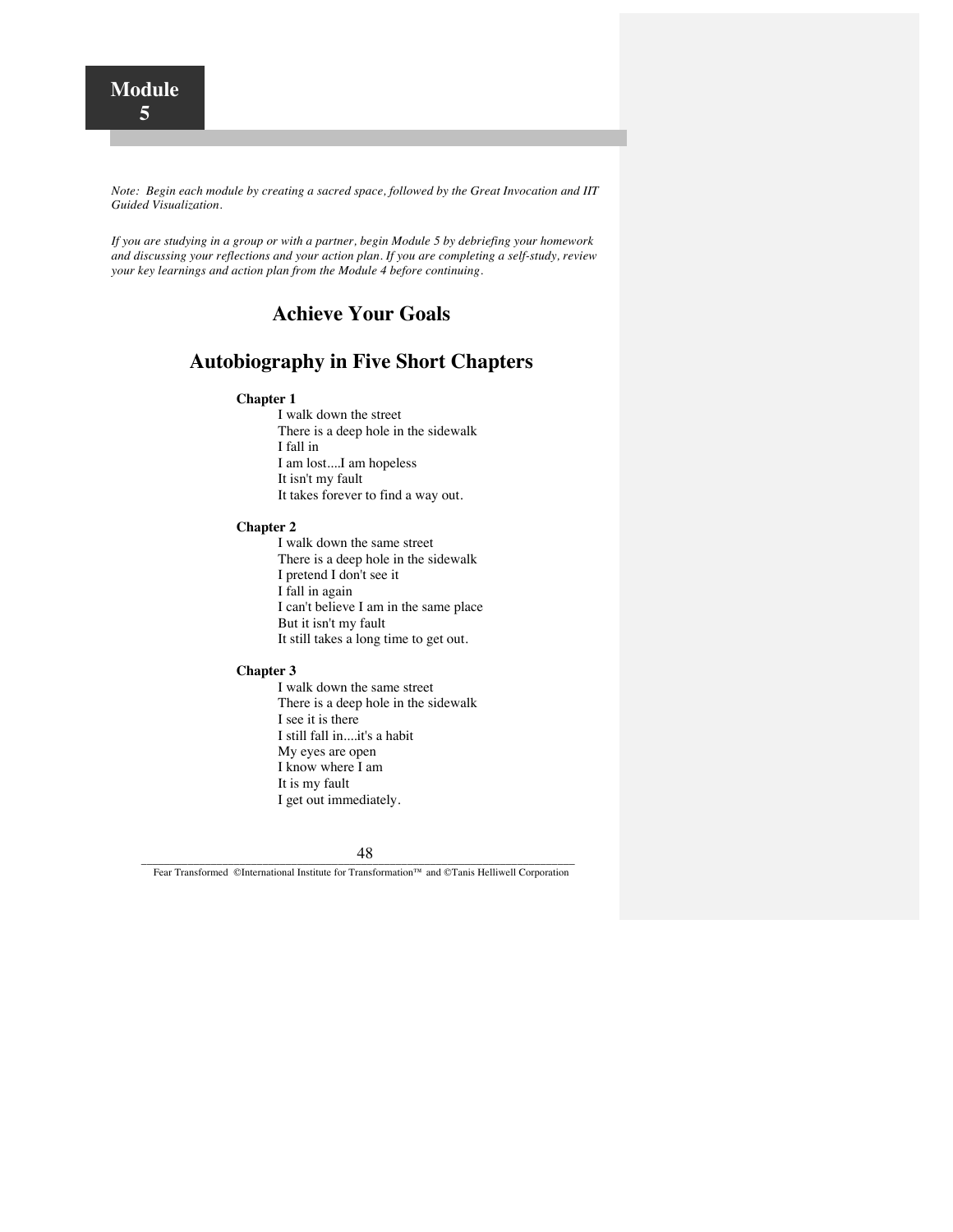*Note: Begin each module by creating a sacred space, followed by the Great Invocation and IIT Guided Visualization.*

*If you are studying in a group or with a partner, begin Module 5 by debriefing your homework and discussing your reflections and your action plan. If you are completing a self-study, review your key learnings and action plan from the Module 4 before continuing.*

## **Achieve Your Goals**

## **Autobiography in Five Short Chapters**

## **Chapter 1**

I walk down the street There is a deep hole in the sidewalk I fall in I am lost....I am hopeless It isn't my fault It takes forever to find a way out.

#### **Chapter 2**

I walk down the same street There is a deep hole in the sidewalk I pretend I don't see it I fall in again I can't believe I am in the same place But it isn't my fault It still takes a long time to get out.

## **Chapter 3**

I walk down the same street There is a deep hole in the sidewalk I see it is there I still fall in....it's a habit My eyes are open I know where I am It is my fault I get out immediately.

48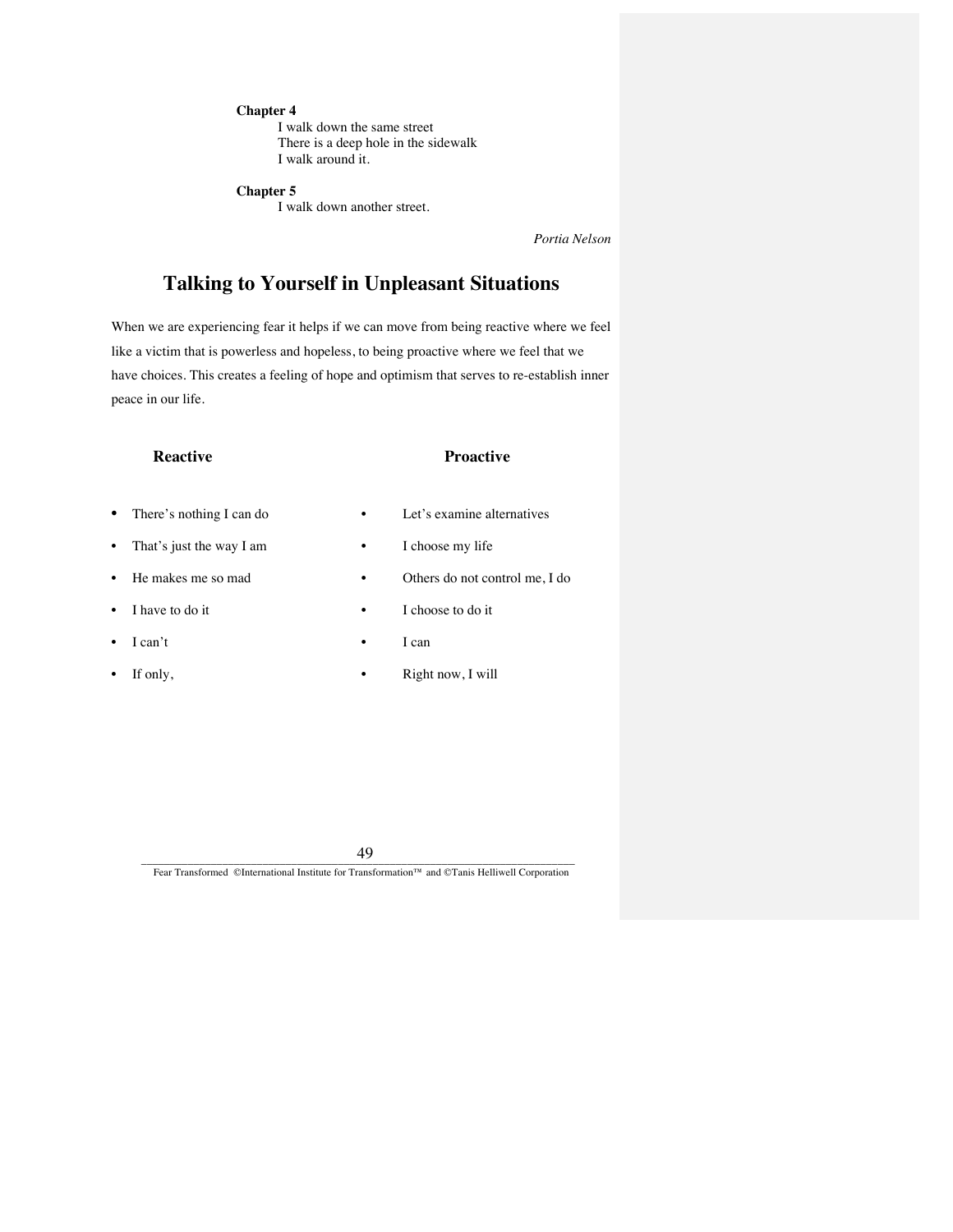## **Chapter 4**

I walk down the same street There is a deep hole in the sidewalk I walk around it.

## **Chapter 5**

I walk down another street.

*Portia Nelson*

## **Talking to Yourself in Unpleasant Situations**

When we are experiencing fear it helps if we can move from being reactive where we feel like a victim that is powerless and hopeless, to being proactive where we feel that we have choices. This creates a feeling of hope and optimism that serves to re-establish inner peace in our life.

#### **Reactive Proactive**

- There's nothing I can do **•** Let's examine alternatives
- That's just the way I am I choose my life
	- He makes me so mad Others do not control me, I do
- I have to do it  $\bullet$  I choose to do it
- 
- 
- 
- I can't **can't example 1** can
- If only, **•** Right now, I will

49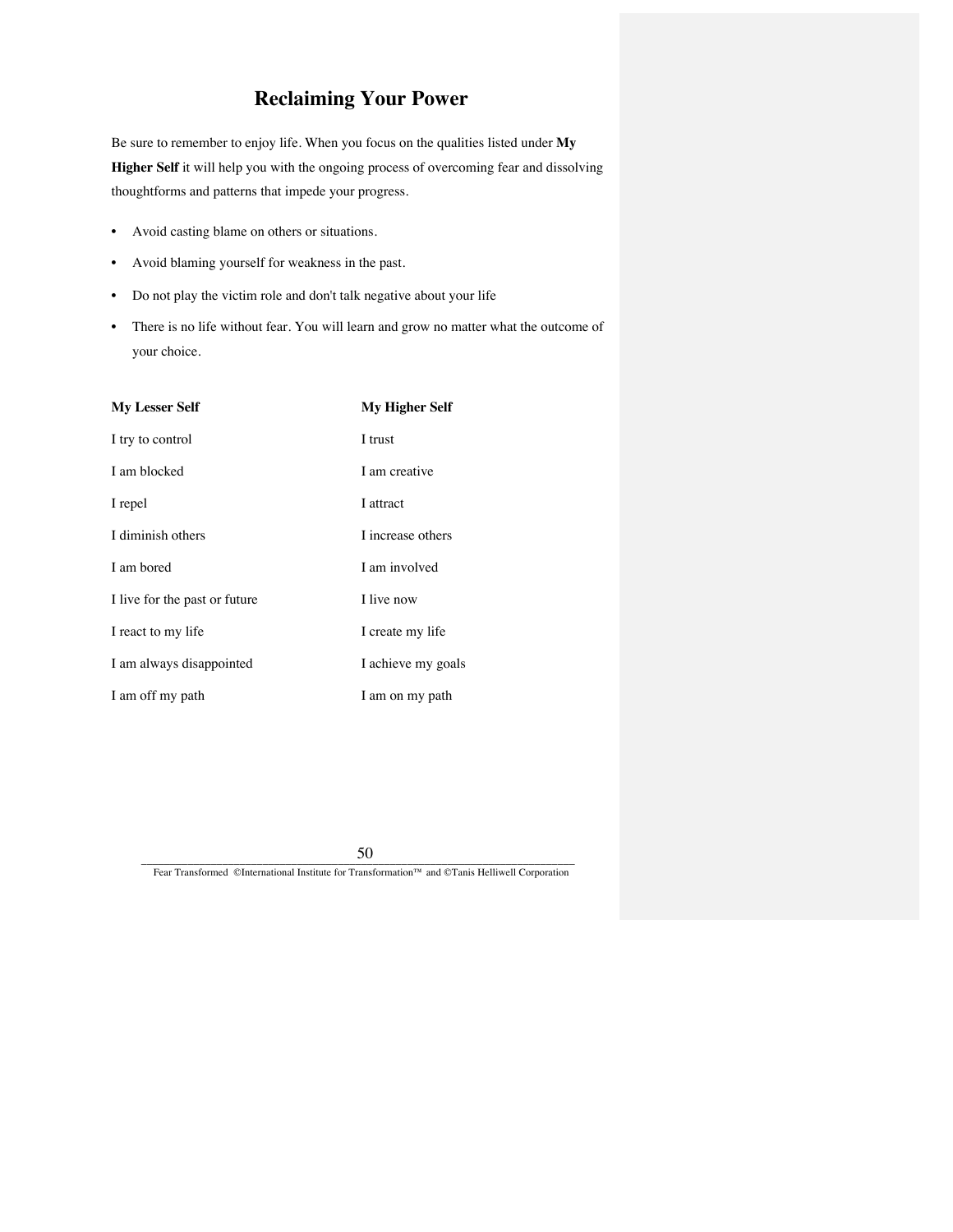## **Reclaiming Your Power**

Be sure to remember to enjoy life. When you focus on the qualities listed under **My Higher Self** it will help you with the ongoing process of overcoming fear and dissolving thoughtforms and patterns that impede your progress.

- Avoid casting blame on others or situations.
- Avoid blaming yourself for weakness in the past.
- Do not play the victim role and don't talk negative about your life
- There is no life without fear. You will learn and grow no matter what the outcome of your choice.

| <b>My Lesser Self</b>         | My Higher Self     |  |
|-------------------------------|--------------------|--|
| I try to control              | I trust            |  |
| I am blocked                  | I am creative      |  |
| I repel                       | I attract          |  |
| I diminish others             | I increase others  |  |
| I am bored                    | I am involved      |  |
| I live for the past or future | I live now         |  |
| I react to my life            | I create my life   |  |
| I am always disappointed      | I achieve my goals |  |
| I am off my path              | I am on my path    |  |

50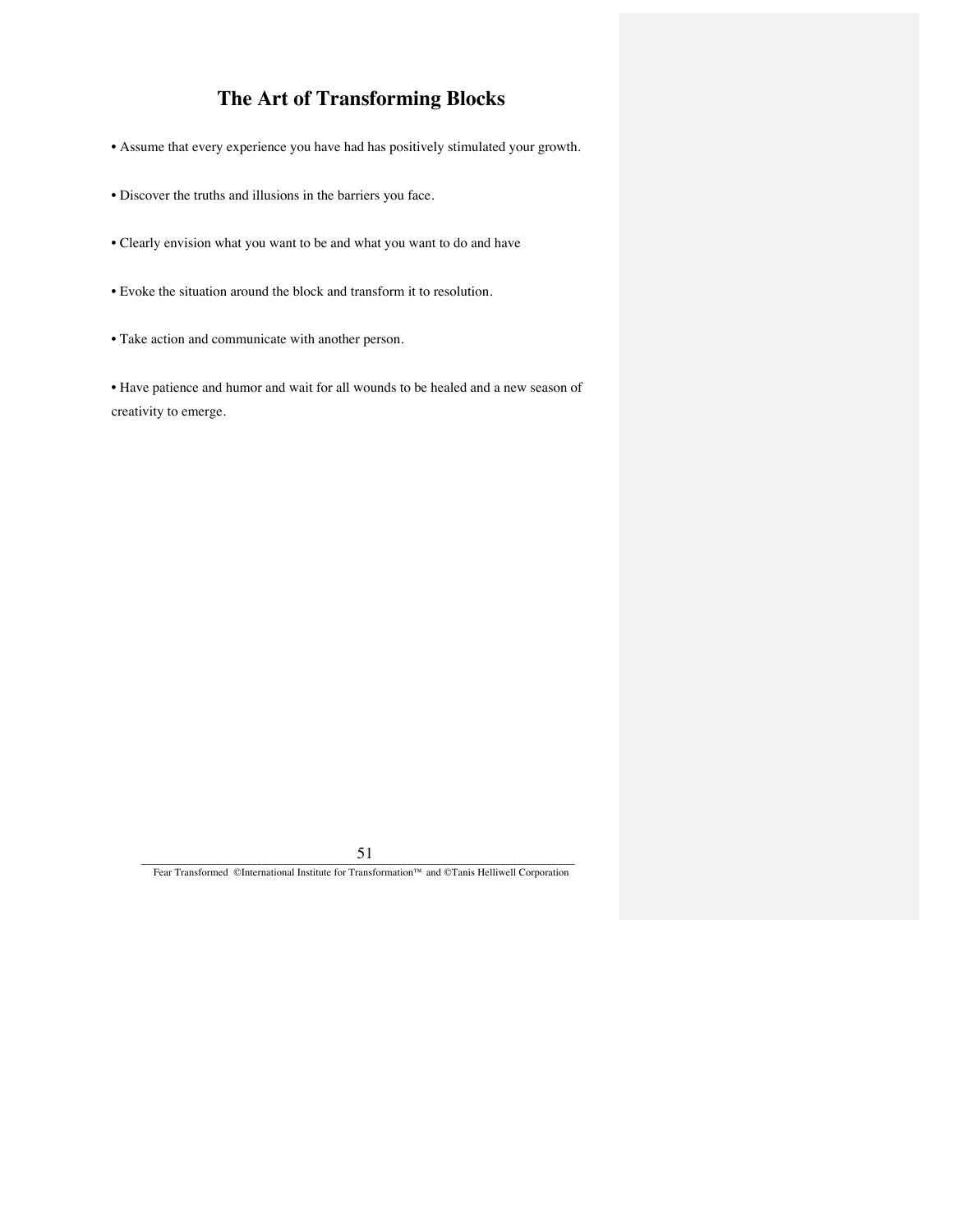# **The Art of Transforming Blocks**

- Assume that every experience you have had has positively stimulated your growth.
- Discover the truths and illusions in the barriers you face.
- Clearly envision what you want to be and what you want to do and have
- Evoke the situation around the block and transform it to resolution.
- Take action and communicate with another person.

• Have patience and humor and wait for all wounds to be healed and a new season of creativity to emerge.

51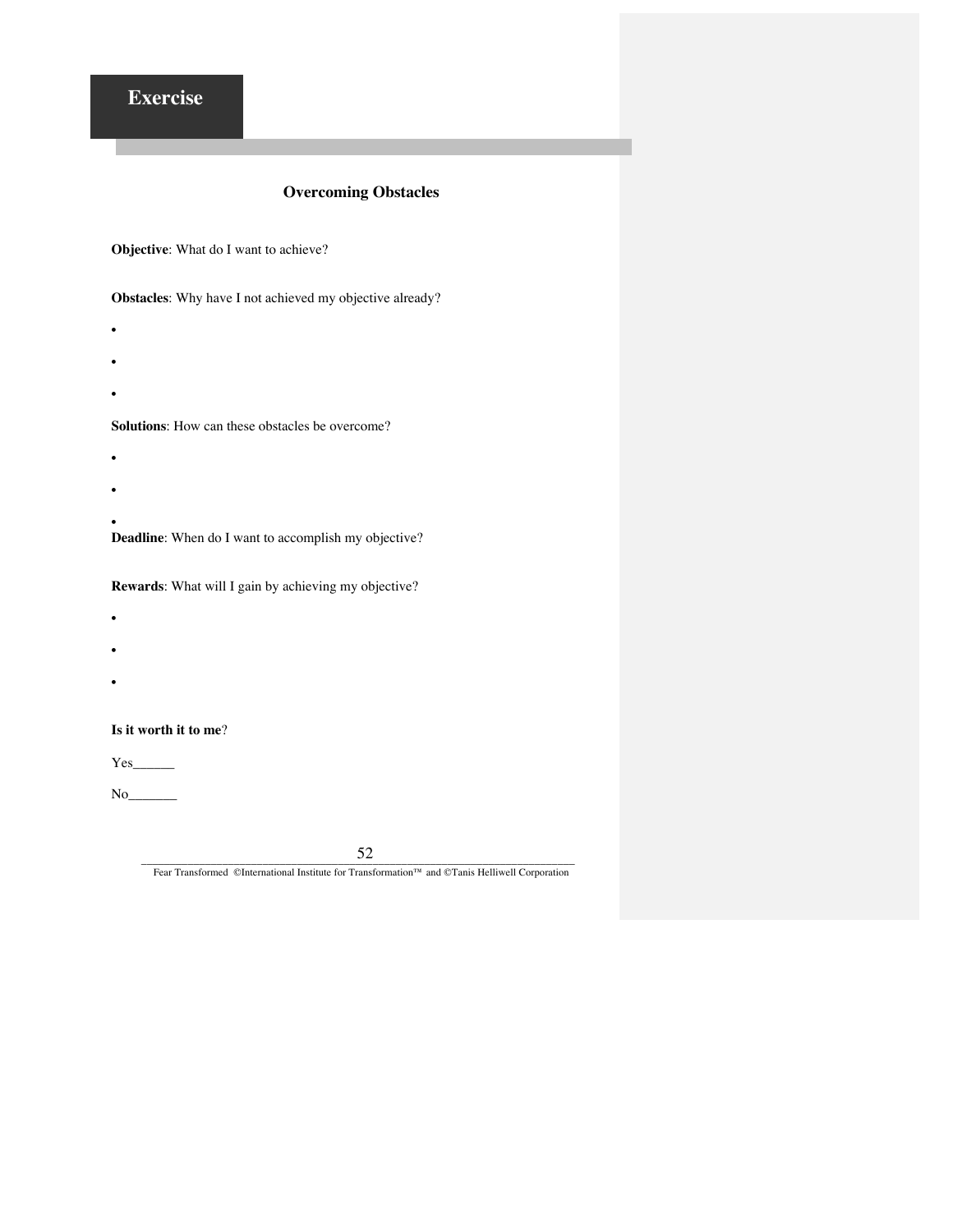## **Overcoming Obstacles**

**Objective**: What do I want to achieve?

**Obstacles**: Why have I not achieved my objective already?

- •
- •
- •

**Solutions**: How can these obstacles be overcome?

- •
- •

**Deadline**: When do I want to accomplish my objective?

**Rewards**: What will I gain by achieving my objective?

- •
- •
- 
- •

**Is it worth it to me**?

Yes\_\_\_\_\_\_

•

No\_\_\_\_\_\_\_

52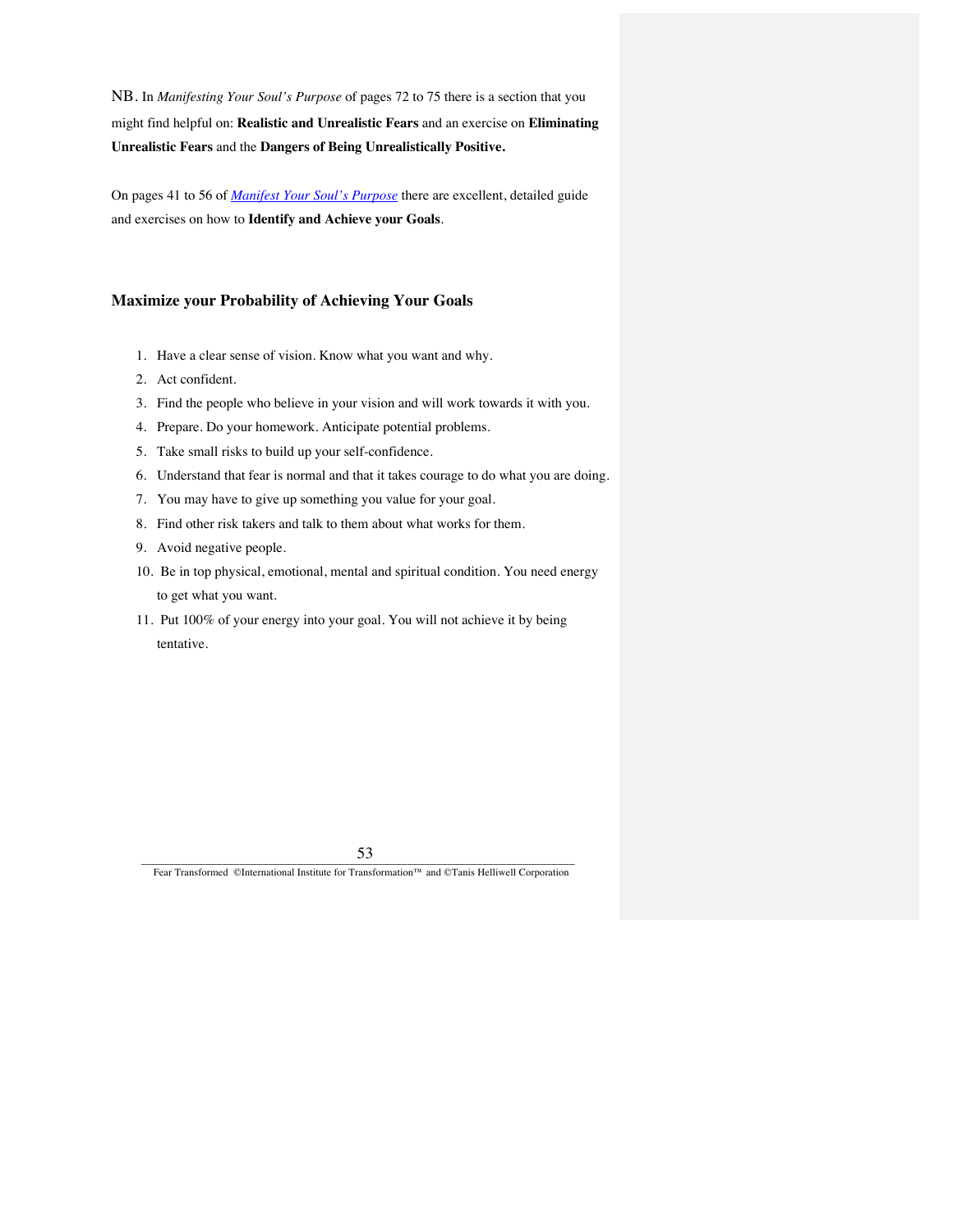NB. In *Manifesting Your Soul's Purpose* of pages 72 to 75 there is a section that you might find helpful on: **Realistic and Unrealistic Fears** and an exercise on **Eliminating Unrealistic Fears** and the **Dangers of Being Unrealistically Positive.**

On pages 41 to 56 of *Manifest Your Soul's Purpose* there are excellent, detailed guide and exercises on how to **Identify and Achieve your Goals**.

## **Maximize your Probability of Achieving Your Goals**

- 1. Have a clear sense of vision. Know what you want and why.
- 2. Act confident.
- 3. Find the people who believe in your vision and will work towards it with you.
- 4. Prepare. Do your homework. Anticipate potential problems.
- 5. Take small risks to build up your self-confidence.
- 6. Understand that fear is normal and that it takes courage to do what you are doing.
- 7. You may have to give up something you value for your goal.
- 8. Find other risk takers and talk to them about what works for them.
- 9. Avoid negative people.
- 10. Be in top physical, emotional, mental and spiritual condition. You need energy to get what you want.
- 11. Put 100% of your energy into your goal. You will not achieve it by being tentative.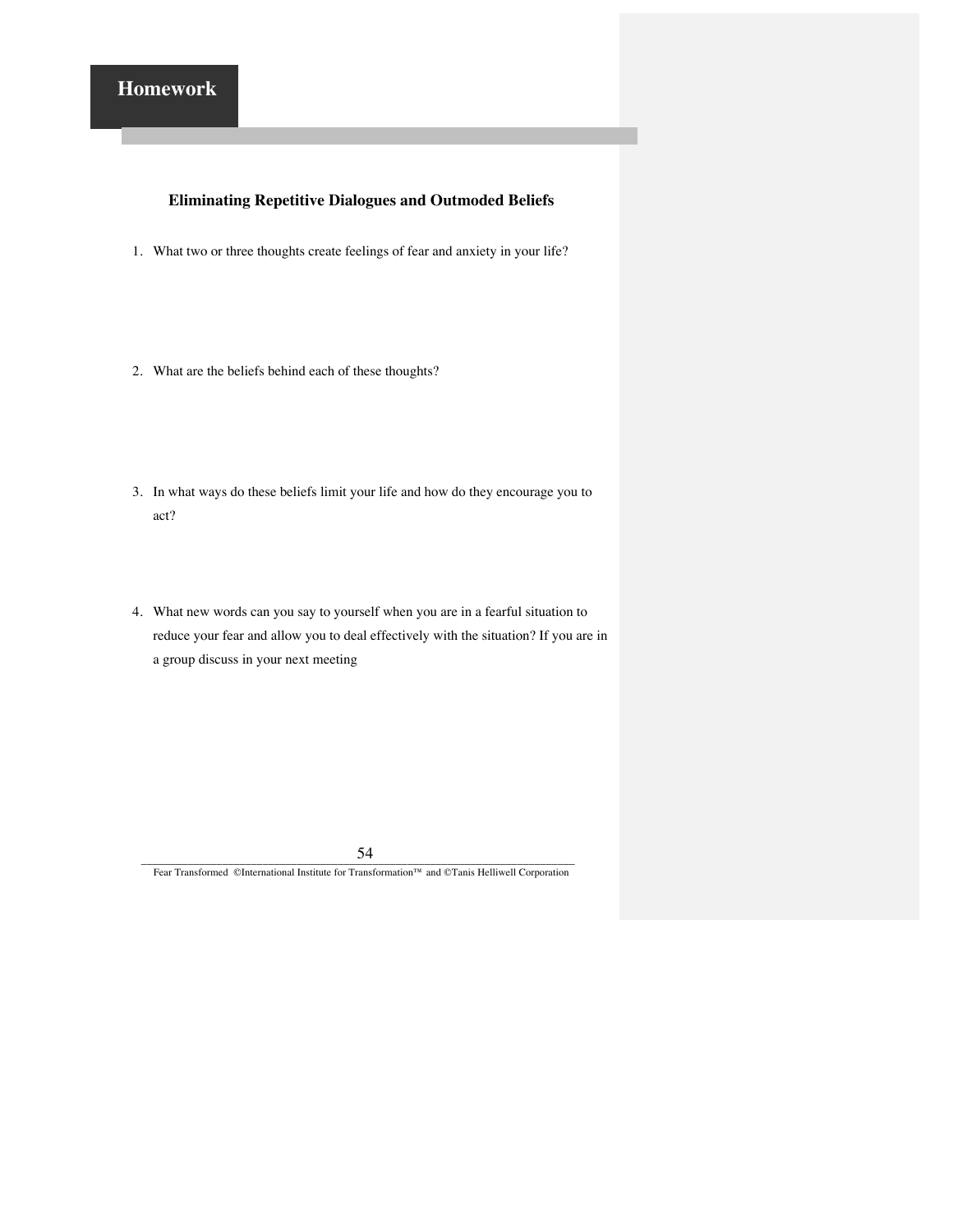## **Eliminating Repetitive Dialogues and Outmoded Beliefs**

- 1. What two or three thoughts create feelings of fear and anxiety in your life?
- 2. What are the beliefs behind each of these thoughts?
- 3. In what ways do these beliefs limit your life and how do they encourage you to act?
- 4. What new words can you say to yourself when you are in a fearful situation to reduce your fear and allow you to deal effectively with the situation? If you are in a group discuss in your next meeting

54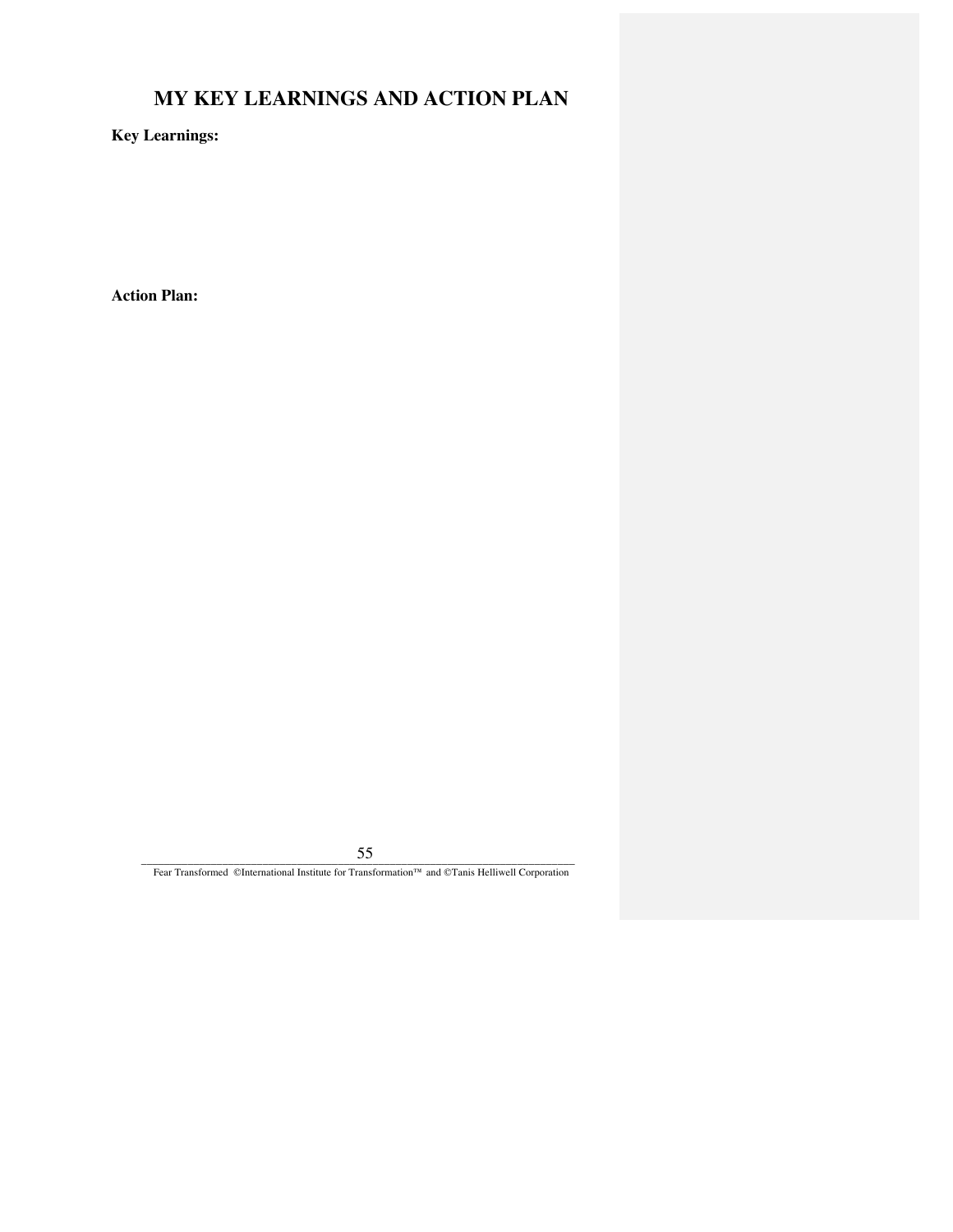# **MY KEY LEARNINGS AND ACTION PLAN**

**Key Learnings:**

**Action Plan:**

55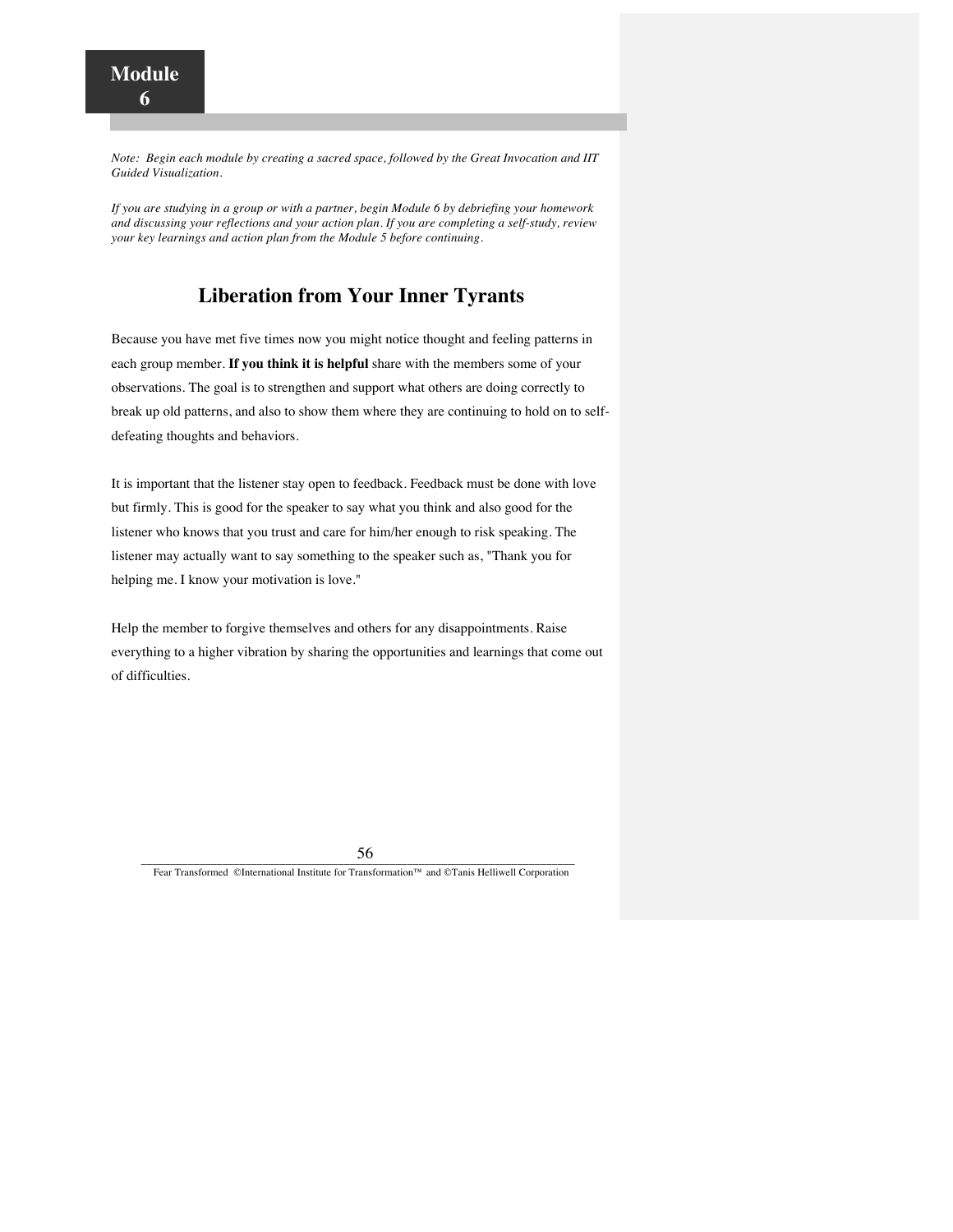*Note: Begin each module by creating a sacred space, followed by the Great Invocation and IIT Guided Visualization.*

*If you are studying in a group or with a partner, begin Module 6 by debriefing your homework and discussing your reflections and your action plan. If you are completing a self-study, review your key learnings and action plan from the Module 5 before continuing.*

## **Liberation from Your Inner Tyrants**

Because you have met five times now you might notice thought and feeling patterns in each group member. **If you think it is helpful** share with the members some of your observations. The goal is to strengthen and support what others are doing correctly to break up old patterns, and also to show them where they are continuing to hold on to selfdefeating thoughts and behaviors.

It is important that the listener stay open to feedback. Feedback must be done with love but firmly. This is good for the speaker to say what you think and also good for the listener who knows that you trust and care for him/her enough to risk speaking. The listener may actually want to say something to the speaker such as, "Thank you for helping me. I know your motivation is love."

Help the member to forgive themselves and others for any disappointments. Raise everything to a higher vibration by sharing the opportunities and learnings that come out of difficulties.

56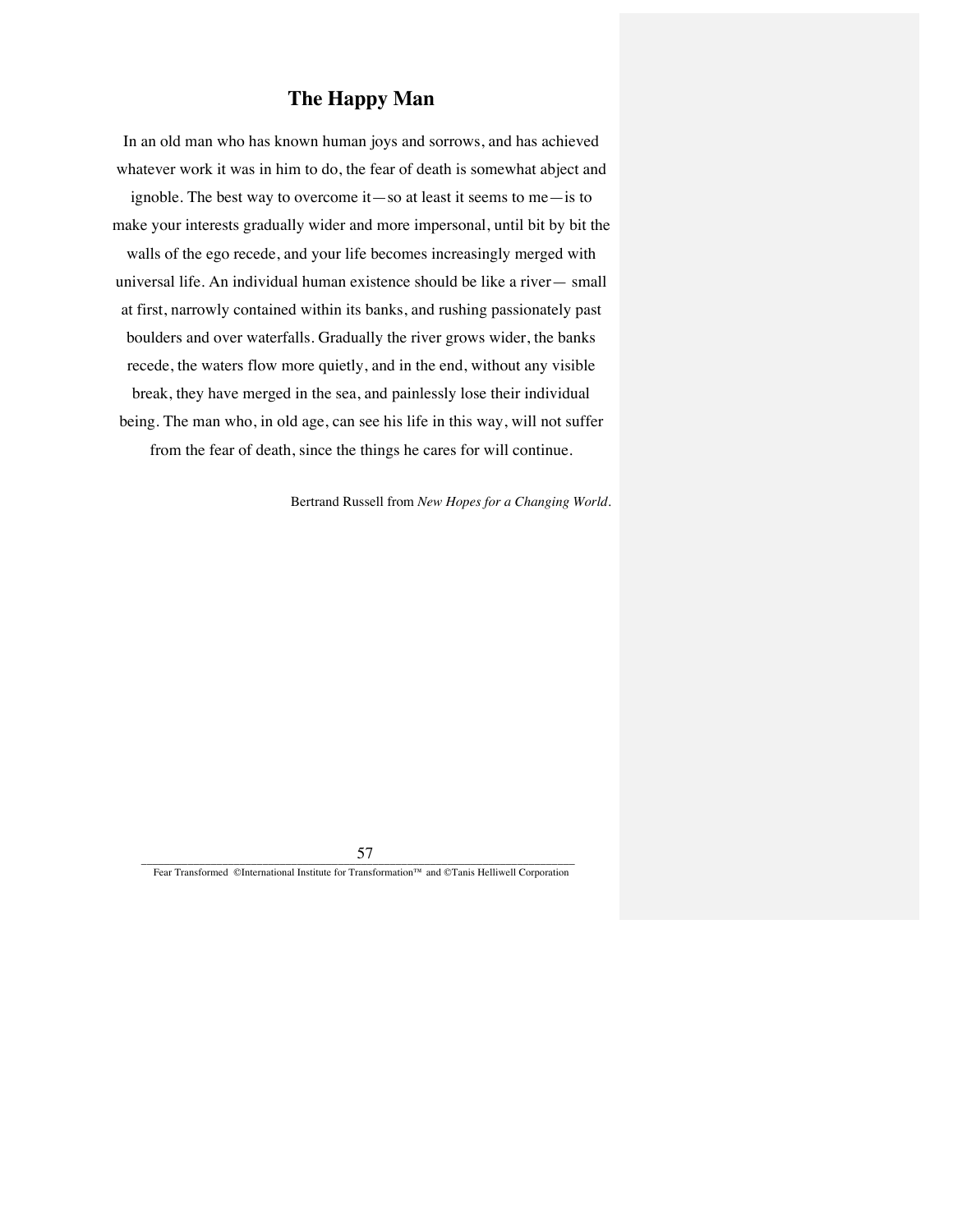## **The Happy Man**

In an old man who has known human joys and sorrows, and has achieved whatever work it was in him to do, the fear of death is somewhat abject and ignoble. The best way to overcome it—so at least it seems to me—is to make your interests gradually wider and more impersonal, until bit by bit the walls of the ego recede, and your life becomes increasingly merged with universal life. An individual human existence should be like a river— small at first, narrowly contained within its banks, and rushing passionately past boulders and over waterfalls. Gradually the river grows wider, the banks recede, the waters flow more quietly, and in the end, without any visible break, they have merged in the sea, and painlessly lose their individual being. The man who, in old age, can see his life in this way, will not suffer from the fear of death, since the things he cares for will continue.

Bertrand Russell from *New Hopes for a Changing World*.

57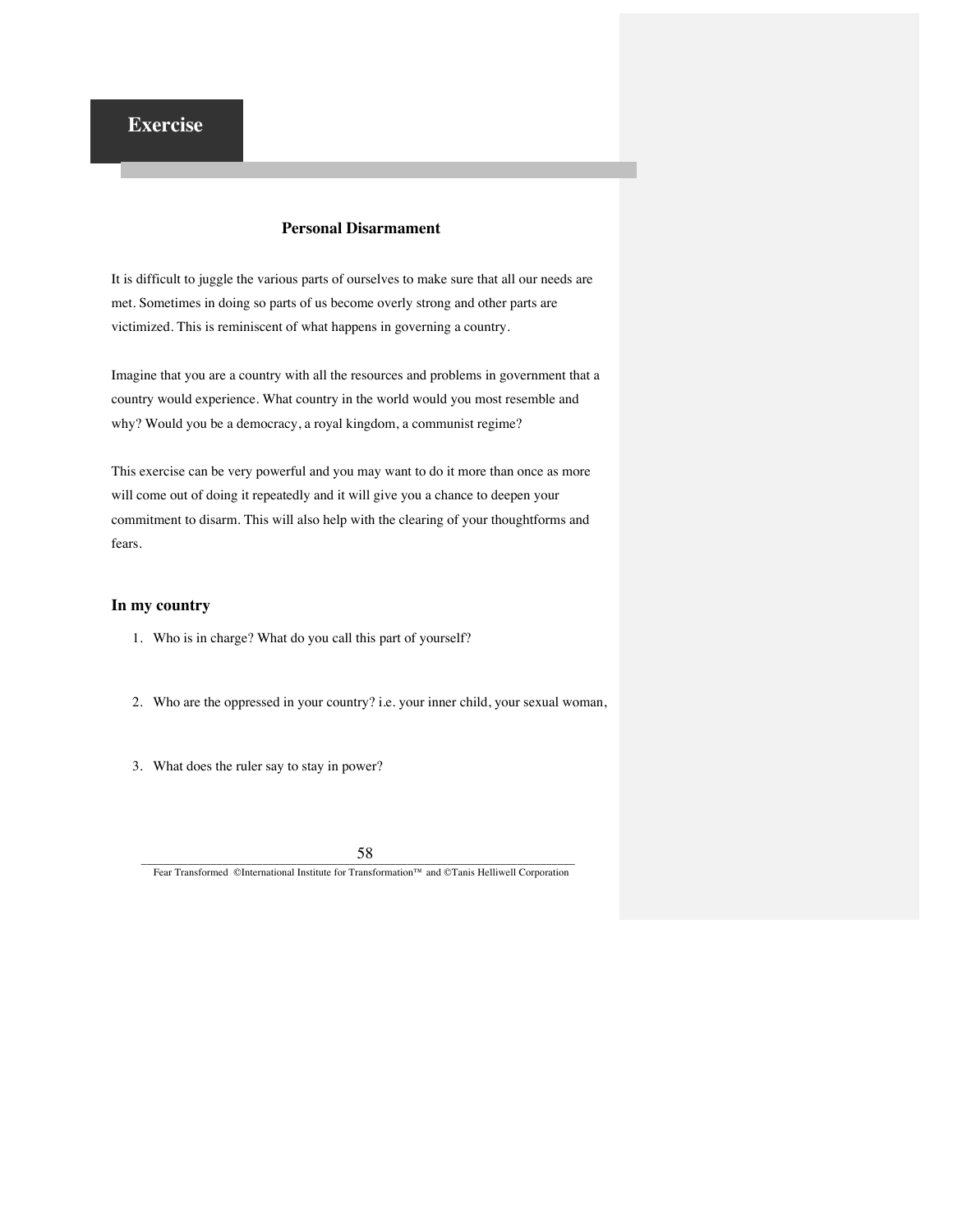## **Personal Disarmament**

It is difficult to juggle the various parts of ourselves to make sure that all our needs are met. Sometimes in doing so parts of us become overly strong and other parts are victimized. This is reminiscent of what happens in governing a country.

Imagine that you are a country with all the resources and problems in government that a country would experience. What country in the world would you most resemble and why? Would you be a democracy, a royal kingdom, a communist regime?

This exercise can be very powerful and you may want to do it more than once as more will come out of doing it repeatedly and it will give you a chance to deepen your commitment to disarm. This will also help with the clearing of your thoughtforms and fears.

## **In my country**

- 1. Who is in charge? What do you call this part of yourself?
- 2. Who are the oppressed in your country? i.e. your inner child, your sexual woman,
- 3. What does the ruler say to stay in power?

58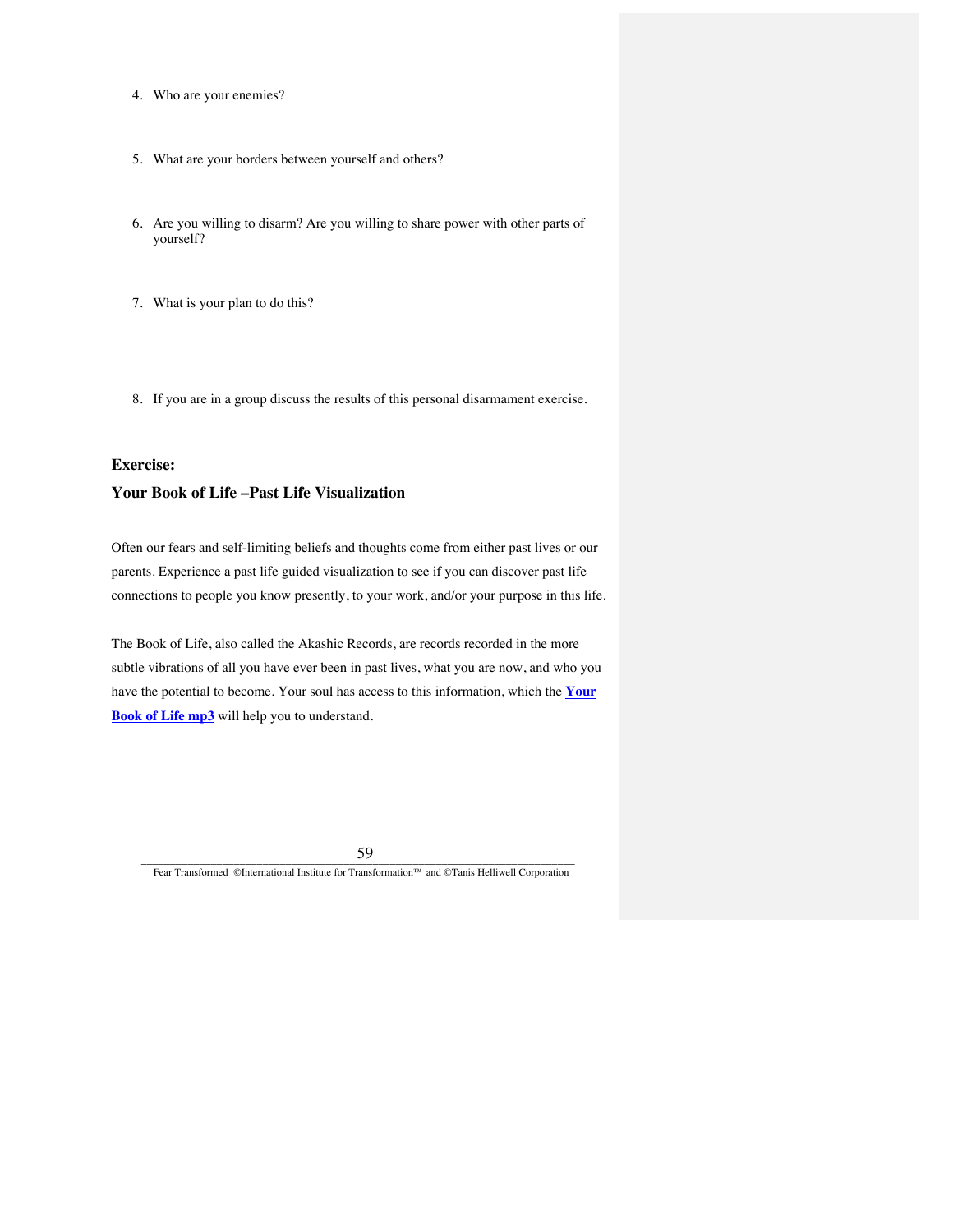- 4. Who are your enemies?
- 5. What are your borders between yourself and others?
- 6. Are you willing to disarm? Are you willing to share power with other parts of yourself?
- 7. What is your plan to do this?
- 8. If you are in a group discuss the results of this personal disarmament exercise.

#### **Exercise:**

## **Your Book of Life –Past Life Visualization**

Often our fears and self-limiting beliefs and thoughts come from either past lives or our parents. Experience a past life guided visualization to see if you can discover past life connections to people you know presently, to your work, and/or your purpose in this life.

The Book of Life, also called the Akashic Records, are records recorded in the more subtle vibrations of all you have ever been in past lives, what you are now, and who you have the potential to become. Your soul has access to this information, which the **Your Book of Life mp3** will help you to understand.

59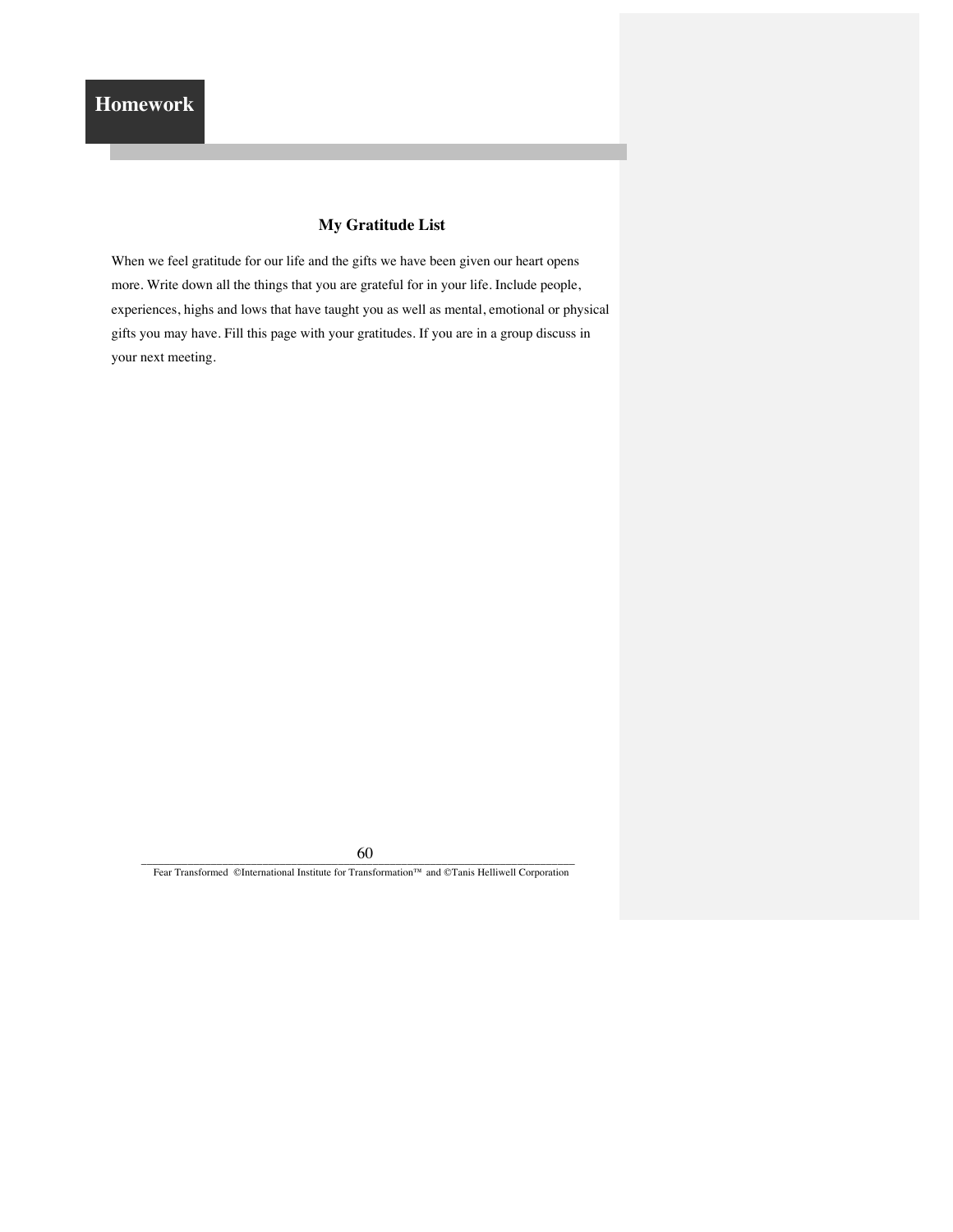## **My Gratitude List**

When we feel gratitude for our life and the gifts we have been given our heart opens more. Write down all the things that you are grateful for in your life. Include people, experiences, highs and lows that have taught you as well as mental, emotional or physical gifts you may have. Fill this page with your gratitudes. If you are in a group discuss in your next meeting.

60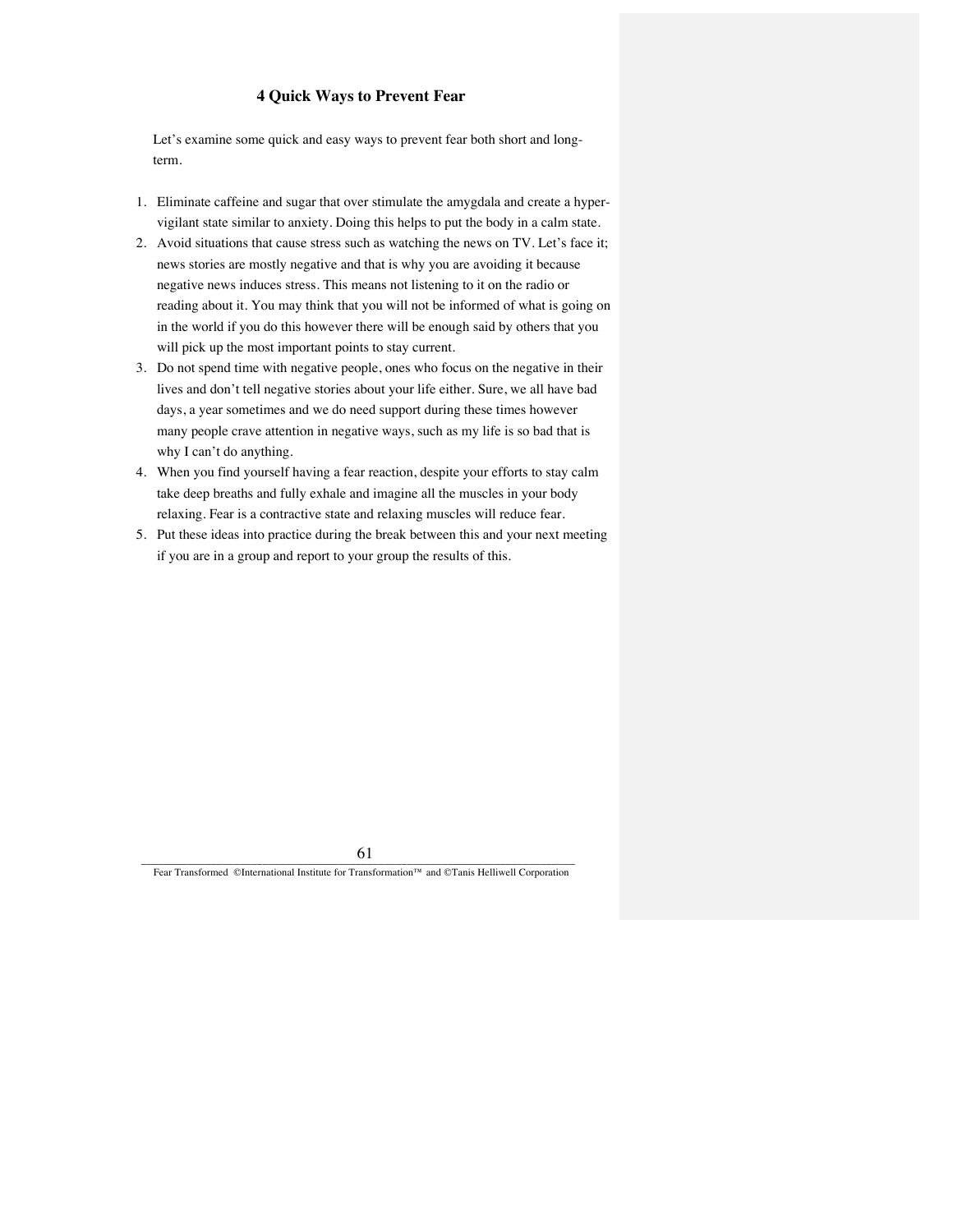## **4 Quick Ways to Prevent Fear**

Let's examine some quick and easy ways to prevent fear both short and longterm.

- 1. Eliminate caffeine and sugar that over stimulate the amygdala and create a hypervigilant state similar to anxiety. Doing this helps to put the body in a calm state.
- 2. Avoid situations that cause stress such as watching the news on TV. Let's face it; news stories are mostly negative and that is why you are avoiding it because negative news induces stress. This means not listening to it on the radio or reading about it. You may think that you will not be informed of what is going on in the world if you do this however there will be enough said by others that you will pick up the most important points to stay current.
- 3. Do not spend time with negative people, ones who focus on the negative in their lives and don't tell negative stories about your life either. Sure, we all have bad days, a year sometimes and we do need support during these times however many people crave attention in negative ways, such as my life is so bad that is why I can't do anything.
- 4. When you find yourself having a fear reaction, despite your efforts to stay calm take deep breaths and fully exhale and imagine all the muscles in your body relaxing. Fear is a contractive state and relaxing muscles will reduce fear.
- 5. Put these ideas into practice during the break between this and your next meeting if you are in a group and report to your group the results of this.

61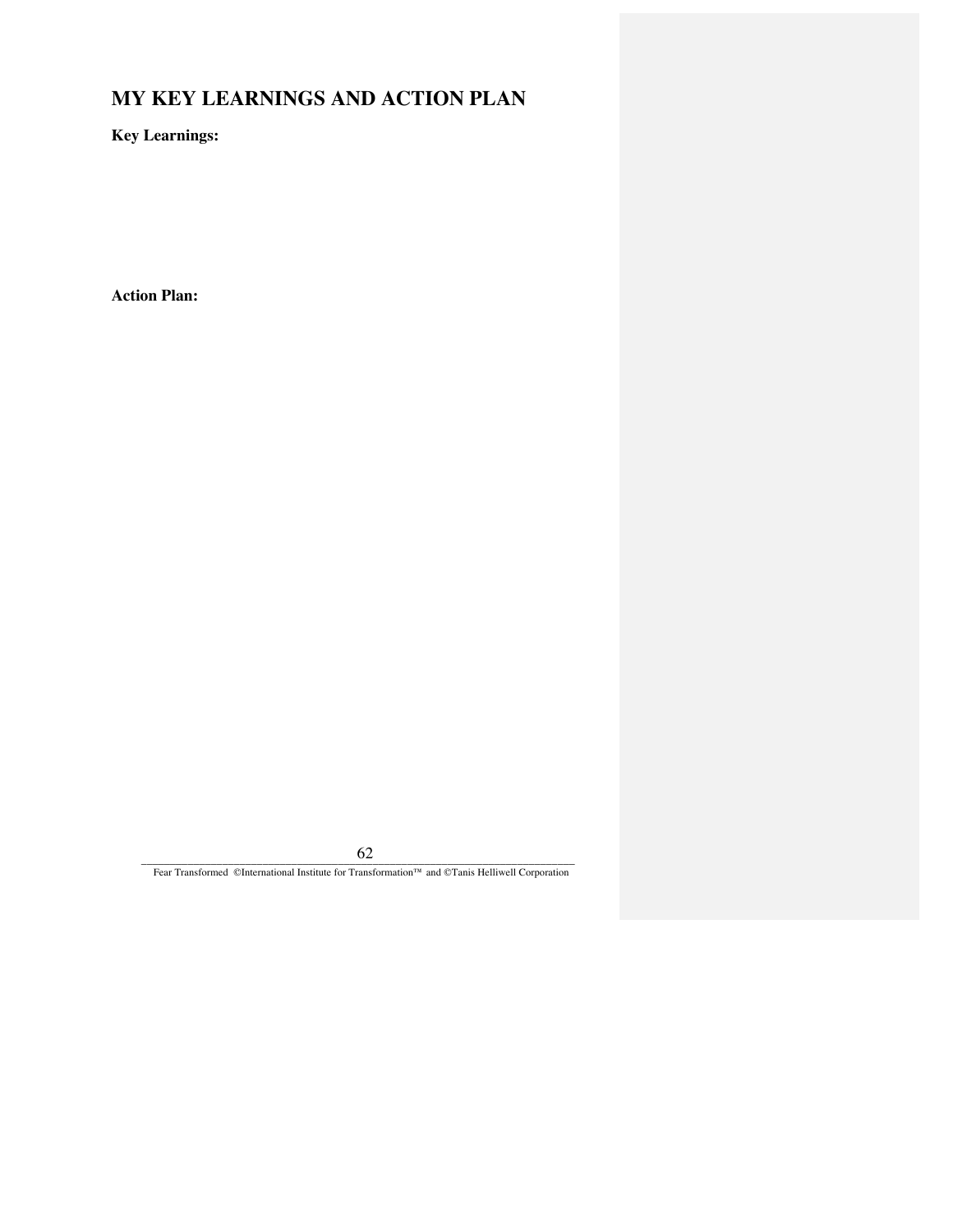# **MY KEY LEARNINGS AND ACTION PLAN**

**Key Learnings:**

**Action Plan:**

62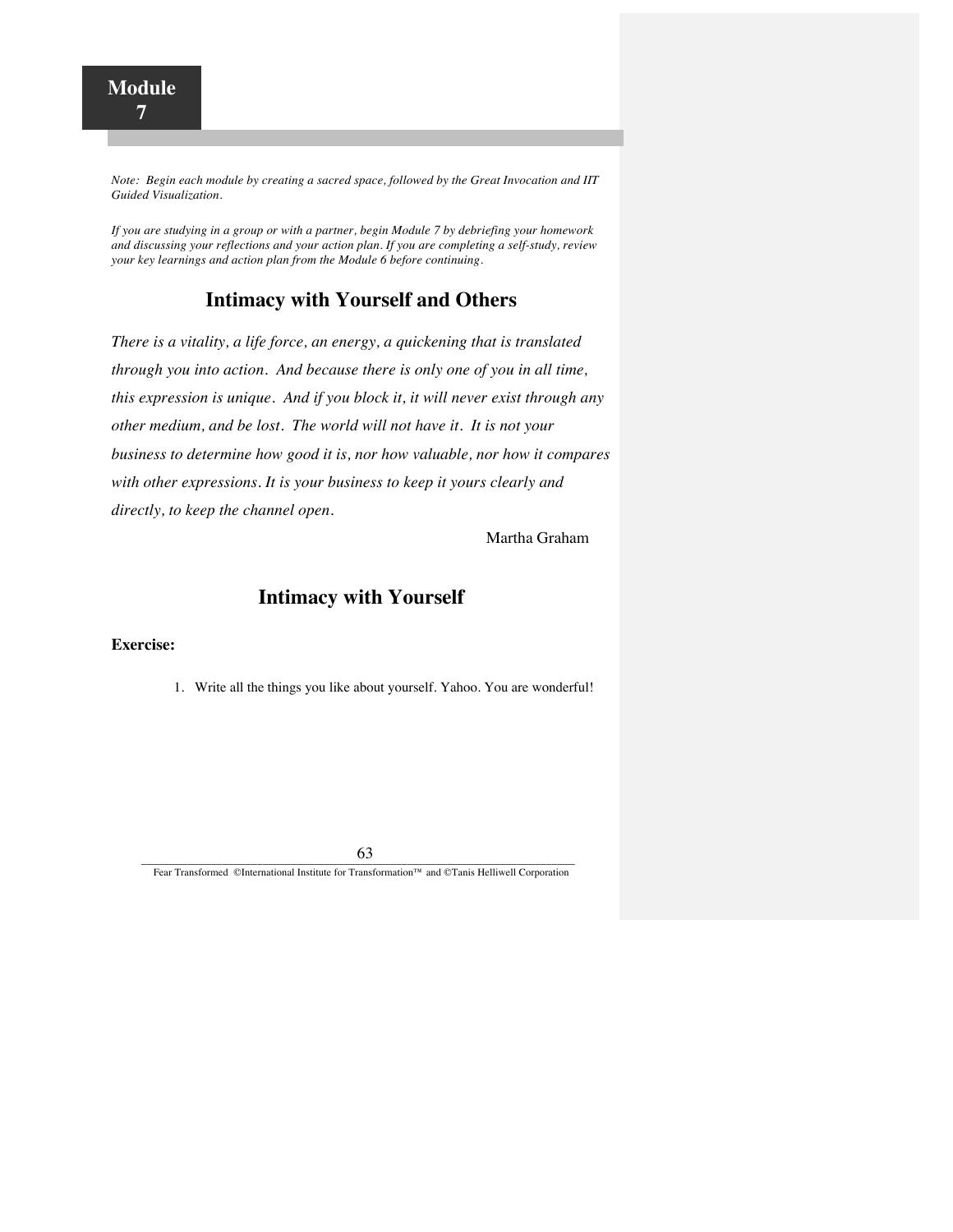*Note: Begin each module by creating a sacred space, followed by the Great Invocation and IIT Guided Visualization.*

*If you are studying in a group or with a partner, begin Module 7 by debriefing your homework and discussing your reflections and your action plan. If you are completing a self-study, review your key learnings and action plan from the Module 6 before continuing.*

## **Intimacy with Yourself and Others**

*There is a vitality, a life force, an energy, a quickening that is translated through you into action. And because there is only one of you in all time, this expression is unique. And if you block it, it will never exist through any other medium, and be lost. The world will not have it. It is not your business to determine how good it is, nor how valuable, nor how it compares with other expressions. It is your business to keep it yours clearly and directly, to keep the channel open.*

Martha Graham

## **Intimacy with Yourself**

## **Exercise:**

1. Write all the things you like about yourself. Yahoo. You are wonderful!

63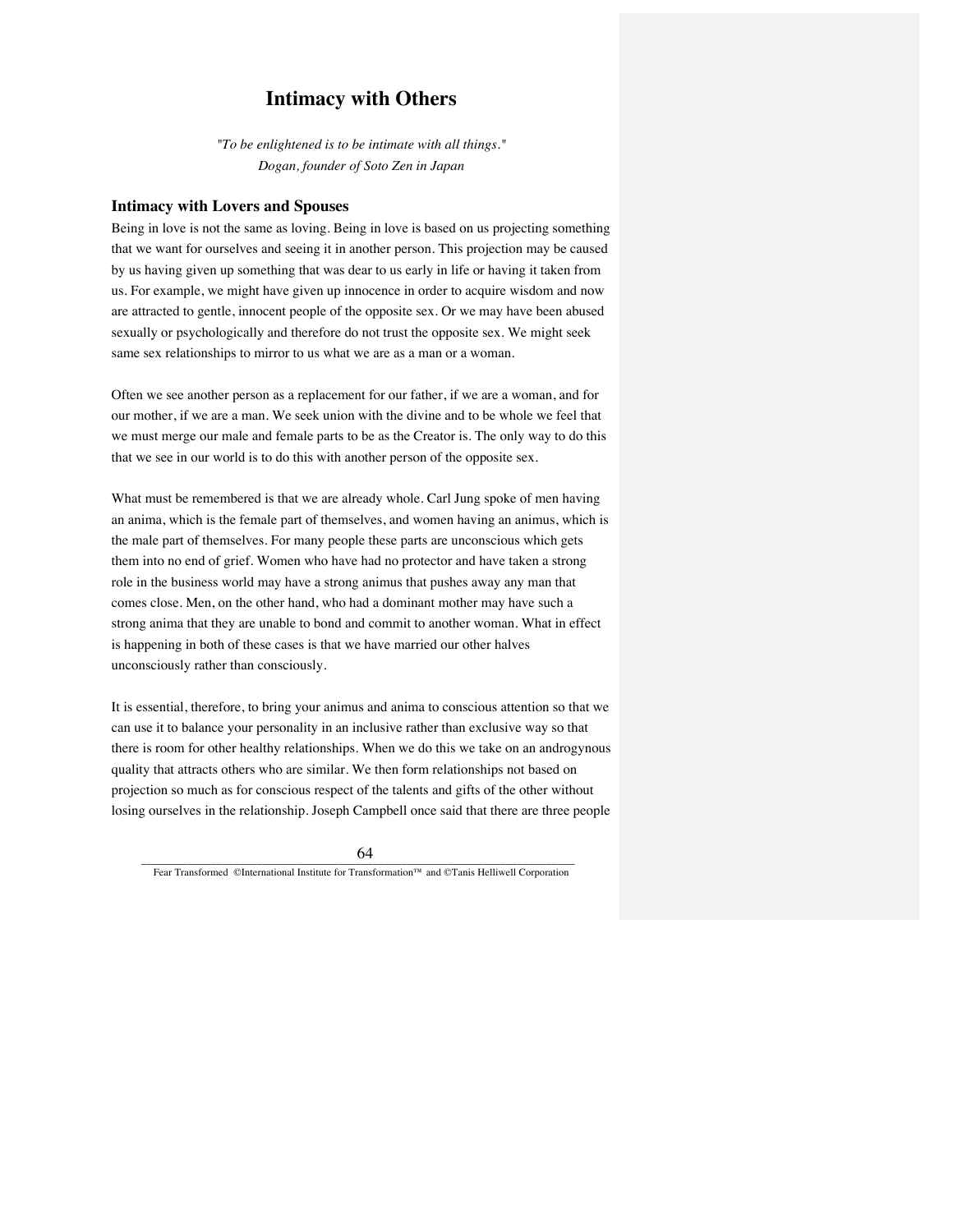## **Intimacy with Others**

*"To be enlightened is to be intimate with all things." Dogan, founder of Soto Zen in Japan*

## **Intimacy with Lovers and Spouses**

Being in love is not the same as loving. Being in love is based on us projecting something that we want for ourselves and seeing it in another person. This projection may be caused by us having given up something that was dear to us early in life or having it taken from us. For example, we might have given up innocence in order to acquire wisdom and now are attracted to gentle, innocent people of the opposite sex. Or we may have been abused sexually or psychologically and therefore do not trust the opposite sex. We might seek same sex relationships to mirror to us what we are as a man or a woman.

Often we see another person as a replacement for our father, if we are a woman, and for our mother, if we are a man. We seek union with the divine and to be whole we feel that we must merge our male and female parts to be as the Creator is. The only way to do this that we see in our world is to do this with another person of the opposite sex.

What must be remembered is that we are already whole. Carl Jung spoke of men having an anima, which is the female part of themselves, and women having an animus, which is the male part of themselves. For many people these parts are unconscious which gets them into no end of grief. Women who have had no protector and have taken a strong role in the business world may have a strong animus that pushes away any man that comes close. Men, on the other hand, who had a dominant mother may have such a strong anima that they are unable to bond and commit to another woman. What in effect is happening in both of these cases is that we have married our other halves unconsciously rather than consciously.

It is essential, therefore, to bring your animus and anima to conscious attention so that we can use it to balance your personality in an inclusive rather than exclusive way so that there is room for other healthy relationships. When we do this we take on an androgynous quality that attracts others who are similar. We then form relationships not based on projection so much as for conscious respect of the talents and gifts of the other without losing ourselves in the relationship. Joseph Campbell once said that there are three people

64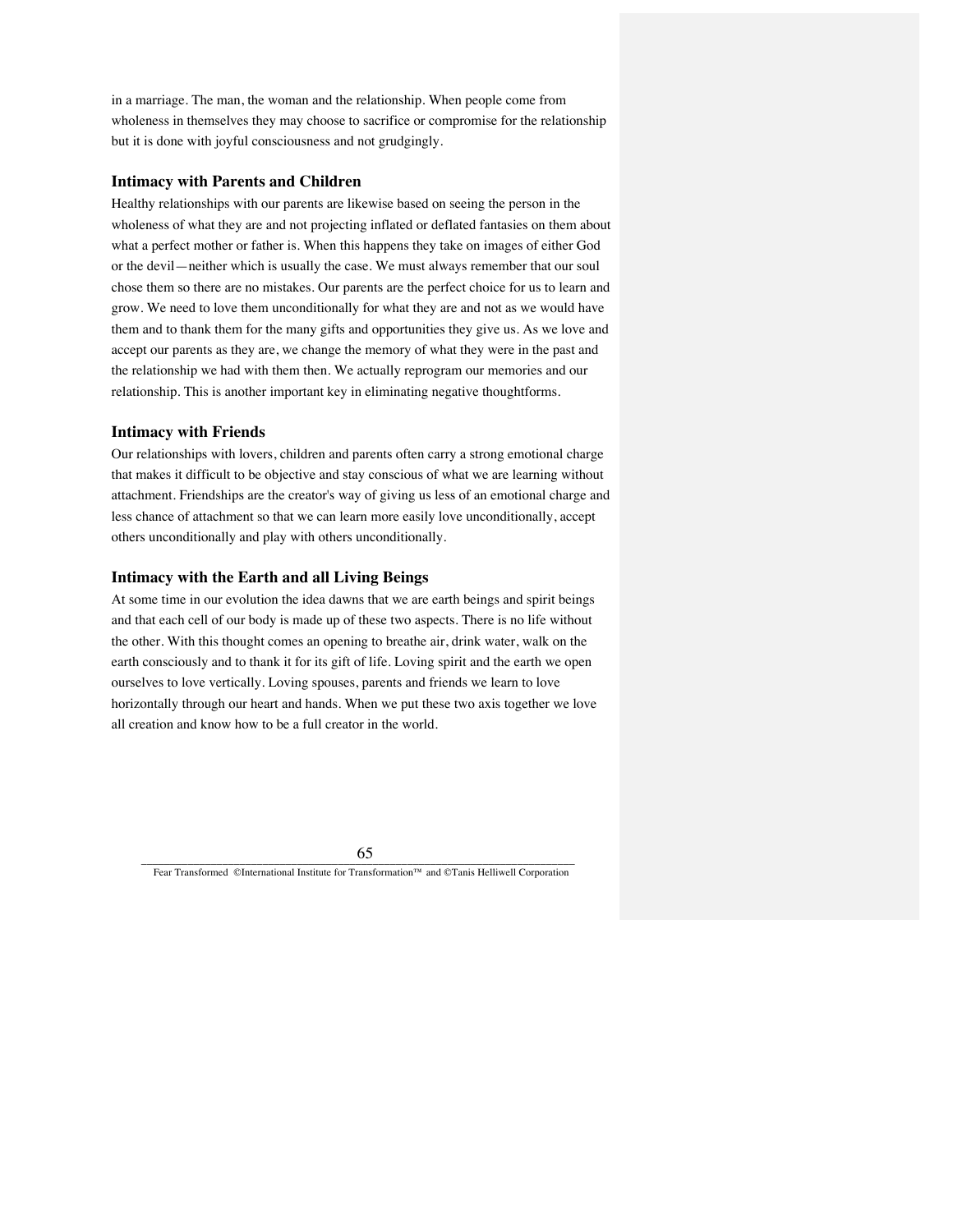in a marriage. The man, the woman and the relationship. When people come from wholeness in themselves they may choose to sacrifice or compromise for the relationship but it is done with joyful consciousness and not grudgingly.

## **Intimacy with Parents and Children**

Healthy relationships with our parents are likewise based on seeing the person in the wholeness of what they are and not projecting inflated or deflated fantasies on them about what a perfect mother or father is. When this happens they take on images of either God or the devil—neither which is usually the case. We must always remember that our soul chose them so there are no mistakes. Our parents are the perfect choice for us to learn and grow. We need to love them unconditionally for what they are and not as we would have them and to thank them for the many gifts and opportunities they give us. As we love and accept our parents as they are, we change the memory of what they were in the past and the relationship we had with them then. We actually reprogram our memories and our relationship. This is another important key in eliminating negative thoughtforms.

#### **Intimacy with Friends**

Our relationships with lovers, children and parents often carry a strong emotional charge that makes it difficult to be objective and stay conscious of what we are learning without attachment. Friendships are the creator's way of giving us less of an emotional charge and less chance of attachment so that we can learn more easily love unconditionally, accept others unconditionally and play with others unconditionally.

## **Intimacy with the Earth and all Living Beings**

At some time in our evolution the idea dawns that we are earth beings and spirit beings and that each cell of our body is made up of these two aspects. There is no life without the other. With this thought comes an opening to breathe air, drink water, walk on the earth consciously and to thank it for its gift of life. Loving spirit and the earth we open ourselves to love vertically. Loving spouses, parents and friends we learn to love horizontally through our heart and hands. When we put these two axis together we love all creation and know how to be a full creator in the world.

65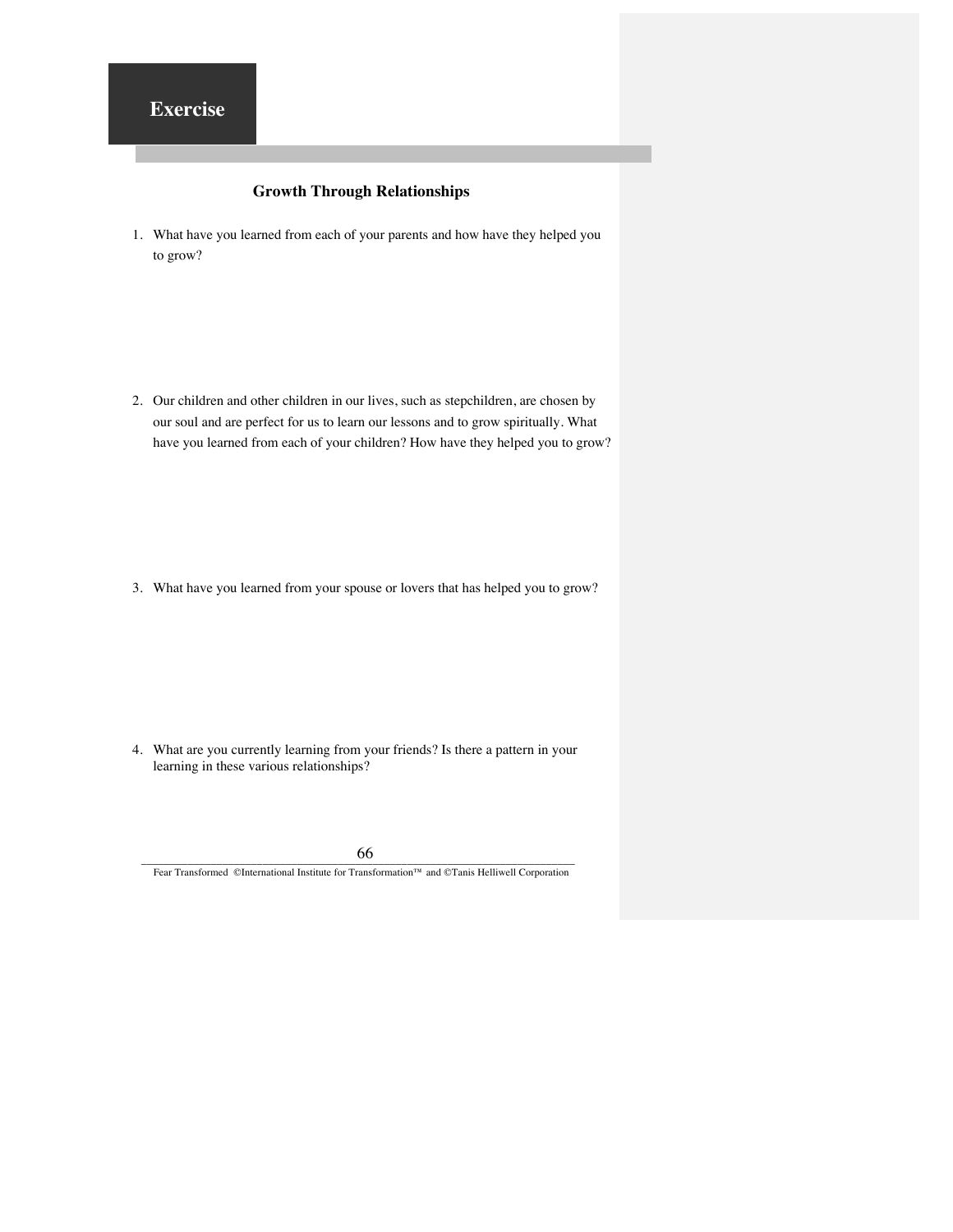## **Growth Through Relationships**

1. What have you learned from each of your parents and how have they helped you to grow?

2. Our children and other children in our lives, such as stepchildren, are chosen by our soul and are perfect for us to learn our lessons and to grow spiritually. What have you learned from each of your children? How have they helped you to grow?

3. What have you learned from your spouse or lovers that has helped you to grow?

4. What are you currently learning from your friends? Is there a pattern in your learning in these various relationships?

66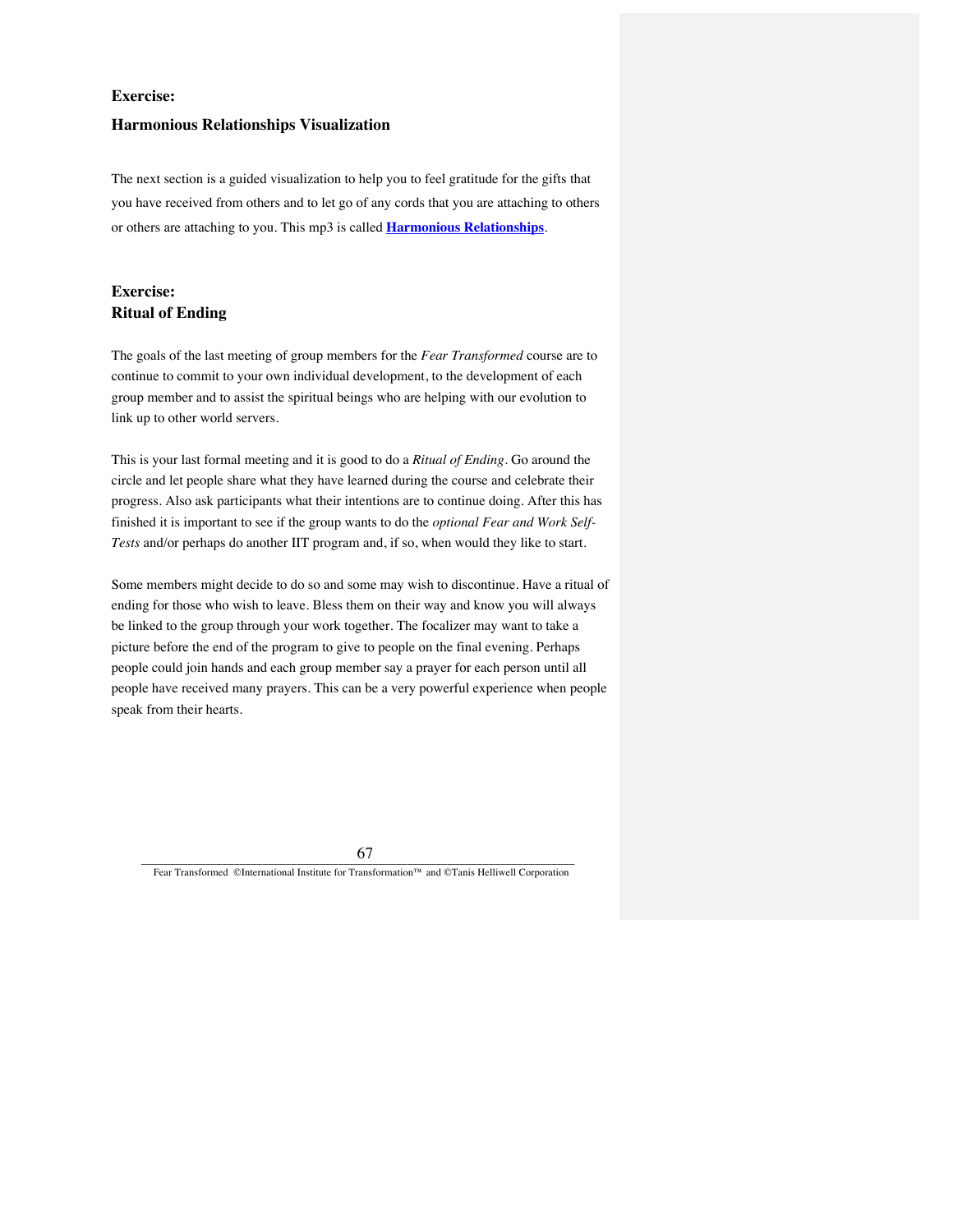## **Exercise:**

#### **Harmonious Relationships Visualization**

The next section is a guided visualization to help you to feel gratitude for the gifts that you have received from others and to let go of any cords that you are attaching to others or others are attaching to you. This mp3 is called **Harmonious Relationships**.

## **Exercise: Ritual of Ending**

The goals of the last meeting of group members for the *Fear Transformed* course are to continue to commit to your own individual development, to the development of each group member and to assist the spiritual beings who are helping with our evolution to link up to other world servers.

This is your last formal meeting and it is good to do a *Ritual of Ending*. Go around the circle and let people share what they have learned during the course and celebrate their progress. Also ask participants what their intentions are to continue doing. After this has finished it is important to see if the group wants to do the *optional Fear and Work Self-Tests* and/or perhaps do another IIT program and, if so, when would they like to start.

Some members might decide to do so and some may wish to discontinue. Have a ritual of ending for those who wish to leave. Bless them on their way and know you will always be linked to the group through your work together. The focalizer may want to take a picture before the end of the program to give to people on the final evening. Perhaps people could join hands and each group member say a prayer for each person until all people have received many prayers. This can be a very powerful experience when people speak from their hearts.

67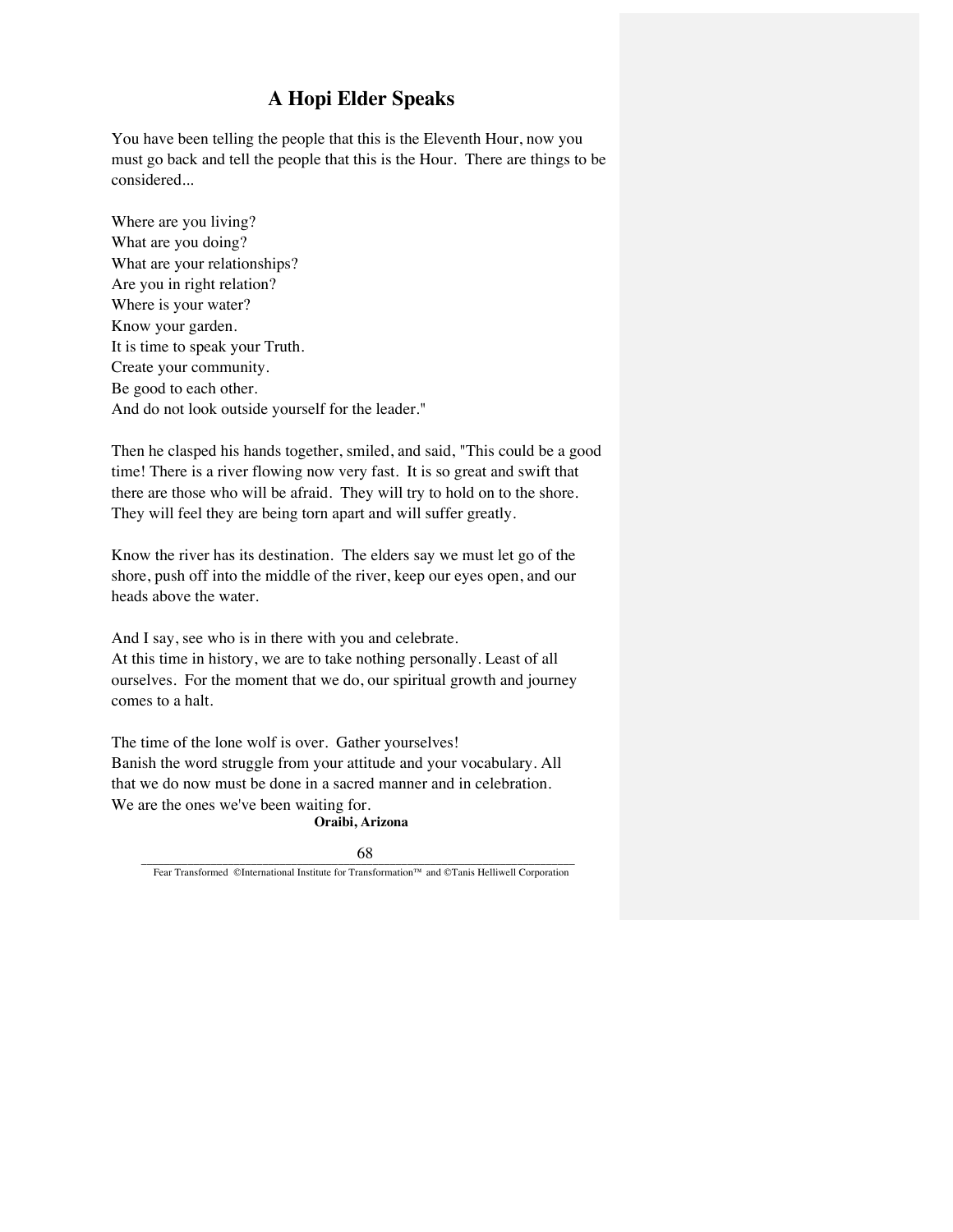## **A Hopi Elder Speaks**

You have been telling the people that this is the Eleventh Hour, now you must go back and tell the people that this is the Hour. There are things to be considered...

Where are you living? What are you doing? What are your relationships? Are you in right relation? Where is your water? Know your garden. It is time to speak your Truth. Create your community. Be good to each other. And do not look outside yourself for the leader."

Then he clasped his hands together, smiled, and said, "This could be a good time! There is a river flowing now very fast. It is so great and swift that there are those who will be afraid. They will try to hold on to the shore. They will feel they are being torn apart and will suffer greatly.

Know the river has its destination. The elders say we must let go of the shore, push off into the middle of the river, keep our eyes open, and our heads above the water.

And I say, see who is in there with you and celebrate. At this time in history, we are to take nothing personally. Least of all ourselves. For the moment that we do, our spiritual growth and journey comes to a halt.

The time of the lone wolf is over. Gather yourselves! Banish the word struggle from your attitude and your vocabulary. All that we do now must be done in a sacred manner and in celebration. We are the ones we've been waiting for.

**Oraibi, Arizona**

68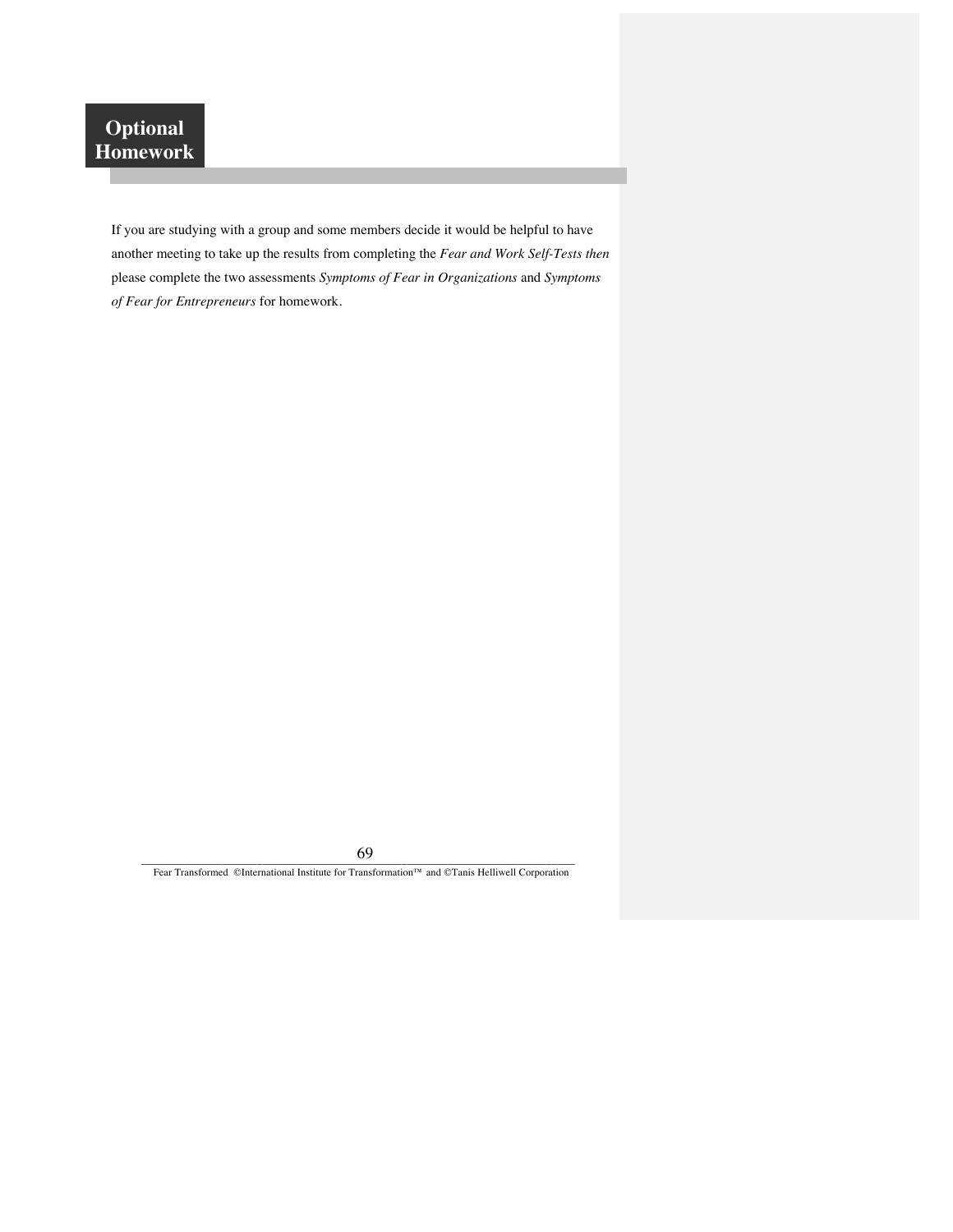If you are studying with a group and some members decide it would be helpful to have another meeting to take up the results from completing the *Fear and Work Self-Tests then* please complete the two assessments *Symptoms of Fear in Organizations* and *Symptoms of Fear for Entrepreneurs* for homework.

69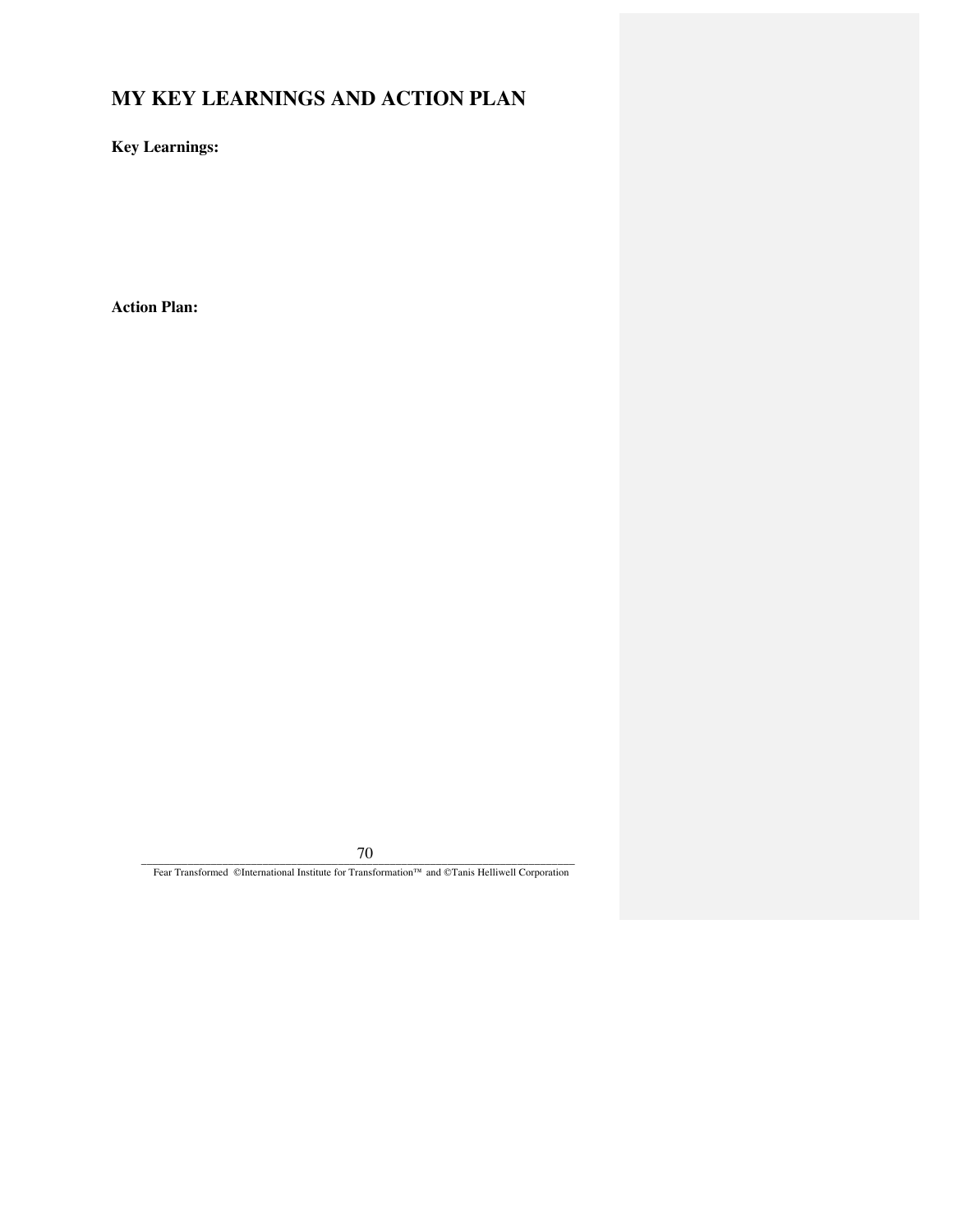# **MY KEY LEARNINGS AND ACTION PLAN**

**Key Learnings:**

**Action Plan:**

70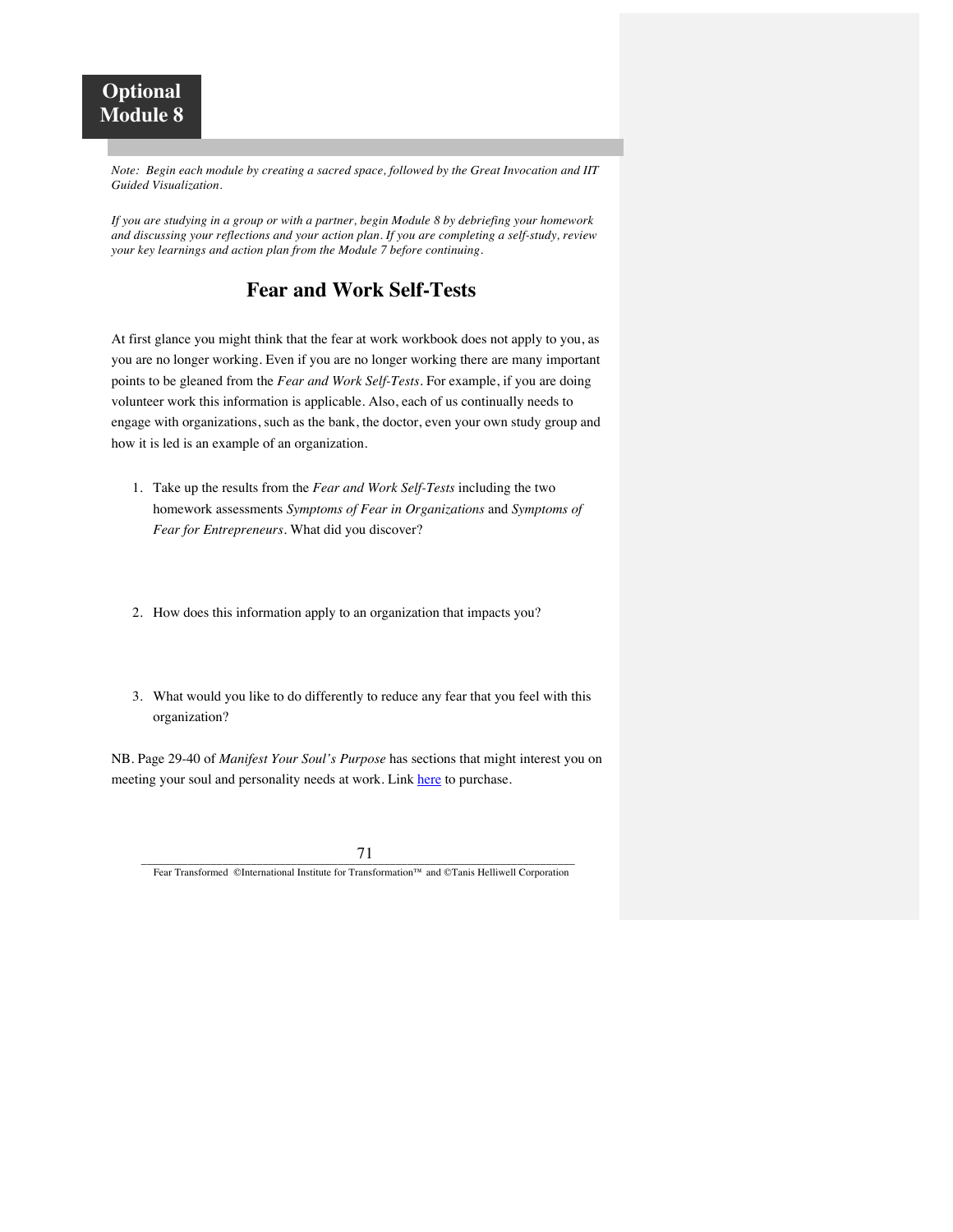## **Optional Module 8**

*Note: Begin each module by creating a sacred space, followed by the Great Invocation and IIT Guided Visualization.*

*If you are studying in a group or with a partner, begin Module 8 by debriefing your homework and discussing your reflections and your action plan. If you are completing a self-study, review your key learnings and action plan from the Module 7 before continuing.*

## **Fear and Work Self-Tests**

At first glance you might think that the fear at work workbook does not apply to you, as you are no longer working. Even if you are no longer working there are many important points to be gleaned from the *Fear and Work Self-Tests*. For example, if you are doing volunteer work this information is applicable. Also, each of us continually needs to engage with organizations, such as the bank, the doctor, even your own study group and how it is led is an example of an organization.

- 1. Take up the results from the *Fear and Work Self-Tests* including the two homework assessments *Symptoms of Fear in Organizations* and *Symptoms of Fear for Entrepreneurs*. What did you discover?
- 2. How does this information apply to an organization that impacts you?
- 3. What would you like to do differently to reduce any fear that you feel with this organization?

NB. Page 29-40 of *Manifest Your Soul's Purpose* has sections that might interest you on meeting your soul and personality needs at work. Link here to purchase.

71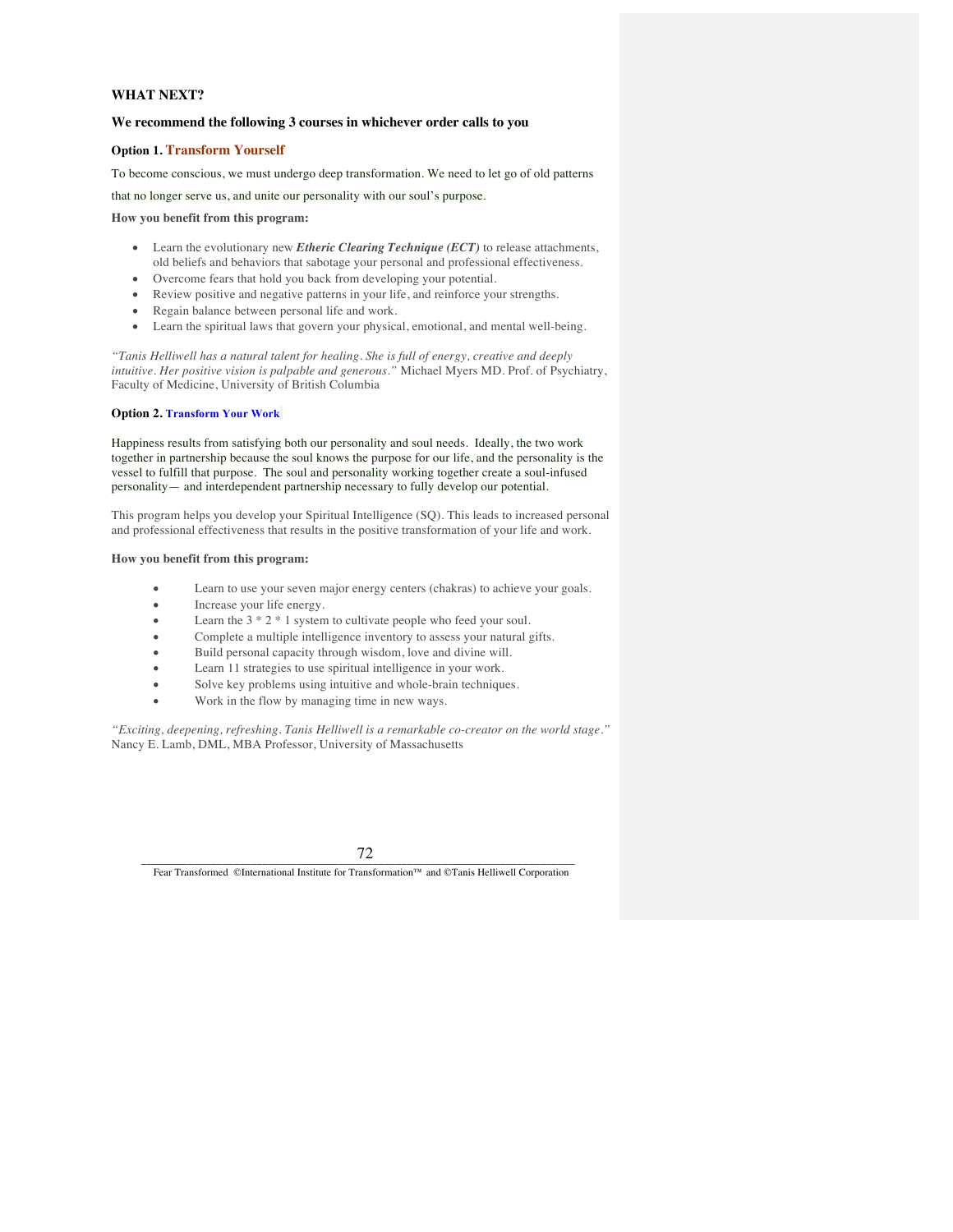#### **WHAT NEXT?**

#### **We recommend the following 3 courses in whichever order calls to you**

#### **Option 1. Transform Yourself**

To become conscious, we must undergo deep transformation. We need to let go of old patterns

that no longer serve us, and unite our personality with our soul's purpose.

#### **How you benefit from this program:**

- Learn the evolutionary new *Etheric Clearing Technique (ECT)* to release attachments, old beliefs and behaviors that sabotage your personal and professional effectiveness.
- Overcome fears that hold you back from developing your potential.
- Review positive and negative patterns in your life, and reinforce your strengths.
- Regain balance between personal life and work.
- Learn the spiritual laws that govern your physical, emotional, and mental well-being.

*"Tanis Helliwell has a natural talent for healing. She is full of energy, creative and deeply intuitive. Her positive vision is palpable and generous."* Michael Myers MD. Prof. of Psychiatry, Faculty of Medicine, University of British Columbia

#### **Option 2. Transform Your Work**

Happiness results from satisfying both our personality and soul needs. Ideally, the two work together in partnership because the soul knows the purpose for our life, and the personality is the vessel to fulfill that purpose. The soul and personality working together create a soul-infused personality— and interdependent partnership necessary to fully develop our potential.

This program helps you develop your Spiritual Intelligence (SQ). This leads to increased personal and professional effectiveness that results in the positive transformation of your life and work.

#### **How you benefit from this program:**

- Learn to use your seven major energy centers (chakras) to achieve your goals.
- Increase your life energy.
- Learn the  $3 * 2 * 1$  system to cultivate people who feed your soul.
- Complete a multiple intelligence inventory to assess your natural gifts.
- Build personal capacity through wisdom, love and divine will.
- Learn 11 strategies to use spiritual intelligence in your work.
- Solve key problems using intuitive and whole-brain techniques.
- Work in the flow by managing time in new ways.

*"Exciting, deepening, refreshing. Tanis Helliwell is a remarkable co-creator on the world stage."* Nancy E. Lamb, DML, MBA Professor, University of Massachusetts

72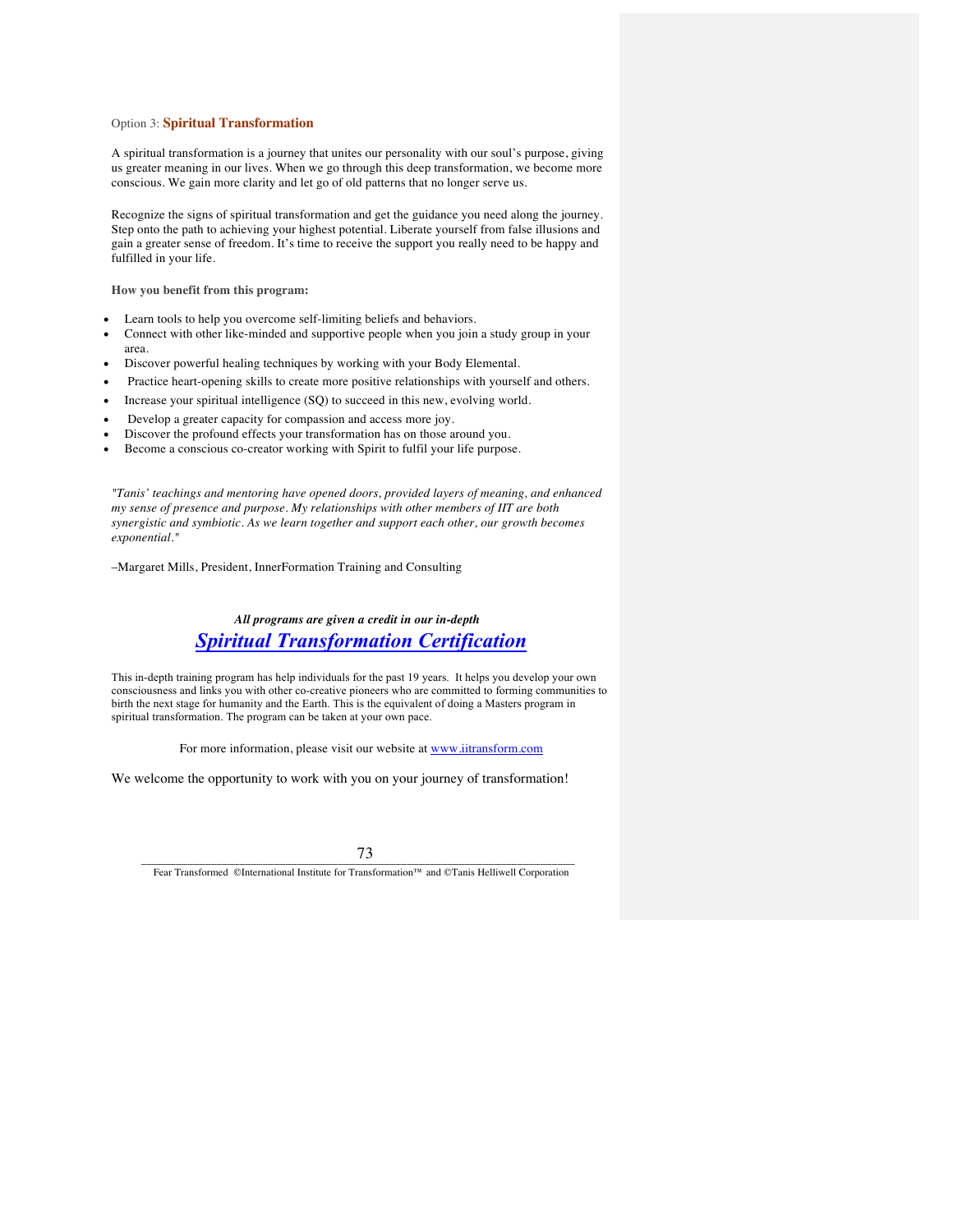#### Option 3: **Spiritual Transformation**

A spiritual transformation is a journey that unites our personality with our soul's purpose, giving us greater meaning in our lives. When we go through this deep transformation, we become more conscious. We gain more clarity and let go of old patterns that no longer serve us.

Recognize the signs of spiritual transformation and get the guidance you need along the journey. Step onto the path to achieving your highest potential. Liberate yourself from false illusions and gain a greater sense of freedom. It's time to receive the support you really need to be happy and fulfilled in your life.

**How you benefit from this program:**

- Learn tools to help you overcome self-limiting beliefs and behaviors.
- Connect with other like-minded and supportive people when you join a study group in your area.
- Discover powerful healing techniques by working with your Body Elemental.
- Practice heart-opening skills to create more positive relationships with yourself and others.
- Increase your spiritual intelligence (SQ) to succeed in this new, evolving world.
- Develop a greater capacity for compassion and access more joy.
- Discover the profound effects your transformation has on those around you.
- Become a conscious co-creator working with Spirit to fulfil your life purpose.

*"Tanis' teachings and mentoring have opened doors, provided layers of meaning, and enhanced my sense of presence and purpose. My relationships with other members of IIT are both synergistic and symbiotic. As we learn together and support each other, our growth becomes exponential."*

–Margaret Mills, President, InnerFormation Training and Consulting

### *All programs are given a credit in our in-depth Spiritual Transformation Certification*

This in-depth training program has help individuals for the past 19 years. It helps you develop your own consciousness and links you with other co-creative pioneers who are committed to forming communities to birth the next stage for humanity and the Earth. This is the equivalent of doing a Masters program in spiritual transformation. The program can be taken at your own pace.

For more information, please visit our website at www.iitransform.com

We welcome the opportunity to work with you on your journey of transformation!

73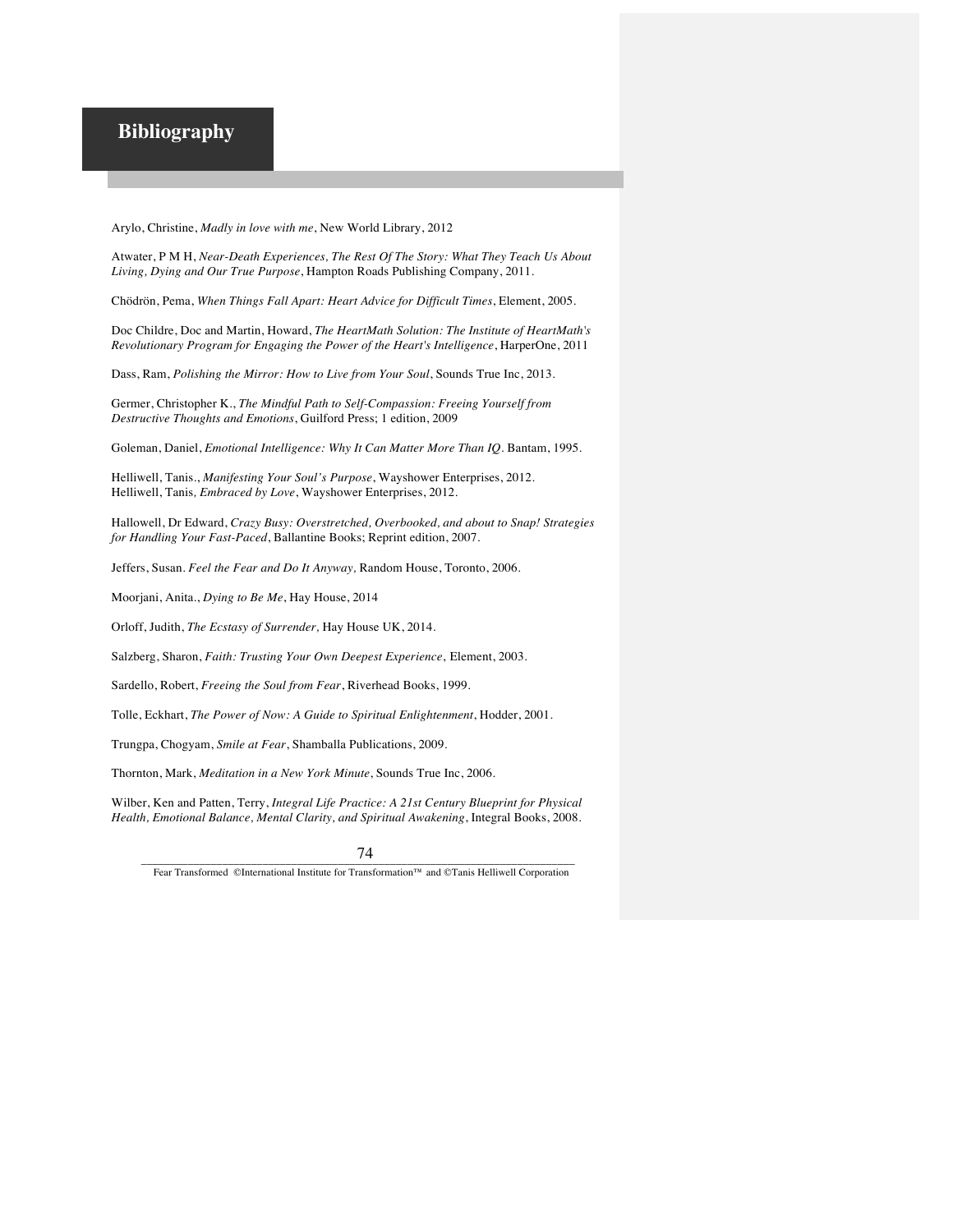Arylo, Christine, *Madly in love with me*, New World Library, 2012

Atwater, P M H, *Near-Death Experiences, The Rest Of The Story: What They Teach Us About Living, Dying and Our True Purpose*, Hampton Roads Publishing Company, 2011.

Chödrön, Pema, *When Things Fall Apart: Heart Advice for Difficult Times*, Element, 2005.

Doc Childre, Doc and Martin, Howard, *The HeartMath Solution: The Institute of HeartMath's Revolutionary Program for Engaging the Power of the Heart's Intelligence*, HarperOne, 2011

Dass, Ram, *Polishing the Mirror: How to Live from Your Soul*, Sounds True Inc, 2013.

Germer, Christopher K., *The Mindful Path to Self-Compassion: Freeing Yourself from Destructive Thoughts and Emotions*, Guilford Press; 1 edition, 2009

Goleman, Daniel, *Emotional Intelligence: Why It Can Matter More Than IQ*. Bantam, 1995.

Helliwell, Tanis., *Manifesting Your Soul's Purpose*, Wayshower Enterprises, 2012. Helliwell, Tanis*, Embraced by Love*, Wayshower Enterprises, 2012.

Hallowell, Dr Edward, *Crazy Busy: Overstretched, Overbooked, and about to Snap! Strategies for Handling Your Fast-Paced*, Ballantine Books; Reprint edition, 2007.

Jeffers, Susan. *Feel the Fear and Do It Anyway,* Random House, Toronto, 2006.

Moorjani, Anita., *Dying to Be Me*, Hay House, 2014

Orloff, Judith, *The Ecstasy of Surrender,* Hay House UK, 2014.

Salzberg, Sharon, *Faith: Trusting Your Own Deepest Experience*, Element, 2003.

Sardello, Robert, *Freeing the Soul from Fear*, Riverhead Books, 1999.

Tolle, Eckhart, *The Power of Now: A Guide to Spiritual Enlightenment*, Hodder, 2001.

Trungpa, Chogyam, *Smile at Fear*, Shamballa Publications, 2009.

Thornton, Mark, *Meditation in a New York Minute*, Sounds True Inc, 2006.

Wilber, Ken and Patten, Terry, *Integral Life Practice: A 21st Century Blueprint for Physical Health, Emotional Balance, Mental Clarity, and Spiritual Awakening*, Integral Books, 2008.

74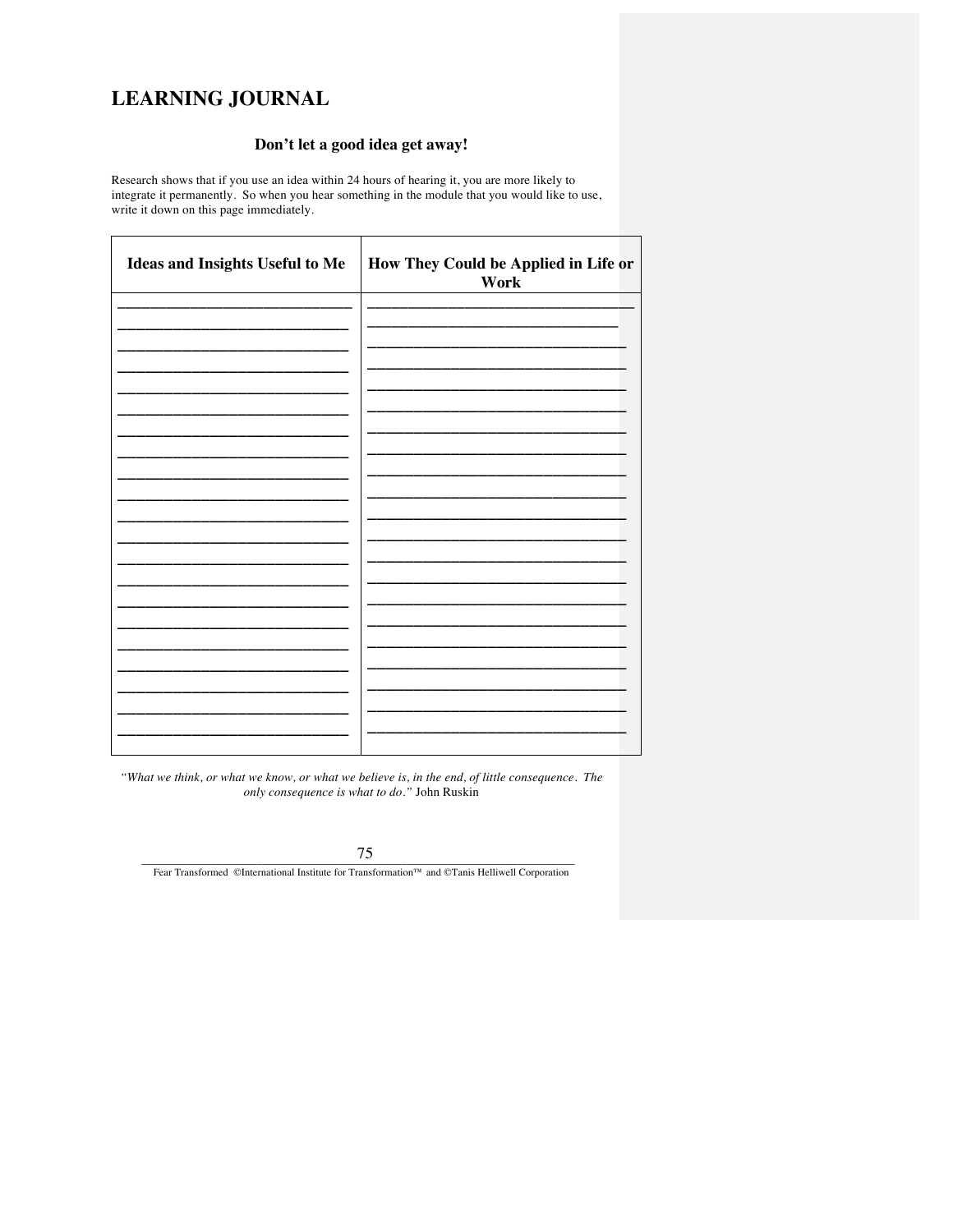## LEARNING JOURNAL

### Don't let a good idea get away!

Research shows that if you use an idea within 24 hours of hearing it, you are more likely to integrate it permanently. So when you hear something in the module that you would like to use, write it down on this page immediately.

| <b>Ideas and Insights Useful to Me</b> | How They Could be Applied in Life or<br>Work |
|----------------------------------------|----------------------------------------------|
|                                        |                                              |
|                                        |                                              |
|                                        |                                              |
|                                        |                                              |
|                                        |                                              |
|                                        |                                              |
|                                        |                                              |
|                                        |                                              |
|                                        |                                              |
|                                        |                                              |
|                                        |                                              |
|                                        |                                              |
|                                        |                                              |
|                                        |                                              |
|                                        |                                              |
|                                        |                                              |
|                                        |                                              |
|                                        |                                              |

"What we think, or what we know, or what we believe is, in the end, of little consequence. The only consequence is what to do." John Ruskin

75

Fear Transformed ©International Institute for Transformation<sup>TM</sup> and ©Tanis Helliwell Corporation